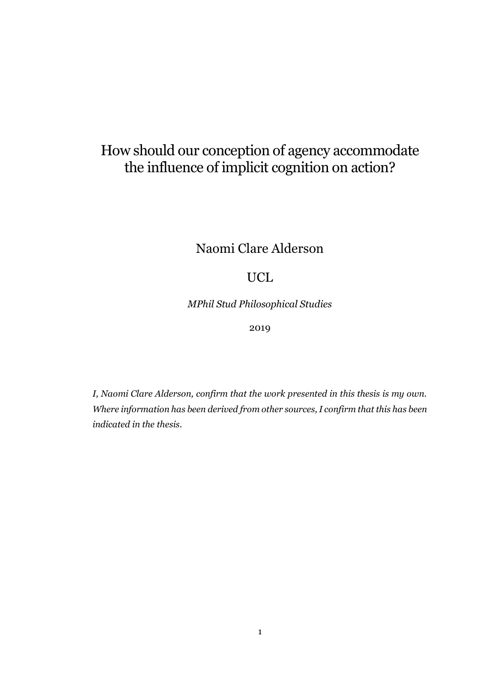# How should our conception of agency accommodate the influence of implicit cognition on action?

Naomi Clare Alderson

## UCL

*MPhil Stud Philosophical Studies*

2019

*I, Naomi Clare Alderson, confirm that the work presented in this thesis is my own. Where information has been derived from other sources, I confirm that this has been indicated in the thesis.*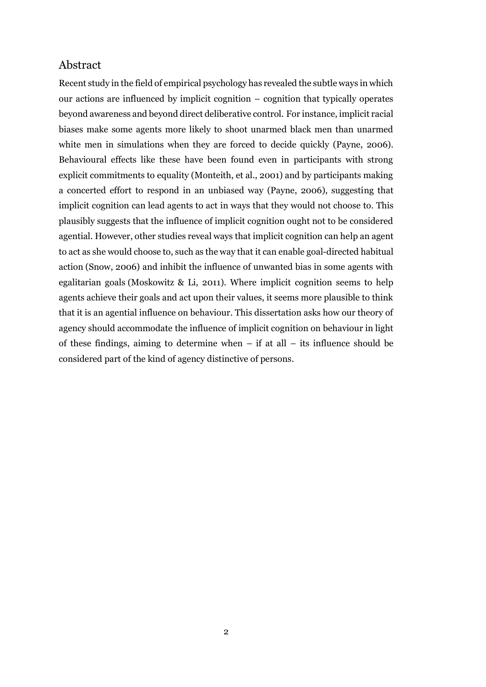## <span id="page-1-0"></span>Abstract

Recent study in the field of empirical psychology has revealed the subtle ways in which our actions are influenced by implicit cognition – cognition that typically operates beyond awareness and beyond direct deliberative control. For instance, implicit racial biases make some agents more likely to shoot unarmed black men than unarmed white men in simulations when they are forced to decide quickly (Payne, 2006). Behavioural effects like these have been found even in participants with strong explicit commitments to equality (Monteith, et al., 2001) and by participants making a concerted effort to respond in an unbiased way (Payne, 2006), suggesting that implicit cognition can lead agents to act in ways that they would not choose to. This plausibly suggests that the influence of implicit cognition ought not to be considered agential. However, other studies reveal ways that implicit cognition can help an agent to act as she would choose to, such as the way that it can enable goal-directed habitual action (Snow, 2006) and inhibit the influence of unwanted bias in some agents with egalitarian goals (Moskowitz & Li, 2011). Where implicit cognition seems to help agents achieve their goals and act upon their values, it seems more plausible to think that it is an agential influence on behaviour. This dissertation asks how our theory of agency should accommodate the influence of implicit cognition on behaviour in light of these findings, aiming to determine when  $-$  if at all  $-$  its influence should be considered part of the kind of agency distinctive of persons.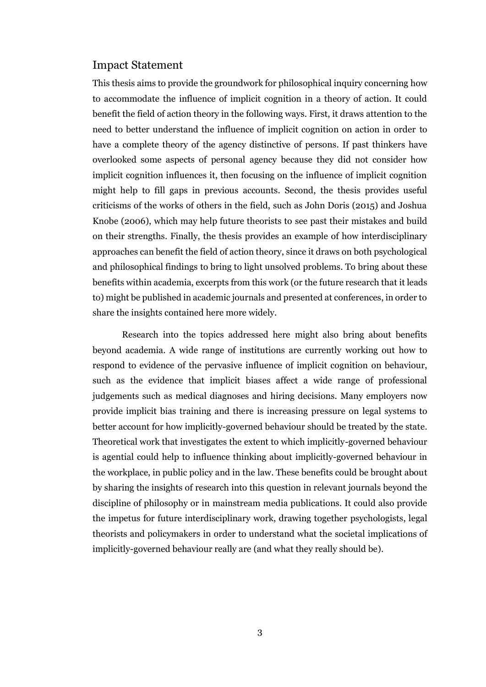#### <span id="page-2-0"></span>Impact Statement

This thesis aims to provide the groundwork for philosophical inquiry concerning how to accommodate the influence of implicit cognition in a theory of action. It could benefit the field of action theory in the following ways. First, it draws attention to the need to better understand the influence of implicit cognition on action in order to have a complete theory of the agency distinctive of persons. If past thinkers have overlooked some aspects of personal agency because they did not consider how implicit cognition influences it, then focusing on the influence of implicit cognition might help to fill gaps in previous accounts. Second, the thesis provides useful criticisms of the works of others in the field, such as John Doris (2015) and Joshua Knobe (2006), which may help future theorists to see past their mistakes and build on their strengths. Finally, the thesis provides an example of how interdisciplinary approaches can benefit the field of action theory, since it draws on both psychological and philosophical findings to bring to light unsolved problems. To bring about these benefits within academia, excerpts from this work (or the future research that it leads to) might be published in academic journals and presented at conferences, in order to share the insights contained here more widely.

Research into the topics addressed here might also bring about benefits beyond academia. A wide range of institutions are currently working out how to respond to evidence of the pervasive influence of implicit cognition on behaviour, such as the evidence that implicit biases affect a wide range of professional judgements such as medical diagnoses and hiring decisions. Many employers now provide implicit bias training and there is increasing pressure on legal systems to better account for how implicitly-governed behaviour should be treated by the state. Theoretical work that investigates the extent to which implicitly-governed behaviour is agential could help to influence thinking about implicitly-governed behaviour in the workplace, in public policy and in the law. These benefits could be brought about by sharing the insights of research into this question in relevant journals beyond the discipline of philosophy or in mainstream media publications. It could also provide the impetus for future interdisciplinary work, drawing together psychologists, legal theorists and policymakers in order to understand what the societal implications of implicitly-governed behaviour really are (and what they really should be).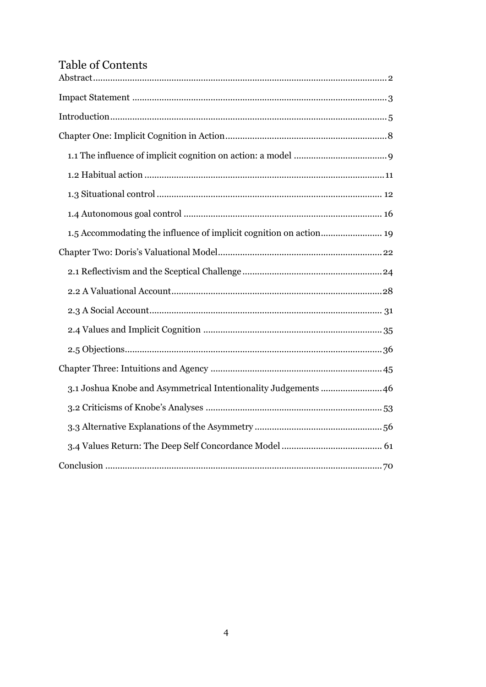## Table of Contents

| 3.1 Joshua Knobe and Asymmetrical Intentionality Judgements  46 |
|-----------------------------------------------------------------|
|                                                                 |
|                                                                 |
|                                                                 |
|                                                                 |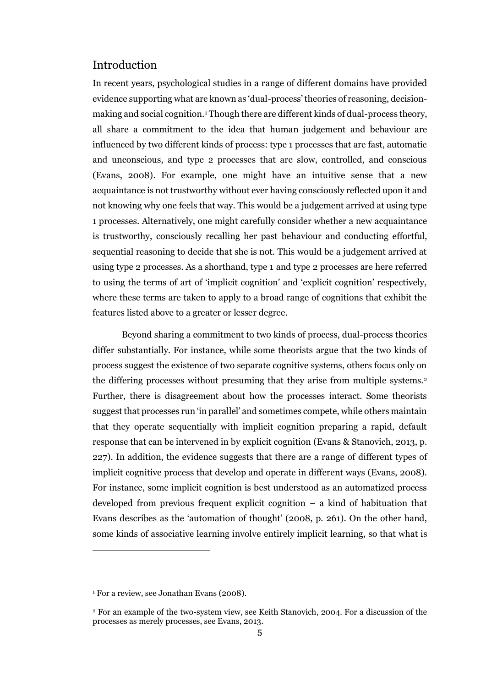### <span id="page-4-0"></span>Introduction

In recent years, psychological studies in a range of different domains have provided evidence supporting what are known as 'dual-process' theories of reasoning, decisionmaking and social cognition.<sup>1</sup> Though there are different kinds of dual-process theory, all share a commitment to the idea that human judgement and behaviour are influenced by two different kinds of process: type 1 processes that are fast, automatic and unconscious, and type 2 processes that are slow, controlled, and conscious (Evans, 2008). For example, one might have an intuitive sense that a new acquaintance is not trustworthy without ever having consciously reflected upon it and not knowing why one feels that way. This would be a judgement arrived at using type 1 processes. Alternatively, one might carefully consider whether a new acquaintance is trustworthy, consciously recalling her past behaviour and conducting effortful, sequential reasoning to decide that she is not. This would be a judgement arrived at using type 2 processes. As a shorthand, type 1 and type 2 processes are here referred to using the terms of art of 'implicit cognition' and 'explicit cognition' respectively, where these terms are taken to apply to a broad range of cognitions that exhibit the features listed above to a greater or lesser degree.

Beyond sharing a commitment to two kinds of process, dual-process theories differ substantially. For instance, while some theorists argue that the two kinds of process suggest the existence of two separate cognitive systems, others focus only on the differing processes without presuming that they arise from multiple systems.<sup>2</sup> Further, there is disagreement about how the processes interact. Some theorists suggest that processes run 'in parallel' and sometimes compete, while others maintain that they operate sequentially with implicit cognition preparing a rapid, default response that can be intervened in by explicit cognition (Evans & Stanovich, 2013, p. 227). In addition, the evidence suggests that there are a range of different types of implicit cognitive process that develop and operate in different ways (Evans, 2008). For instance, some implicit cognition is best understood as an automatized process developed from previous frequent explicit cognition – a kind of habituation that Evans describes as the 'automation of thought' (2008, p. 261). On the other hand, some kinds of associative learning involve entirely implicit learning, so that what is

 $\overline{a}$ 

<sup>&</sup>lt;sup>1</sup> For a review, see Jonathan Evans (2008).

<sup>2</sup> For an example of the two-system view, see Keith Stanovich, 2004. For a discussion of the processes as merely processes, see Evans, 2013.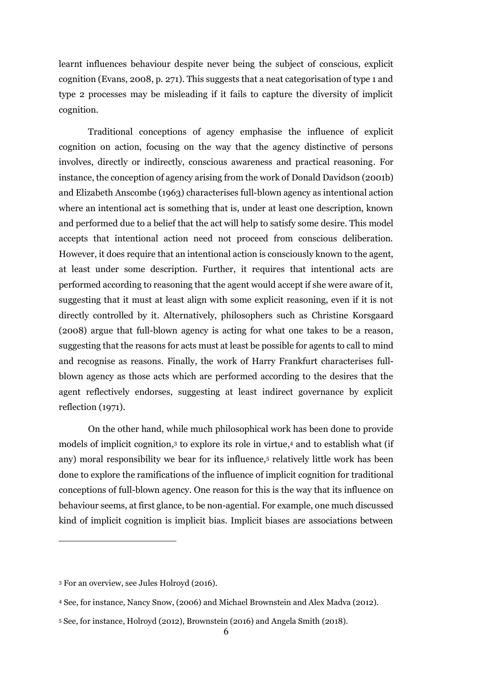learnt influences behaviour despite never being the subject of conscious, explicit cognition (Evans, 2008, p. 271). This suggests that a neat categorisation of type 1 and type 2 processes may be misleading if it fails to capture the diversity of implicit cognition.

Traditional conceptions of agency emphasise the influence of explicit cognition on action, focusing on the way that the agency distinctive of persons involves, directly or indirectly, conscious awareness and practical reasoning. For instance, the conception of agency arising from the work of Donald Davidson (2001b) and Elizabeth Anscombe (1963) characterises full-blown agency as intentional action where an intentional act is something that is, under at least one description, known and performed due to a belief that the act will help to satisfy some desire. This model accepts that intentional action need not proceed from conscious deliberation. However, it does require that an intentional action is consciously known to the agent, at least under some description. Further, it requires that intentional acts are performed according to reasoning that the agent would accept if she were aware of it, suggesting that it must at least align with some explicit reasoning, even if it is not directly controlled by it. Alternatively, philosophers such as Christine Korsgaard (2008) argue that full-blown agency is acting for what one takes to be a reason, suggesting that the reasons for acts must at least be possible for agents to call to mind and recognise as reasons. Finally, the work of Harry Frankfurt characterises fullblown agency as those acts which are performed according to the desires that the agent reflectively endorses, suggesting at least indirect governance by explicit reflection (1971).

On the other hand, while much philosophical work has been done to provide models of implicit cognition, 3 to explore its role in virtue, <sup>4</sup> and to establish what (if any) moral responsibility we bear for its influence,<sup>5</sup> relatively little work has been done to explore the ramifications of the influence of implicit cognition for traditional conceptions of full-blown agency. One reason for this is the way that its influence on behaviour seems, at first glance, to be non-agential. For example, one much discussed kind of implicit cognition is implicit bias. Implicit biases are associations between

 $\overline{a}$ 

<sup>3</sup> For an overview, see Jules Holroyd (2016).

<sup>4</sup> See, for instance, Nancy Snow, (2006) and Michael Brownstein and Alex Madva (2012).

<sup>5</sup> See, for instance, Holroyd (2012), Brownstein (2016) and Angela Smith (2018).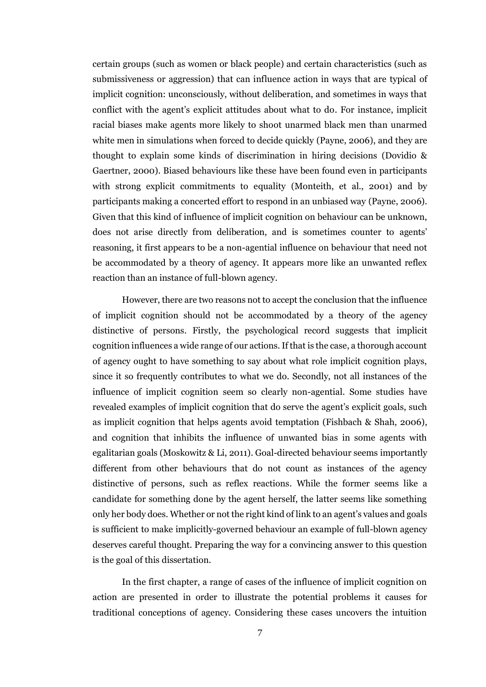certain groups (such as women or black people) and certain characteristics (such as submissiveness or aggression) that can influence action in ways that are typical of implicit cognition: unconsciously, without deliberation, and sometimes in ways that conflict with the agent's explicit attitudes about what to do. For instance, implicit racial biases make agents more likely to shoot unarmed black men than unarmed white men in simulations when forced to decide quickly (Payne, 2006), and they are thought to explain some kinds of discrimination in hiring decisions (Dovidio & Gaertner, 2000). Biased behaviours like these have been found even in participants with strong explicit commitments to equality (Monteith, et al., 2001) and by participants making a concerted effort to respond in an unbiased way (Payne, 2006). Given that this kind of influence of implicit cognition on behaviour can be unknown, does not arise directly from deliberation, and is sometimes counter to agents' reasoning, it first appears to be a non-agential influence on behaviour that need not be accommodated by a theory of agency. It appears more like an unwanted reflex reaction than an instance of full-blown agency.

However, there are two reasons not to accept the conclusion that the influence of implicit cognition should not be accommodated by a theory of the agency distinctive of persons. Firstly, the psychological record suggests that implicit cognition influences a wide range of our actions. If that is the case, a thorough account of agency ought to have something to say about what role implicit cognition plays, since it so frequently contributes to what we do. Secondly, not all instances of the influence of implicit cognition seem so clearly non-agential. Some studies have revealed examples of implicit cognition that do serve the agent's explicit goals, such as implicit cognition that helps agents avoid temptation (Fishbach & Shah, 2006), and cognition that inhibits the influence of unwanted bias in some agents with egalitarian goals (Moskowitz & Li, 2011). Goal-directed behaviour seems importantly different from other behaviours that do not count as instances of the agency distinctive of persons, such as reflex reactions. While the former seems like a candidate for something done by the agent herself, the latter seems like something only her body does. Whether or not the right kind of link to an agent's values and goals is sufficient to make implicitly-governed behaviour an example of full-blown agency deserves careful thought. Preparing the way for a convincing answer to this question is the goal of this dissertation.

In the first chapter, a range of cases of the influence of implicit cognition on action are presented in order to illustrate the potential problems it causes for traditional conceptions of agency. Considering these cases uncovers the intuition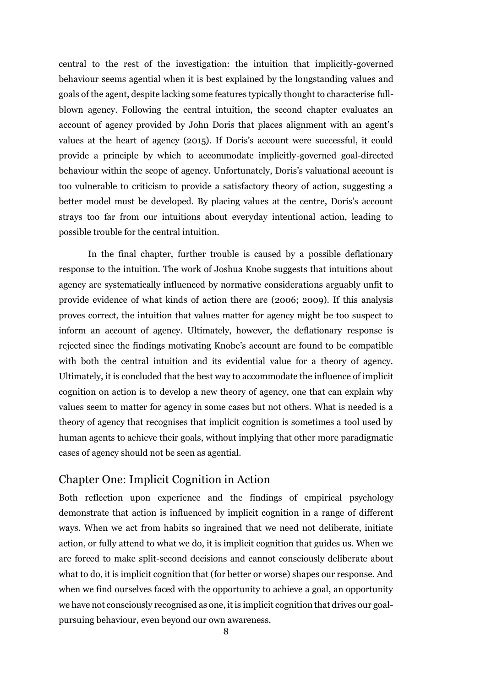central to the rest of the investigation: the intuition that implicitly-governed behaviour seems agential when it is best explained by the longstanding values and goals of the agent, despite lacking some features typically thought to characterise fullblown agency. Following the central intuition, the second chapter evaluates an account of agency provided by John Doris that places alignment with an agent's values at the heart of agency (2015). If Doris's account were successful, it could provide a principle by which to accommodate implicitly-governed goal-directed behaviour within the scope of agency. Unfortunately, Doris's valuational account is too vulnerable to criticism to provide a satisfactory theory of action, suggesting a better model must be developed. By placing values at the centre, Doris's account strays too far from our intuitions about everyday intentional action, leading to possible trouble for the central intuition.

In the final chapter, further trouble is caused by a possible deflationary response to the intuition. The work of Joshua Knobe suggests that intuitions about agency are systematically influenced by normative considerations arguably unfit to provide evidence of what kinds of action there are (2006; 2009). If this analysis proves correct, the intuition that values matter for agency might be too suspect to inform an account of agency. Ultimately, however, the deflationary response is rejected since the findings motivating Knobe's account are found to be compatible with both the central intuition and its evidential value for a theory of agency. Ultimately, it is concluded that the best way to accommodate the influence of implicit cognition on action is to develop a new theory of agency, one that can explain why values seem to matter for agency in some cases but not others. What is needed is a theory of agency that recognises that implicit cognition is sometimes a tool used by human agents to achieve their goals, without implying that other more paradigmatic cases of agency should not be seen as agential.

## <span id="page-7-0"></span>Chapter One: Implicit Cognition in Action

Both reflection upon experience and the findings of empirical psychology demonstrate that action is influenced by implicit cognition in a range of different ways. When we act from habits so ingrained that we need not deliberate, initiate action, or fully attend to what we do, it is implicit cognition that guides us. When we are forced to make split-second decisions and cannot consciously deliberate about what to do, it is implicit cognition that (for better or worse) shapes our response. And when we find ourselves faced with the opportunity to achieve a goal, an opportunity we have not consciously recognised as one, it is implicit cognition that drives our goalpursuing behaviour, even beyond our own awareness.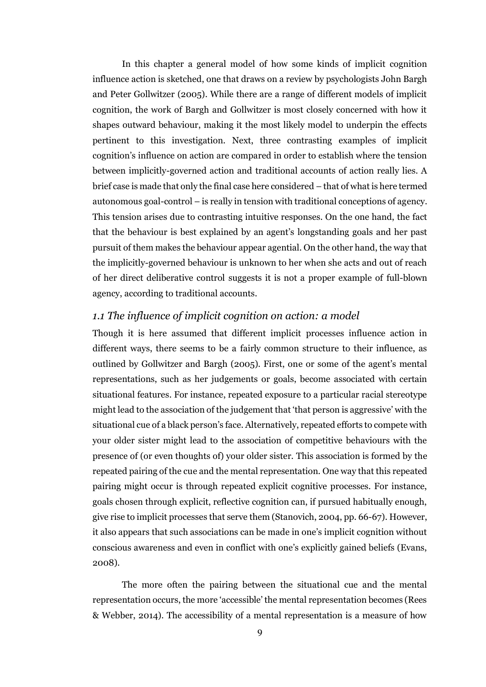In this chapter a general model of how some kinds of implicit cognition influence action is sketched, one that draws on a review by psychologists John Bargh and Peter Gollwitzer (2005). While there are a range of different models of implicit cognition, the work of Bargh and Gollwitzer is most closely concerned with how it shapes outward behaviour, making it the most likely model to underpin the effects pertinent to this investigation. Next, three contrasting examples of implicit cognition's influence on action are compared in order to establish where the tension between implicitly-governed action and traditional accounts of action really lies. A brief case is made that only the final case here considered – that of what is here termed autonomous goal-control – is really in tension with traditional conceptions of agency. This tension arises due to contrasting intuitive responses. On the one hand, the fact that the behaviour is best explained by an agent's longstanding goals and her past pursuit of them makes the behaviour appear agential. On the other hand, the way that the implicitly-governed behaviour is unknown to her when she acts and out of reach of her direct deliberative control suggests it is not a proper example of full-blown agency, according to traditional accounts.

### <span id="page-8-0"></span>*1.1 The influence of implicit cognition on action: a model*

Though it is here assumed that different implicit processes influence action in different ways, there seems to be a fairly common structure to their influence, as outlined by Gollwitzer and Bargh (2005). First, one or some of the agent's mental representations, such as her judgements or goals, become associated with certain situational features. For instance, repeated exposure to a particular racial stereotype might lead to the association of the judgement that 'that person is aggressive' with the situational cue of a black person's face. Alternatively, repeated efforts to compete with your older sister might lead to the association of competitive behaviours with the presence of (or even thoughts of) your older sister. This association is formed by the repeated pairing of the cue and the mental representation. One way that this repeated pairing might occur is through repeated explicit cognitive processes. For instance, goals chosen through explicit, reflective cognition can, if pursued habitually enough, give rise to implicit processes that serve them (Stanovich, 2004, pp. 66-67). However, it also appears that such associations can be made in one's implicit cognition without conscious awareness and even in conflict with one's explicitly gained beliefs (Evans, 2008).

The more often the pairing between the situational cue and the mental representation occurs, the more 'accessible' the mental representation becomes (Rees & Webber, 2014). The accessibility of a mental representation is a measure of how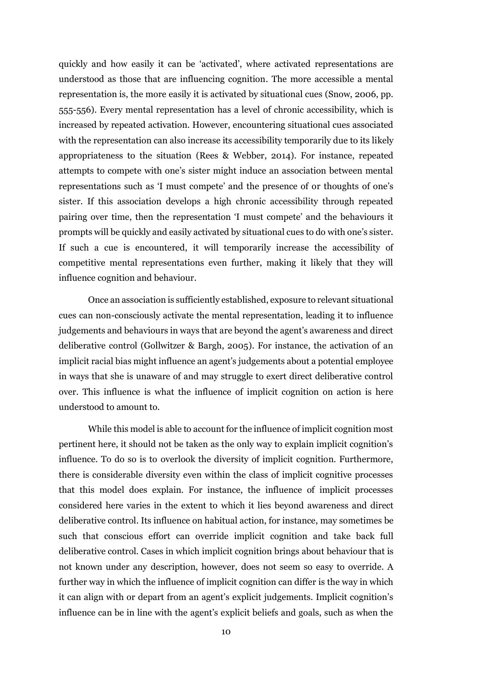quickly and how easily it can be 'activated', where activated representations are understood as those that are influencing cognition. The more accessible a mental representation is, the more easily it is activated by situational cues (Snow, 2006, pp. 555-556). Every mental representation has a level of chronic accessibility, which is increased by repeated activation. However, encountering situational cues associated with the representation can also increase its accessibility temporarily due to its likely appropriateness to the situation (Rees & Webber, 2014). For instance, repeated attempts to compete with one's sister might induce an association between mental representations such as 'I must compete' and the presence of or thoughts of one's sister. If this association develops a high chronic accessibility through repeated pairing over time, then the representation 'I must compete' and the behaviours it prompts will be quickly and easily activated by situational cues to do with one's sister. If such a cue is encountered, it will temporarily increase the accessibility of competitive mental representations even further, making it likely that they will influence cognition and behaviour.

Once an association is sufficiently established, exposure to relevant situational cues can non-consciously activate the mental representation, leading it to influence judgements and behaviours in ways that are beyond the agent's awareness and direct deliberative control (Gollwitzer & Bargh, 2005). For instance, the activation of an implicit racial bias might influence an agent's judgements about a potential employee in ways that she is unaware of and may struggle to exert direct deliberative control over. This influence is what the influence of implicit cognition on action is here understood to amount to.

While this model is able to account for the influence of implicit cognition most pertinent here, it should not be taken as the only way to explain implicit cognition's influence. To do so is to overlook the diversity of implicit cognition. Furthermore, there is considerable diversity even within the class of implicit cognitive processes that this model does explain. For instance, the influence of implicit processes considered here varies in the extent to which it lies beyond awareness and direct deliberative control. Its influence on habitual action, for instance, may sometimes be such that conscious effort can override implicit cognition and take back full deliberative control. Cases in which implicit cognition brings about behaviour that is not known under any description, however, does not seem so easy to override. A further way in which the influence of implicit cognition can differ is the way in which it can align with or depart from an agent's explicit judgements. Implicit cognition's influence can be in line with the agent's explicit beliefs and goals, such as when the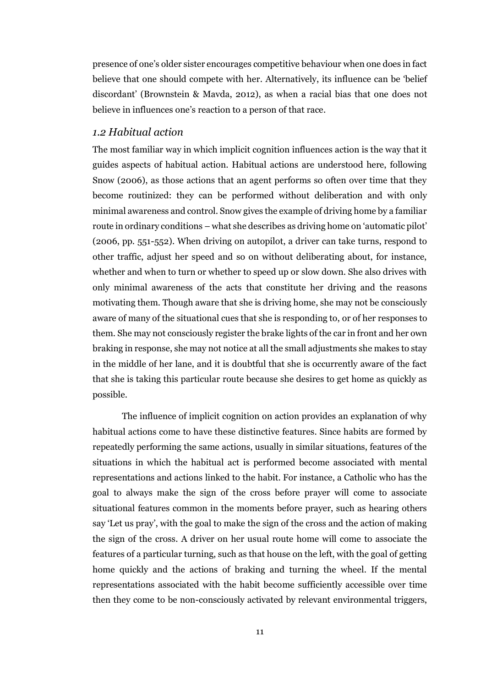presence of one's older sister encourages competitive behaviour when one does in fact believe that one should compete with her. Alternatively, its influence can be 'belief discordant' (Brownstein & Mavda, 2012), as when a racial bias that one does not believe in influences one's reaction to a person of that race.

#### <span id="page-10-0"></span>*1.2 Habitual action*

The most familiar way in which implicit cognition influences action is the way that it guides aspects of habitual action. Habitual actions are understood here, following Snow (2006), as those actions that an agent performs so often over time that they become routinized: they can be performed without deliberation and with only minimal awareness and control. Snow gives the example of driving home by a familiar route in ordinary conditions – what she describes as driving home on 'automatic pilot' (2006, pp. 551-552). When driving on autopilot, a driver can take turns, respond to other traffic, adjust her speed and so on without deliberating about, for instance, whether and when to turn or whether to speed up or slow down. She also drives with only minimal awareness of the acts that constitute her driving and the reasons motivating them. Though aware that she is driving home, she may not be consciously aware of many of the situational cues that she is responding to, or of her responses to them. She may not consciously register the brake lights of the car in front and her own braking in response, she may not notice at all the small adjustments she makes to stay in the middle of her lane, and it is doubtful that she is occurrently aware of the fact that she is taking this particular route because she desires to get home as quickly as possible.

The influence of implicit cognition on action provides an explanation of why habitual actions come to have these distinctive features. Since habits are formed by repeatedly performing the same actions, usually in similar situations, features of the situations in which the habitual act is performed become associated with mental representations and actions linked to the habit. For instance, a Catholic who has the goal to always make the sign of the cross before prayer will come to associate situational features common in the moments before prayer, such as hearing others say 'Let us pray', with the goal to make the sign of the cross and the action of making the sign of the cross. A driver on her usual route home will come to associate the features of a particular turning, such as that house on the left, with the goal of getting home quickly and the actions of braking and turning the wheel. If the mental representations associated with the habit become sufficiently accessible over time then they come to be non-consciously activated by relevant environmental triggers,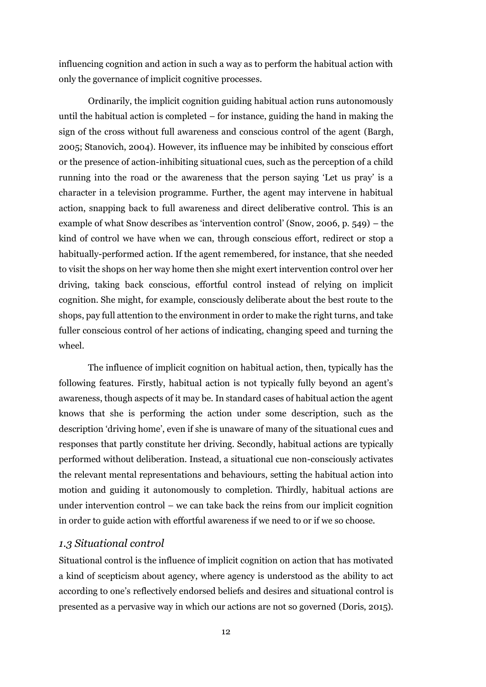influencing cognition and action in such a way as to perform the habitual action with only the governance of implicit cognitive processes.

Ordinarily, the implicit cognition guiding habitual action runs autonomously until the habitual action is completed  $-$  for instance, guiding the hand in making the sign of the cross without full awareness and conscious control of the agent (Bargh, 2005; Stanovich, 2004). However, its influence may be inhibited by conscious effort or the presence of action-inhibiting situational cues, such as the perception of a child running into the road or the awareness that the person saying 'Let us pray' is a character in a television programme. Further, the agent may intervene in habitual action, snapping back to full awareness and direct deliberative control. This is an example of what Snow describes as 'intervention control' (Snow, 2006, p. 549) – the kind of control we have when we can, through conscious effort, redirect or stop a habitually-performed action. If the agent remembered, for instance, that she needed to visit the shops on her way home then she might exert intervention control over her driving, taking back conscious, effortful control instead of relying on implicit cognition. She might, for example, consciously deliberate about the best route to the shops, pay full attention to the environment in order to make the right turns, and take fuller conscious control of her actions of indicating, changing speed and turning the wheel.

The influence of implicit cognition on habitual action, then, typically has the following features. Firstly, habitual action is not typically fully beyond an agent's awareness, though aspects of it may be. In standard cases of habitual action the agent knows that she is performing the action under some description, such as the description 'driving home', even if she is unaware of many of the situational cues and responses that partly constitute her driving. Secondly, habitual actions are typically performed without deliberation. Instead, a situational cue non-consciously activates the relevant mental representations and behaviours, setting the habitual action into motion and guiding it autonomously to completion. Thirdly, habitual actions are under intervention control – we can take back the reins from our implicit cognition in order to guide action with effortful awareness if we need to or if we so choose.

#### <span id="page-11-0"></span>*1.3 Situational control*

Situational control is the influence of implicit cognition on action that has motivated a kind of scepticism about agency, where agency is understood as the ability to act according to one's reflectively endorsed beliefs and desires and situational control is presented as a pervasive way in which our actions are not so governed (Doris, 2015).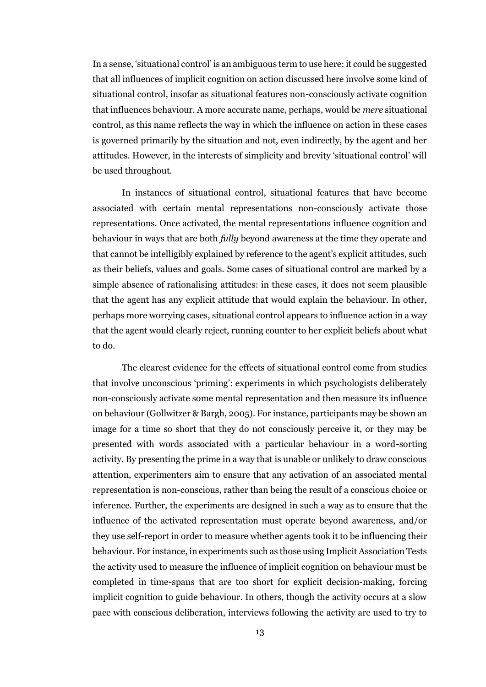In a sense, 'situational control' is an ambiguous term to use here: it could be suggested that all influences of implicit cognition on action discussed here involve some kind of situational control, insofar as situational features non-consciously activate cognition that influences behaviour. A more accurate name, perhaps, would be *mere* situational control, as this name reflects the way in which the influence on action in these cases is governed primarily by the situation and not, even indirectly, by the agent and her attitudes. However, in the interests of simplicity and brevity 'situational control' will be used throughout.

In instances of situational control, situational features that have become associated with certain mental representations non-consciously activate those representations. Once activated, the mental representations influence cognition and behaviour in ways that are both *fully* beyond awareness at the time they operate and that cannot be intelligibly explained by reference to the agent's explicit attitudes, such as their beliefs, values and goals. Some cases of situational control are marked by a simple absence of rationalising attitudes: in these cases, it does not seem plausible that the agent has any explicit attitude that would explain the behaviour. In other, perhaps more worrying cases, situational control appears to influence action in a way that the agent would clearly reject, running counter to her explicit beliefs about what to do.

The clearest evidence for the effects of situational control come from studies that involve unconscious 'priming': experiments in which psychologists deliberately non-consciously activate some mental representation and then measure its influence on behaviour (Gollwitzer & Bargh, 2005). For instance, participants may be shown an image for a time so short that they do not consciously perceive it, or they may be presented with words associated with a particular behaviour in a word-sorting activity. By presenting the prime in a way that is unable or unlikely to draw conscious attention, experimenters aim to ensure that any activation of an associated mental representation is non-conscious, rather than being the result of a conscious choice or inference. Further, the experiments are designed in such a way as to ensure that the influence of the activated representation must operate beyond awareness, and/or they use self-report in order to measure whether agents took it to be influencing their behaviour. For instance, in experiments such as those using Implicit Association Tests the activity used to measure the influence of implicit cognition on behaviour must be completed in time-spans that are too short for explicit decision-making, forcing implicit cognition to guide behaviour. In others, though the activity occurs at a slow pace with conscious deliberation, interviews following the activity are used to try to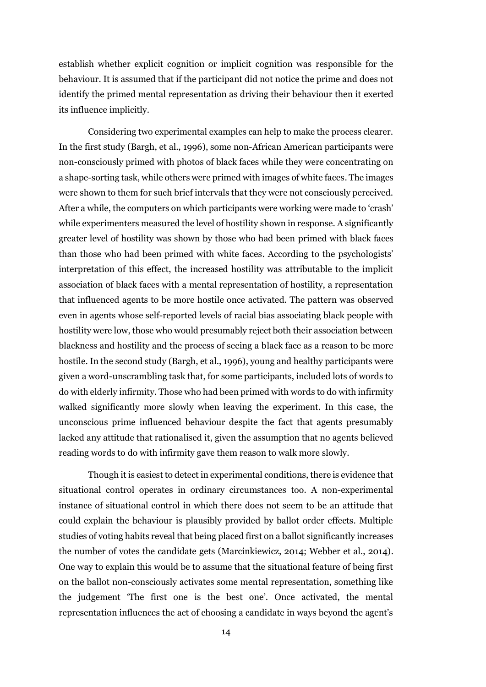establish whether explicit cognition or implicit cognition was responsible for the behaviour. It is assumed that if the participant did not notice the prime and does not identify the primed mental representation as driving their behaviour then it exerted its influence implicitly.

Considering two experimental examples can help to make the process clearer. In the first study (Bargh, et al., 1996), some non-African American participants were non-consciously primed with photos of black faces while they were concentrating on a shape-sorting task, while others were primed with images of white faces. The images were shown to them for such brief intervals that they were not consciously perceived. After a while, the computers on which participants were working were made to 'crash' while experimenters measured the level of hostility shown in response. A significantly greater level of hostility was shown by those who had been primed with black faces than those who had been primed with white faces. According to the psychologists' interpretation of this effect, the increased hostility was attributable to the implicit association of black faces with a mental representation of hostility, a representation that influenced agents to be more hostile once activated. The pattern was observed even in agents whose self-reported levels of racial bias associating black people with hostility were low, those who would presumably reject both their association between blackness and hostility and the process of seeing a black face as a reason to be more hostile. In the second study (Bargh, et al., 1996), young and healthy participants were given a word-unscrambling task that, for some participants, included lots of words to do with elderly infirmity. Those who had been primed with words to do with infirmity walked significantly more slowly when leaving the experiment. In this case, the unconscious prime influenced behaviour despite the fact that agents presumably lacked any attitude that rationalised it, given the assumption that no agents believed reading words to do with infirmity gave them reason to walk more slowly.

Though it is easiest to detect in experimental conditions, there is evidence that situational control operates in ordinary circumstances too. A non-experimental instance of situational control in which there does not seem to be an attitude that could explain the behaviour is plausibly provided by ballot order effects. Multiple studies of voting habits reveal that being placed first on a ballot significantly increases the number of votes the candidate gets (Marcinkiewicz, 2014; Webber et al., 2014). One way to explain this would be to assume that the situational feature of being first on the ballot non-consciously activates some mental representation, something like the judgement 'The first one is the best one'. Once activated, the mental representation influences the act of choosing a candidate in ways beyond the agent's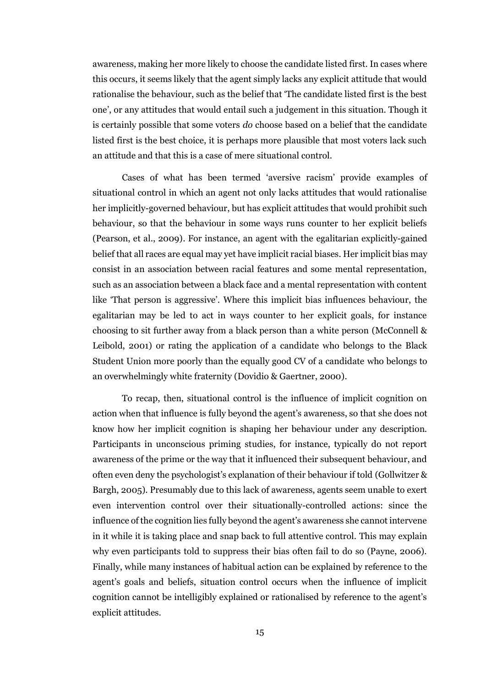awareness, making her more likely to choose the candidate listed first. In cases where this occurs, it seems likely that the agent simply lacks any explicit attitude that would rationalise the behaviour, such as the belief that 'The candidate listed first is the best one', or any attitudes that would entail such a judgement in this situation. Though it is certainly possible that some voters *do* choose based on a belief that the candidate listed first is the best choice, it is perhaps more plausible that most voters lack such an attitude and that this is a case of mere situational control.

Cases of what has been termed 'aversive racism' provide examples of situational control in which an agent not only lacks attitudes that would rationalise her implicitly-governed behaviour, but has explicit attitudes that would prohibit such behaviour, so that the behaviour in some ways runs counter to her explicit beliefs (Pearson, et al., 2009). For instance, an agent with the egalitarian explicitly-gained belief that all races are equal may yet have implicit racial biases. Her implicit bias may consist in an association between racial features and some mental representation, such as an association between a black face and a mental representation with content like 'That person is aggressive'. Where this implicit bias influences behaviour, the egalitarian may be led to act in ways counter to her explicit goals, for instance choosing to sit further away from a black person than a white person (McConnell & Leibold, 2001) or rating the application of a candidate who belongs to the Black Student Union more poorly than the equally good CV of a candidate who belongs to an overwhelmingly white fraternity (Dovidio & Gaertner, 2000).

To recap, then, situational control is the influence of implicit cognition on action when that influence is fully beyond the agent's awareness, so that she does not know how her implicit cognition is shaping her behaviour under any description. Participants in unconscious priming studies, for instance, typically do not report awareness of the prime or the way that it influenced their subsequent behaviour, and often even deny the psychologist's explanation of their behaviour if told (Gollwitzer & Bargh, 2005). Presumably due to this lack of awareness, agents seem unable to exert even intervention control over their situationally-controlled actions: since the influence of the cognition lies fully beyond the agent's awareness she cannot intervene in it while it is taking place and snap back to full attentive control. This may explain why even participants told to suppress their bias often fail to do so (Payne, 2006). Finally, while many instances of habitual action can be explained by reference to the agent's goals and beliefs, situation control occurs when the influence of implicit cognition cannot be intelligibly explained or rationalised by reference to the agent's explicit attitudes.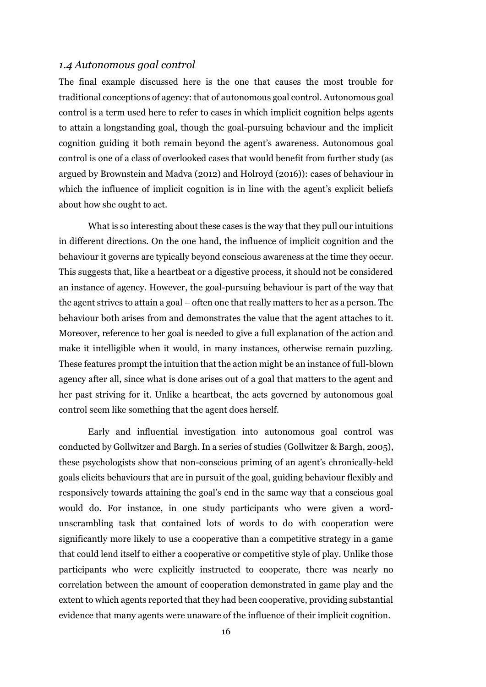#### <span id="page-15-0"></span>*1.4 Autonomous goal control*

The final example discussed here is the one that causes the most trouble for traditional conceptions of agency: that of autonomous goal control. Autonomous goal control is a term used here to refer to cases in which implicit cognition helps agents to attain a longstanding goal, though the goal-pursuing behaviour and the implicit cognition guiding it both remain beyond the agent's awareness. Autonomous goal control is one of a class of overlooked cases that would benefit from further study (as argued by Brownstein and Madva (2012) and Holroyd (2016)): cases of behaviour in which the influence of implicit cognition is in line with the agent's explicit beliefs about how she ought to act.

What is so interesting about these cases is the way that they pull our intuitions in different directions. On the one hand, the influence of implicit cognition and the behaviour it governs are typically beyond conscious awareness at the time they occur. This suggests that, like a heartbeat or a digestive process, it should not be considered an instance of agency. However, the goal-pursuing behaviour is part of the way that the agent strives to attain a goal – often one that really matters to her as a person. The behaviour both arises from and demonstrates the value that the agent attaches to it. Moreover, reference to her goal is needed to give a full explanation of the action and make it intelligible when it would, in many instances, otherwise remain puzzling. These features prompt the intuition that the action might be an instance of full-blown agency after all, since what is done arises out of a goal that matters to the agent and her past striving for it. Unlike a heartbeat, the acts governed by autonomous goal control seem like something that the agent does herself.

Early and influential investigation into autonomous goal control was conducted by Gollwitzer and Bargh. In a series of studies (Gollwitzer & Bargh, 2005), these psychologists show that non-conscious priming of an agent's chronically-held goals elicits behaviours that are in pursuit of the goal, guiding behaviour flexibly and responsively towards attaining the goal's end in the same way that a conscious goal would do. For instance, in one study participants who were given a wordunscrambling task that contained lots of words to do with cooperation were significantly more likely to use a cooperative than a competitive strategy in a game that could lend itself to either a cooperative or competitive style of play. Unlike those participants who were explicitly instructed to cooperate, there was nearly no correlation between the amount of cooperation demonstrated in game play and the extent to which agents reported that they had been cooperative, providing substantial evidence that many agents were unaware of the influence of their implicit cognition.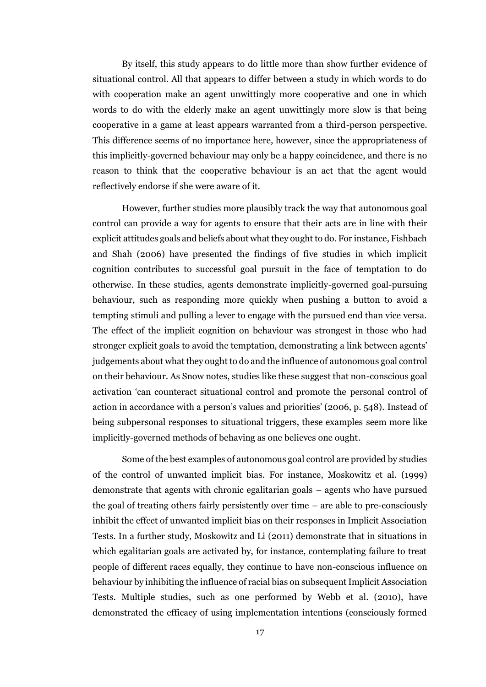By itself, this study appears to do little more than show further evidence of situational control. All that appears to differ between a study in which words to do with cooperation make an agent unwittingly more cooperative and one in which words to do with the elderly make an agent unwittingly more slow is that being cooperative in a game at least appears warranted from a third-person perspective. This difference seems of no importance here, however, since the appropriateness of this implicitly-governed behaviour may only be a happy coincidence, and there is no reason to think that the cooperative behaviour is an act that the agent would reflectively endorse if she were aware of it.

However, further studies more plausibly track the way that autonomous goal control can provide a way for agents to ensure that their acts are in line with their explicit attitudes goals and beliefs about what they ought to do. For instance, Fishbach and Shah (2006) have presented the findings of five studies in which implicit cognition contributes to successful goal pursuit in the face of temptation to do otherwise. In these studies, agents demonstrate implicitly-governed goal-pursuing behaviour, such as responding more quickly when pushing a button to avoid a tempting stimuli and pulling a lever to engage with the pursued end than vice versa. The effect of the implicit cognition on behaviour was strongest in those who had stronger explicit goals to avoid the temptation, demonstrating a link between agents' judgements about what they ought to do and the influence of autonomous goal control on their behaviour. As Snow notes, studies like these suggest that non-conscious goal activation 'can counteract situational control and promote the personal control of action in accordance with a person's values and priorities' (2006, p. 548). Instead of being subpersonal responses to situational triggers, these examples seem more like implicitly-governed methods of behaving as one believes one ought.

Some of the best examples of autonomous goal control are provided by studies of the control of unwanted implicit bias. For instance, Moskowitz et al. (1999) demonstrate that agents with chronic egalitarian goals – agents who have pursued the goal of treating others fairly persistently over time – are able to pre-consciously inhibit the effect of unwanted implicit bias on their responses in Implicit Association Tests. In a further study, Moskowitz and Li (2011) demonstrate that in situations in which egalitarian goals are activated by, for instance, contemplating failure to treat people of different races equally, they continue to have non-conscious influence on behaviour by inhibiting the influence of racial bias on subsequent Implicit Association Tests. Multiple studies, such as one performed by Webb et al. (2010), have demonstrated the efficacy of using implementation intentions (consciously formed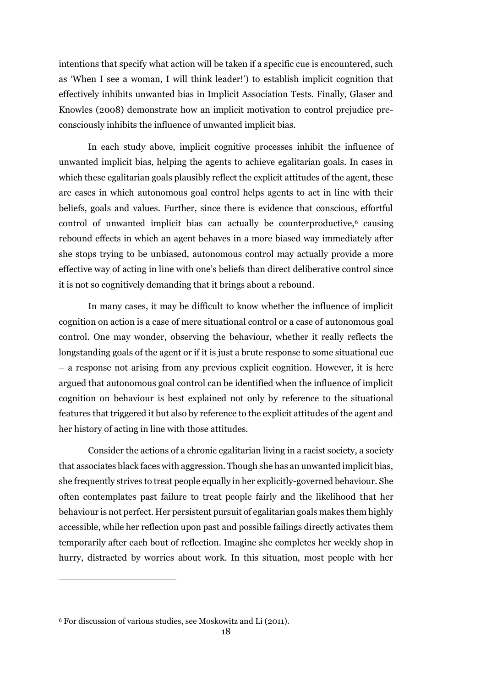intentions that specify what action will be taken if a specific cue is encountered, such as 'When I see a woman, I will think leader!') to establish implicit cognition that effectively inhibits unwanted bias in Implicit Association Tests. Finally, Glaser and Knowles (2008) demonstrate how an implicit motivation to control prejudice preconsciously inhibits the influence of unwanted implicit bias.

In each study above, implicit cognitive processes inhibit the influence of unwanted implicit bias, helping the agents to achieve egalitarian goals. In cases in which these egalitarian goals plausibly reflect the explicit attitudes of the agent, these are cases in which autonomous goal control helps agents to act in line with their beliefs, goals and values. Further, since there is evidence that conscious, effortful control of unwanted implicit bias can actually be counterproductive, $6$  causing rebound effects in which an agent behaves in a more biased way immediately after she stops trying to be unbiased, autonomous control may actually provide a more effective way of acting in line with one's beliefs than direct deliberative control since it is not so cognitively demanding that it brings about a rebound.

In many cases, it may be difficult to know whether the influence of implicit cognition on action is a case of mere situational control or a case of autonomous goal control. One may wonder, observing the behaviour, whether it really reflects the longstanding goals of the agent or if it is just a brute response to some situational cue – a response not arising from any previous explicit cognition. However, it is here argued that autonomous goal control can be identified when the influence of implicit cognition on behaviour is best explained not only by reference to the situational features that triggered it but also by reference to the explicit attitudes of the agent and her history of acting in line with those attitudes.

Consider the actions of a chronic egalitarian living in a racist society, a society that associates black faces with aggression. Though she has an unwanted implicit bias, she frequently strives to treat people equally in her explicitly-governed behaviour. She often contemplates past failure to treat people fairly and the likelihood that her behaviour is not perfect. Her persistent pursuit of egalitarian goals makes them highly accessible, while her reflection upon past and possible failings directly activates them temporarily after each bout of reflection. Imagine she completes her weekly shop in hurry, distracted by worries about work. In this situation, most people with her

<u>.</u>

<sup>6</sup> For discussion of various studies, see Moskowitz and Li (2011).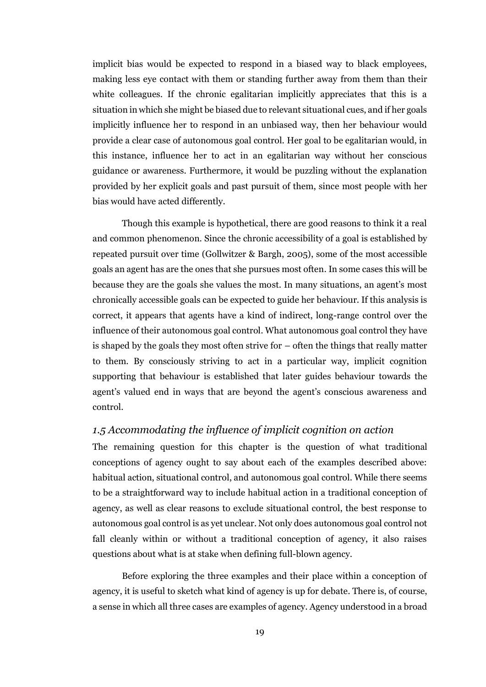implicit bias would be expected to respond in a biased way to black employees, making less eye contact with them or standing further away from them than their white colleagues. If the chronic egalitarian implicitly appreciates that this is a situation in which she might be biased due to relevant situational cues, and if her goals implicitly influence her to respond in an unbiased way, then her behaviour would provide a clear case of autonomous goal control. Her goal to be egalitarian would, in this instance, influence her to act in an egalitarian way without her conscious guidance or awareness. Furthermore, it would be puzzling without the explanation provided by her explicit goals and past pursuit of them, since most people with her bias would have acted differently.

Though this example is hypothetical, there are good reasons to think it a real and common phenomenon. Since the chronic accessibility of a goal is established by repeated pursuit over time (Gollwitzer & Bargh, 2005), some of the most accessible goals an agent has are the ones that she pursues most often. In some cases this will be because they are the goals she values the most. In many situations, an agent's most chronically accessible goals can be expected to guide her behaviour. If this analysis is correct, it appears that agents have a kind of indirect, long-range control over the influence of their autonomous goal control. What autonomous goal control they have is shaped by the goals they most often strive for – often the things that really matter to them. By consciously striving to act in a particular way, implicit cognition supporting that behaviour is established that later guides behaviour towards the agent's valued end in ways that are beyond the agent's conscious awareness and control.

## <span id="page-18-0"></span>*1.5 Accommodating the influence of implicit cognition on action*

The remaining question for this chapter is the question of what traditional conceptions of agency ought to say about each of the examples described above: habitual action, situational control, and autonomous goal control. While there seems to be a straightforward way to include habitual action in a traditional conception of agency, as well as clear reasons to exclude situational control, the best response to autonomous goal control is as yet unclear. Not only does autonomous goal control not fall cleanly within or without a traditional conception of agency, it also raises questions about what is at stake when defining full-blown agency.

Before exploring the three examples and their place within a conception of agency, it is useful to sketch what kind of agency is up for debate. There is, of course, a sense in which all three cases are examples of agency. Agency understood in a broad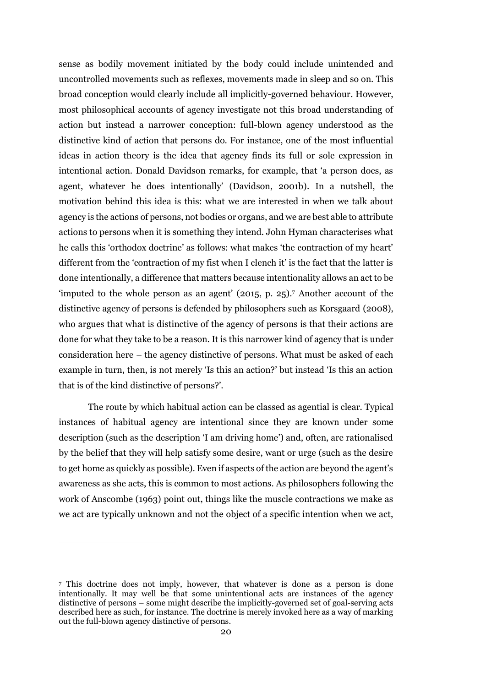sense as bodily movement initiated by the body could include unintended and uncontrolled movements such as reflexes, movements made in sleep and so on. This broad conception would clearly include all implicitly-governed behaviour. However, most philosophical accounts of agency investigate not this broad understanding of action but instead a narrower conception: full-blown agency understood as the distinctive kind of action that persons do. For instance, one of the most influential ideas in action theory is the idea that agency finds its full or sole expression in intentional action. Donald Davidson remarks, for example, that 'a person does, as agent, whatever he does intentionally' (Davidson, 2001b). In a nutshell, the motivation behind this idea is this: what we are interested in when we talk about agency is the actions of persons, not bodies or organs, and we are best able to attribute actions to persons when it is something they intend. John Hyman characterises what he calls this 'orthodox doctrine' as follows: what makes 'the contraction of my heart' different from the 'contraction of my fist when I clench it' is the fact that the latter is done intentionally, a difference that matters because intentionality allows an act to be 'imputed to the whole person as an agent' (2015, p. 25). <sup>7</sup> Another account of the distinctive agency of persons is defended by philosophers such as Korsgaard (2008), who argues that what is distinctive of the agency of persons is that their actions are done for what they take to be a reason. It is this narrower kind of agency that is under consideration here – the agency distinctive of persons. What must be asked of each example in turn, then, is not merely 'Is this an action?' but instead 'Is this an action that is of the kind distinctive of persons?'.

The route by which habitual action can be classed as agential is clear. Typical instances of habitual agency are intentional since they are known under some description (such as the description 'I am driving home') and, often, are rationalised by the belief that they will help satisfy some desire, want or urge (such as the desire to get home as quickly as possible). Even if aspects of the action are beyond the agent's awareness as she acts, this is common to most actions. As philosophers following the work of Anscombe (1963) point out, things like the muscle contractions we make as we act are typically unknown and not the object of a specific intention when we act,

**.** 

<sup>7</sup> This doctrine does not imply, however, that whatever is done as a person is done intentionally. It may well be that some unintentional acts are instances of the agency distinctive of persons – some might describe the implicitly-governed set of goal-serving acts described here as such, for instance. The doctrine is merely invoked here as a way of marking out the full-blown agency distinctive of persons.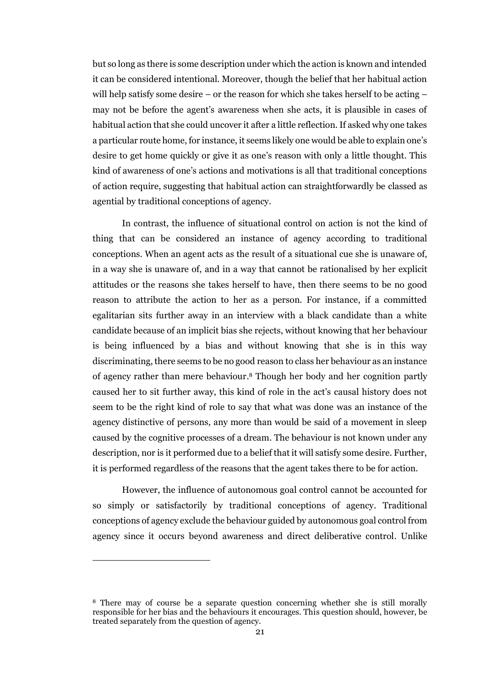but so long as there is some description under which the action is known and intended it can be considered intentional. Moreover, though the belief that her habitual action will help satisfy some desire – or the reason for which she takes herself to be acting – may not be before the agent's awareness when she acts, it is plausible in cases of habitual action that she could uncover it after a little reflection. If asked why one takes a particular route home, for instance, it seems likely one would be able to explain one's desire to get home quickly or give it as one's reason with only a little thought. This kind of awareness of one's actions and motivations is all that traditional conceptions of action require, suggesting that habitual action can straightforwardly be classed as agential by traditional conceptions of agency.

In contrast, the influence of situational control on action is not the kind of thing that can be considered an instance of agency according to traditional conceptions. When an agent acts as the result of a situational cue she is unaware of, in a way she is unaware of, and in a way that cannot be rationalised by her explicit attitudes or the reasons she takes herself to have, then there seems to be no good reason to attribute the action to her as a person. For instance, if a committed egalitarian sits further away in an interview with a black candidate than a white candidate because of an implicit bias she rejects, without knowing that her behaviour is being influenced by a bias and without knowing that she is in this way discriminating, there seems to be no good reason to class her behaviour as an instance of agency rather than mere behaviour. <sup>8</sup> Though her body and her cognition partly caused her to sit further away, this kind of role in the act's causal history does not seem to be the right kind of role to say that what was done was an instance of the agency distinctive of persons, any more than would be said of a movement in sleep caused by the cognitive processes of a dream. The behaviour is not known under any description, nor is it performed due to a belief that it will satisfy some desire. Further, it is performed regardless of the reasons that the agent takes there to be for action.

However, the influence of autonomous goal control cannot be accounted for so simply or satisfactorily by traditional conceptions of agency. Traditional conceptions of agency exclude the behaviour guided by autonomous goal control from agency since it occurs beyond awareness and direct deliberative control. Unlike

 $\overline{a}$ 

<sup>8</sup> There may of course be a separate question concerning whether she is still morally responsible for her bias and the behaviours it encourages. This question should, however, be treated separately from the question of agency.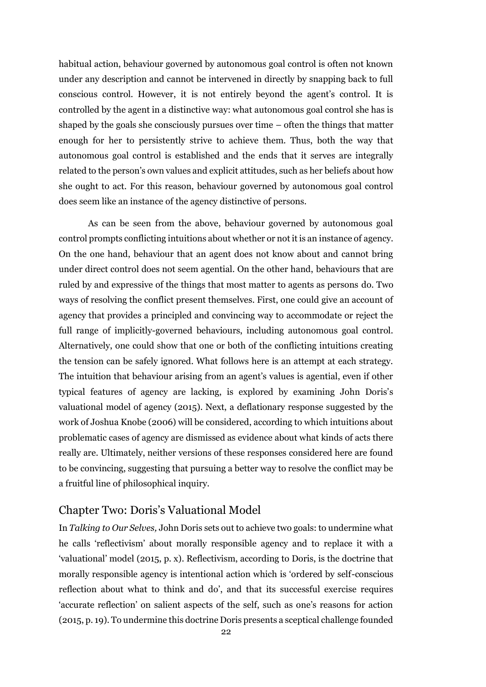habitual action, behaviour governed by autonomous goal control is often not known under any description and cannot be intervened in directly by snapping back to full conscious control. However, it is not entirely beyond the agent's control. It is controlled by the agent in a distinctive way: what autonomous goal control she has is shaped by the goals she consciously pursues over time – often the things that matter enough for her to persistently strive to achieve them. Thus, both the way that autonomous goal control is established and the ends that it serves are integrally related to the person's own values and explicit attitudes, such as her beliefs about how she ought to act. For this reason, behaviour governed by autonomous goal control does seem like an instance of the agency distinctive of persons.

As can be seen from the above, behaviour governed by autonomous goal control prompts conflicting intuitions about whether or not it is an instance of agency. On the one hand, behaviour that an agent does not know about and cannot bring under direct control does not seem agential. On the other hand, behaviours that are ruled by and expressive of the things that most matter to agents as persons do. Two ways of resolving the conflict present themselves. First, one could give an account of agency that provides a principled and convincing way to accommodate or reject the full range of implicitly-governed behaviours, including autonomous goal control. Alternatively, one could show that one or both of the conflicting intuitions creating the tension can be safely ignored. What follows here is an attempt at each strategy. The intuition that behaviour arising from an agent's values is agential, even if other typical features of agency are lacking, is explored by examining John Doris's valuational model of agency (2015). Next, a deflationary response suggested by the work of Joshua Knobe (2006) will be considered, according to which intuitions about problematic cases of agency are dismissed as evidence about what kinds of acts there really are. Ultimately, neither versions of these responses considered here are found to be convincing, suggesting that pursuing a better way to resolve the conflict may be a fruitful line of philosophical inquiry.

## <span id="page-21-0"></span>Chapter Two: Doris's Valuational Model

In *Talking to Our Selves,* John Doris sets out to achieve two goals: to undermine what he calls 'reflectivism' about morally responsible agency and to replace it with a 'valuational' model (2015, p. x). Reflectivism, according to Doris, is the doctrine that morally responsible agency is intentional action which is 'ordered by self-conscious reflection about what to think and do', and that its successful exercise requires 'accurate reflection' on salient aspects of the self, such as one's reasons for action (2015, p. 19). To undermine this doctrine Doris presents a sceptical challenge founded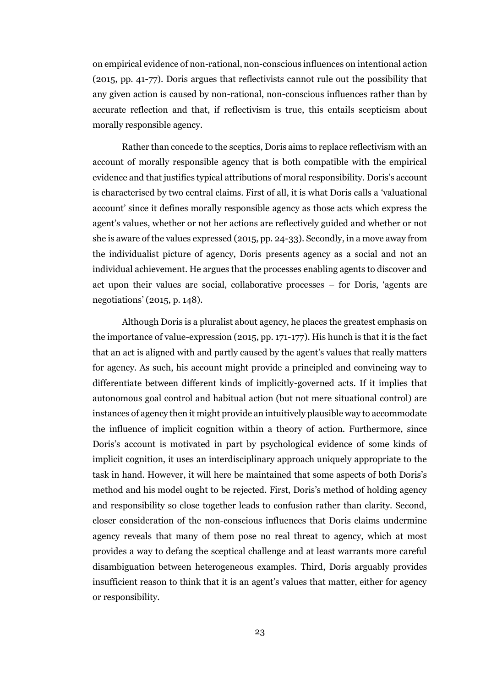on empirical evidence of non-rational, non-conscious influences on intentional action (2015, pp. 41-77). Doris argues that reflectivists cannot rule out the possibility that any given action is caused by non-rational, non-conscious influences rather than by accurate reflection and that, if reflectivism is true, this entails scepticism about morally responsible agency.

Rather than concede to the sceptics, Doris aims to replace reflectivism with an account of morally responsible agency that is both compatible with the empirical evidence and that justifies typical attributions of moral responsibility. Doris's account is characterised by two central claims. First of all, it is what Doris calls a 'valuational account' since it defines morally responsible agency as those acts which express the agent's values, whether or not her actions are reflectively guided and whether or not she is aware of the values expressed (2015, pp. 24-33). Secondly, in a move away from the individualist picture of agency, Doris presents agency as a social and not an individual achievement. He argues that the processes enabling agents to discover and act upon their values are social, collaborative processes – for Doris, 'agents are negotiations' (2015, p. 148).

Although Doris is a pluralist about agency, he places the greatest emphasis on the importance of value-expression (2015, pp. 171-177). His hunch is that it is the fact that an act is aligned with and partly caused by the agent's values that really matters for agency. As such, his account might provide a principled and convincing way to differentiate between different kinds of implicitly-governed acts. If it implies that autonomous goal control and habitual action (but not mere situational control) are instances of agency then it might provide an intuitively plausible way to accommodate the influence of implicit cognition within a theory of action. Furthermore, since Doris's account is motivated in part by psychological evidence of some kinds of implicit cognition, it uses an interdisciplinary approach uniquely appropriate to the task in hand. However, it will here be maintained that some aspects of both Doris's method and his model ought to be rejected. First, Doris's method of holding agency and responsibility so close together leads to confusion rather than clarity. Second, closer consideration of the non-conscious influences that Doris claims undermine agency reveals that many of them pose no real threat to agency, which at most provides a way to defang the sceptical challenge and at least warrants more careful disambiguation between heterogeneous examples. Third, Doris arguably provides insufficient reason to think that it is an agent's values that matter, either for agency or responsibility.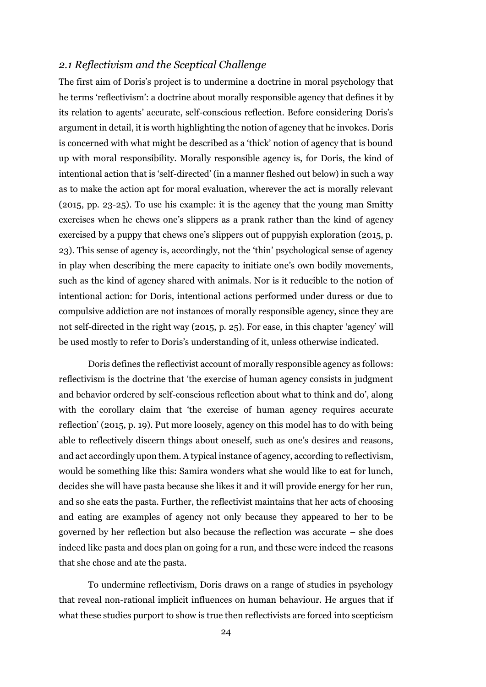### <span id="page-23-0"></span>*2.1 Reflectivism and the Sceptical Challenge*

The first aim of Doris's project is to undermine a doctrine in moral psychology that he terms 'reflectivism': a doctrine about morally responsible agency that defines it by its relation to agents' accurate, self-conscious reflection. Before considering Doris's argument in detail, it is worth highlighting the notion of agency that he invokes. Doris is concerned with what might be described as a 'thick' notion of agency that is bound up with moral responsibility. Morally responsible agency is, for Doris, the kind of intentional action that is 'self-directed' (in a manner fleshed out below) in such a way as to make the action apt for moral evaluation, wherever the act is morally relevant (2015, pp. 23-25). To use his example: it is the agency that the young man Smitty exercises when he chews one's slippers as a prank rather than the kind of agency exercised by a puppy that chews one's slippers out of puppyish exploration (2015, p. 23). This sense of agency is, accordingly, not the 'thin' psychological sense of agency in play when describing the mere capacity to initiate one's own bodily movements, such as the kind of agency shared with animals. Nor is it reducible to the notion of intentional action: for Doris, intentional actions performed under duress or due to compulsive addiction are not instances of morally responsible agency, since they are not self-directed in the right way (2015, p. 25). For ease, in this chapter 'agency' will be used mostly to refer to Doris's understanding of it, unless otherwise indicated.

Doris defines the reflectivist account of morally responsible agency as follows: reflectivism is the doctrine that 'the exercise of human agency consists in judgment and behavior ordered by self-conscious reflection about what to think and do', along with the corollary claim that 'the exercise of human agency requires accurate reflection' (2015, p. 19). Put more loosely, agency on this model has to do with being able to reflectively discern things about oneself, such as one's desires and reasons, and act accordingly upon them. A typical instance of agency, according to reflectivism, would be something like this: Samira wonders what she would like to eat for lunch, decides she will have pasta because she likes it and it will provide energy for her run, and so she eats the pasta. Further, the reflectivist maintains that her acts of choosing and eating are examples of agency not only because they appeared to her to be governed by her reflection but also because the reflection was accurate – she does indeed like pasta and does plan on going for a run, and these were indeed the reasons that she chose and ate the pasta.

To undermine reflectivism, Doris draws on a range of studies in psychology that reveal non-rational implicit influences on human behaviour. He argues that if what these studies purport to show is true then reflectivists are forced into scepticism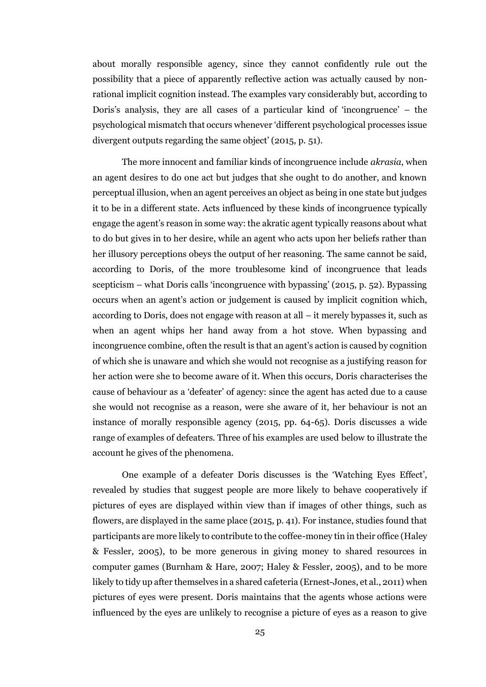about morally responsible agency, since they cannot confidently rule out the possibility that a piece of apparently reflective action was actually caused by nonrational implicit cognition instead. The examples vary considerably but, according to Doris's analysis, they are all cases of a particular kind of 'incongruence' – the psychological mismatch that occurs whenever 'different psychological processes issue divergent outputs regarding the same object' (2015, p. 51).

The more innocent and familiar kinds of incongruence include *akrasia*, when an agent desires to do one act but judges that she ought to do another, and known perceptual illusion, when an agent perceives an object as being in one state but judges it to be in a different state. Acts influenced by these kinds of incongruence typically engage the agent's reason in some way: the akratic agent typically reasons about what to do but gives in to her desire, while an agent who acts upon her beliefs rather than her illusory perceptions obeys the output of her reasoning. The same cannot be said, according to Doris, of the more troublesome kind of incongruence that leads scepticism – what Doris calls 'incongruence with bypassing' (2015, p. 52). Bypassing occurs when an agent's action or judgement is caused by implicit cognition which, according to Doris, does not engage with reason at all – it merely bypasses it, such as when an agent whips her hand away from a hot stove. When bypassing and incongruence combine, often the result is that an agent's action is caused by cognition of which she is unaware and which she would not recognise as a justifying reason for her action were she to become aware of it. When this occurs, Doris characterises the cause of behaviour as a 'defeater' of agency: since the agent has acted due to a cause she would not recognise as a reason, were she aware of it, her behaviour is not an instance of morally responsible agency (2015, pp. 64-65). Doris discusses a wide range of examples of defeaters. Three of his examples are used below to illustrate the account he gives of the phenomena.

One example of a defeater Doris discusses is the 'Watching Eyes Effect', revealed by studies that suggest people are more likely to behave cooperatively if pictures of eyes are displayed within view than if images of other things, such as flowers, are displayed in the same place (2015, p. 41). For instance, studies found that participants are more likely to contribute to the coffee-money tin in their office (Haley & Fessler, 2005), to be more generous in giving money to shared resources in computer games (Burnham & Hare, 2007; Haley & Fessler, 2005), and to be more likely to tidy up after themselves in a shared cafeteria (Ernest-Jones, et al., 2011) when pictures of eyes were present. Doris maintains that the agents whose actions were influenced by the eyes are unlikely to recognise a picture of eyes as a reason to give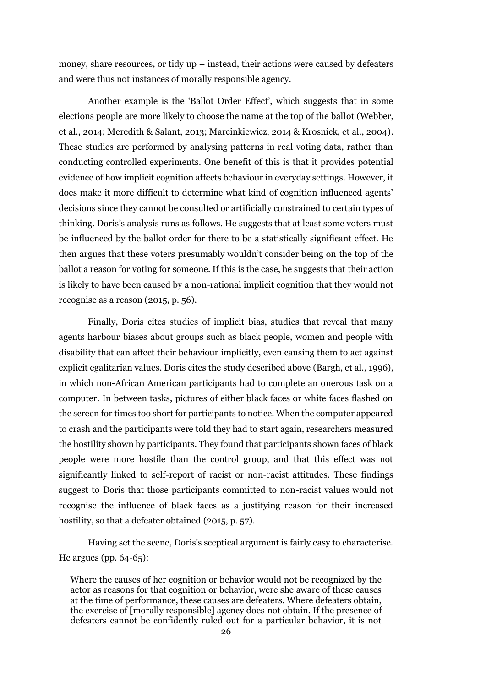money, share resources, or tidy up – instead, their actions were caused by defeaters and were thus not instances of morally responsible agency.

Another example is the 'Ballot Order Effect', which suggests that in some elections people are more likely to choose the name at the top of the ballot (Webber, et al., 2014; Meredith & Salant, 2013; Marcinkiewicz, 2014 & Krosnick, et al., 2004). These studies are performed by analysing patterns in real voting data, rather than conducting controlled experiments. One benefit of this is that it provides potential evidence of how implicit cognition affects behaviour in everyday settings. However, it does make it more difficult to determine what kind of cognition influenced agents' decisions since they cannot be consulted or artificially constrained to certain types of thinking. Doris's analysis runs as follows. He suggests that at least some voters must be influenced by the ballot order for there to be a statistically significant effect. He then argues that these voters presumably wouldn't consider being on the top of the ballot a reason for voting for someone. If this is the case, he suggests that their action is likely to have been caused by a non-rational implicit cognition that they would not recognise as a reason (2015, p. 56).

Finally, Doris cites studies of implicit bias, studies that reveal that many agents harbour biases about groups such as black people, women and people with disability that can affect their behaviour implicitly, even causing them to act against explicit egalitarian values. Doris cites the study described above (Bargh, et al., 1996), in which non-African American participants had to complete an onerous task on a computer. In between tasks, pictures of either black faces or white faces flashed on the screen for times too short for participants to notice. When the computer appeared to crash and the participants were told they had to start again, researchers measured the hostility shown by participants. They found that participants shown faces of black people were more hostile than the control group, and that this effect was not significantly linked to self-report of racist or non-racist attitudes. These findings suggest to Doris that those participants committed to non-racist values would not recognise the influence of black faces as a justifying reason for their increased hostility, so that a defeater obtained (2015, p. 57).

Having set the scene, Doris's sceptical argument is fairly easy to characterise. He argues (pp. 64-65):

Where the causes of her cognition or behavior would not be recognized by the actor as reasons for that cognition or behavior, were she aware of these causes at the time of performance, these causes are defeaters. Where defeaters obtain, the exercise of [morally responsible] agency does not obtain. If the presence of defeaters cannot be confidently ruled out for a particular behavior, it is not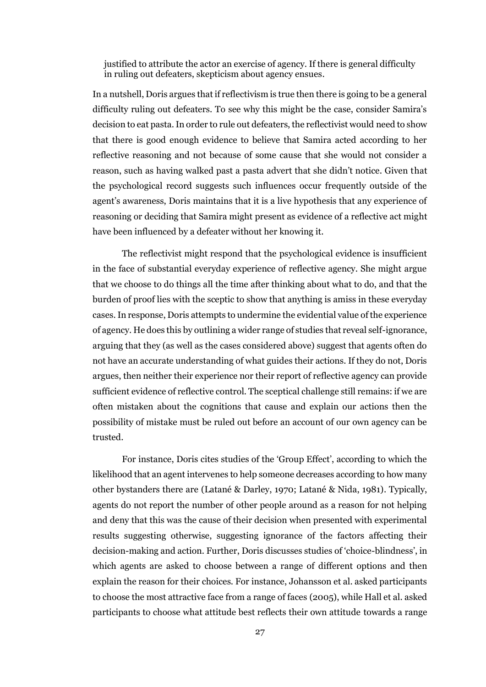justified to attribute the actor an exercise of agency. If there is general difficulty in ruling out defeaters, skepticism about agency ensues.

In a nutshell, Doris argues that if reflectivism is true then there is going to be a general difficulty ruling out defeaters. To see why this might be the case, consider Samira's decision to eat pasta. In order to rule out defeaters, the reflectivist would need to show that there is good enough evidence to believe that Samira acted according to her reflective reasoning and not because of some cause that she would not consider a reason, such as having walked past a pasta advert that she didn't notice. Given that the psychological record suggests such influences occur frequently outside of the agent's awareness, Doris maintains that it is a live hypothesis that any experience of reasoning or deciding that Samira might present as evidence of a reflective act might have been influenced by a defeater without her knowing it.

The reflectivist might respond that the psychological evidence is insufficient in the face of substantial everyday experience of reflective agency. She might argue that we choose to do things all the time after thinking about what to do, and that the burden of proof lies with the sceptic to show that anything is amiss in these everyday cases. In response, Doris attempts to undermine the evidential value of the experience of agency. He does this by outlining a wider range of studies that reveal self-ignorance, arguing that they (as well as the cases considered above) suggest that agents often do not have an accurate understanding of what guides their actions. If they do not, Doris argues, then neither their experience nor their report of reflective agency can provide sufficient evidence of reflective control. The sceptical challenge still remains: if we are often mistaken about the cognitions that cause and explain our actions then the possibility of mistake must be ruled out before an account of our own agency can be trusted.

For instance, Doris cites studies of the 'Group Effect', according to which the likelihood that an agent intervenes to help someone decreases according to how many other bystanders there are (Latané & Darley, 1970; Latané & Nida, 1981). Typically, agents do not report the number of other people around as a reason for not helping and deny that this was the cause of their decision when presented with experimental results suggesting otherwise, suggesting ignorance of the factors affecting their decision-making and action. Further, Doris discusses studies of 'choice-blindness', in which agents are asked to choose between a range of different options and then explain the reason for their choices. For instance, Johansson et al. asked participants to choose the most attractive face from a range of faces (2005), while Hall et al. asked participants to choose what attitude best reflects their own attitude towards a range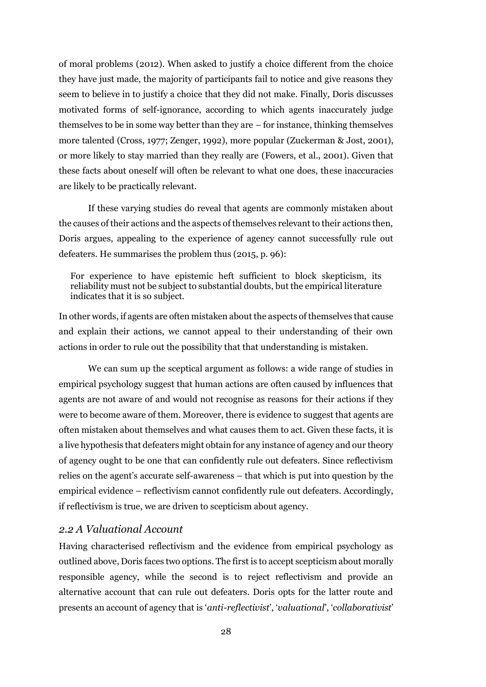of moral problems (2012). When asked to justify a choice different from the choice they have just made, the majority of participants fail to notice and give reasons they seem to believe in to justify a choice that they did not make. Finally, Doris discusses motivated forms of self-ignorance, according to which agents inaccurately judge themselves to be in some way better than they are – for instance, thinking themselves more talented (Cross, 1977; Zenger, 1992), more popular (Zuckerman & Jost, 2001), or more likely to stay married than they really are (Fowers, et al., 2001). Given that these facts about oneself will often be relevant to what one does, these inaccuracies are likely to be practically relevant.

If these varying studies do reveal that agents are commonly mistaken about the causes of their actions and the aspects of themselves relevant to their actions then, Doris argues, appealing to the experience of agency cannot successfully rule out defeaters. He summarises the problem thus (2015, p. 96):

For experience to have epistemic heft sufficient to block skepticism, its reliability must not be subject to substantial doubts, but the empirical literature indicates that it is so subject.

In other words, if agents are often mistaken about the aspects of themselves that cause and explain their actions, we cannot appeal to their understanding of their own actions in order to rule out the possibility that that understanding is mistaken.

We can sum up the sceptical argument as follows: a wide range of studies in empirical psychology suggest that human actions are often caused by influences that agents are not aware of and would not recognise as reasons for their actions if they were to become aware of them. Moreover, there is evidence to suggest that agents are often mistaken about themselves and what causes them to act. Given these facts, it is a live hypothesis that defeaters might obtain for any instance of agency and our theory of agency ought to be one that can confidently rule out defeaters. Since reflectivism relies on the agent's accurate self-awareness – that which is put into question by the empirical evidence – reflectivism cannot confidently rule out defeaters. Accordingly, if reflectivism is true, we are driven to scepticism about agency.

#### <span id="page-27-0"></span>*2.2 A Valuational Account*

Having characterised reflectivism and the evidence from empirical psychology as outlined above, Doris faces two options. The first is to accept scepticism about morally responsible agency, while the second is to reject reflectivism and provide an alternative account that can rule out defeaters. Doris opts for the latter route and presents an account of agency that is '*anti-reflectivist*', '*valuational*', '*collaborativist*'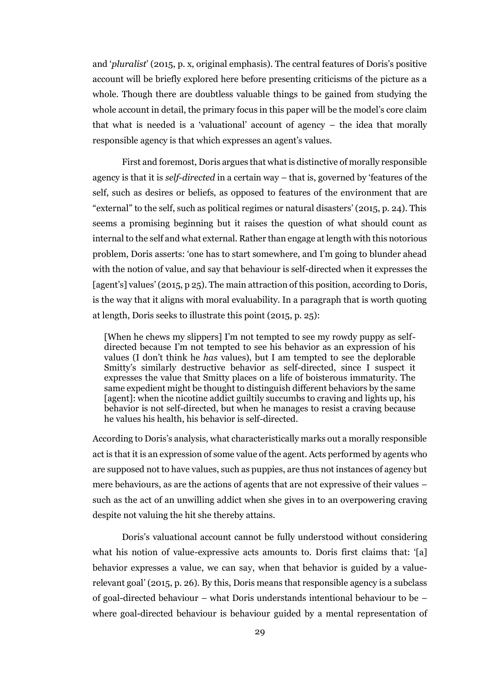and '*pluralist*' (2015, p. x, original emphasis). The central features of Doris's positive account will be briefly explored here before presenting criticisms of the picture as a whole. Though there are doubtless valuable things to be gained from studying the whole account in detail, the primary focus in this paper will be the model's core claim that what is needed is a 'valuational' account of agency – the idea that morally responsible agency is that which expresses an agent's values.

First and foremost, Doris argues that what is distinctive of morally responsible agency is that it is *self-directed* in a certain way – that is, governed by 'features of the self, such as desires or beliefs, as opposed to features of the environment that are "external" to the self, such as political regimes or natural disasters' (2015, p. 24). This seems a promising beginning but it raises the question of what should count as internal to the self and what external. Rather than engage at length with this notorious problem, Doris asserts: 'one has to start somewhere, and I'm going to blunder ahead with the notion of value, and say that behaviour is self-directed when it expresses the [agent's] values' (2015, p 25). The main attraction of this position, according to Doris, is the way that it aligns with moral evaluability. In a paragraph that is worth quoting at length, Doris seeks to illustrate this point (2015, p. 25):

[When he chews my slippers] I'm not tempted to see my rowdy puppy as selfdirected because I'm not tempted to see his behavior as an expression of his values (I don't think he *has* values), but I am tempted to see the deplorable Smitty's similarly destructive behavior as self-directed, since I suspect it expresses the value that Smitty places on a life of boisterous immaturity. The same expedient might be thought to distinguish different behaviors by the same [agent]: when the nicotine addict guiltily succumbs to craving and lights up, his behavior is not self-directed, but when he manages to resist a craving because he values his health, his behavior is self-directed.

According to Doris's analysis, what characteristically marks out a morally responsible act is that it is an expression of some value of the agent. Acts performed by agents who are supposed not to have values, such as puppies, are thus not instances of agency but mere behaviours, as are the actions of agents that are not expressive of their values – such as the act of an unwilling addict when she gives in to an overpowering craving despite not valuing the hit she thereby attains.

Doris's valuational account cannot be fully understood without considering what his notion of value-expressive acts amounts to. Doris first claims that: '[a] behavior expresses a value, we can say, when that behavior is guided by a valuerelevant goal' (2015, p. 26). By this, Doris means that responsible agency is a subclass of goal-directed behaviour – what Doris understands intentional behaviour to be – where goal-directed behaviour is behaviour guided by a mental representation of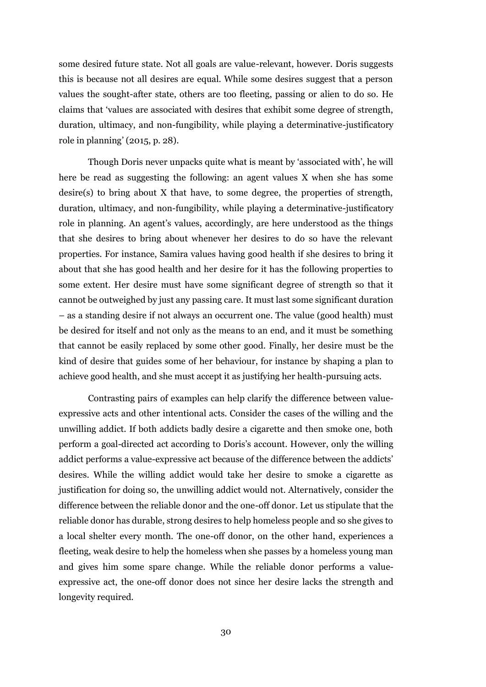some desired future state. Not all goals are value-relevant, however. Doris suggests this is because not all desires are equal. While some desires suggest that a person values the sought-after state, others are too fleeting, passing or alien to do so. He claims that 'values are associated with desires that exhibit some degree of strength, duration, ultimacy, and non-fungibility, while playing a determinative-justificatory role in planning' (2015, p. 28).

Though Doris never unpacks quite what is meant by 'associated with', he will here be read as suggesting the following: an agent values X when she has some desire(s) to bring about X that have, to some degree, the properties of strength, duration, ultimacy, and non-fungibility, while playing a determinative-justificatory role in planning. An agent's values, accordingly, are here understood as the things that she desires to bring about whenever her desires to do so have the relevant properties. For instance, Samira values having good health if she desires to bring it about that she has good health and her desire for it has the following properties to some extent. Her desire must have some significant degree of strength so that it cannot be outweighed by just any passing care. It must last some significant duration – as a standing desire if not always an occurrent one. The value (good health) must be desired for itself and not only as the means to an end, and it must be something that cannot be easily replaced by some other good. Finally, her desire must be the kind of desire that guides some of her behaviour, for instance by shaping a plan to achieve good health, and she must accept it as justifying her health-pursuing acts.

Contrasting pairs of examples can help clarify the difference between valueexpressive acts and other intentional acts. Consider the cases of the willing and the unwilling addict. If both addicts badly desire a cigarette and then smoke one, both perform a goal-directed act according to Doris's account. However, only the willing addict performs a value-expressive act because of the difference between the addicts' desires. While the willing addict would take her desire to smoke a cigarette as justification for doing so, the unwilling addict would not. Alternatively, consider the difference between the reliable donor and the one-off donor. Let us stipulate that the reliable donor has durable, strong desires to help homeless people and so she gives to a local shelter every month. The one-off donor, on the other hand, experiences a fleeting, weak desire to help the homeless when she passes by a homeless young man and gives him some spare change. While the reliable donor performs a valueexpressive act, the one-off donor does not since her desire lacks the strength and longevity required.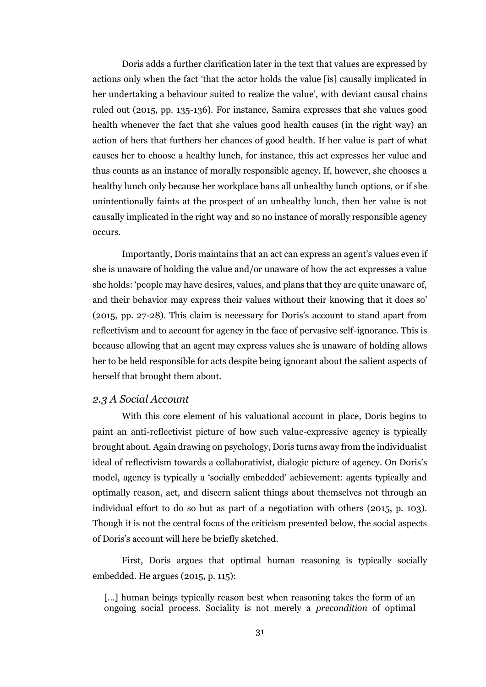Doris adds a further clarification later in the text that values are expressed by actions only when the fact 'that the actor holds the value [is] causally implicated in her undertaking a behaviour suited to realize the value', with deviant causal chains ruled out (2015, pp. 135-136). For instance, Samira expresses that she values good health whenever the fact that she values good health causes (in the right way) an action of hers that furthers her chances of good health. If her value is part of what causes her to choose a healthy lunch, for instance, this act expresses her value and thus counts as an instance of morally responsible agency. If, however, she chooses a healthy lunch only because her workplace bans all unhealthy lunch options, or if she unintentionally faints at the prospect of an unhealthy lunch, then her value is not causally implicated in the right way and so no instance of morally responsible agency occurs.

Importantly, Doris maintains that an act can express an agent's values even if she is unaware of holding the value and/or unaware of how the act expresses a value she holds: 'people may have desires, values, and plans that they are quite unaware of, and their behavior may express their values without their knowing that it does so' (2015, pp. 27-28). This claim is necessary for Doris's account to stand apart from reflectivism and to account for agency in the face of pervasive self-ignorance. This is because allowing that an agent may express values she is unaware of holding allows her to be held responsible for acts despite being ignorant about the salient aspects of herself that brought them about.

#### <span id="page-30-0"></span>*2.3 A Social Account*

With this core element of his valuational account in place, Doris begins to paint an anti-reflectivist picture of how such value-expressive agency is typically brought about. Again drawing on psychology, Doris turns away from the individualist ideal of reflectivism towards a collaborativist, dialogic picture of agency. On Doris's model, agency is typically a 'socially embedded' achievement: agents typically and optimally reason, act, and discern salient things about themselves not through an individual effort to do so but as part of a negotiation with others (2015, p. 103). Though it is not the central focus of the criticism presented below, the social aspects of Doris's account will here be briefly sketched.

First, Doris argues that optimal human reasoning is typically socially embedded. He argues (2015, p. 115):

[...] human beings typically reason best when reasoning takes the form of an ongoing social process. Sociality is not merely a *precondition* of optimal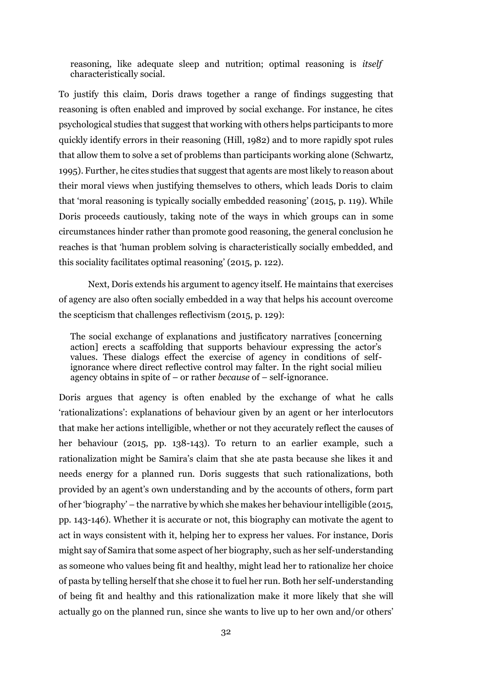reasoning, like adequate sleep and nutrition; optimal reasoning is *itself* characteristically social.

To justify this claim, Doris draws together a range of findings suggesting that reasoning is often enabled and improved by social exchange. For instance, he cites psychological studies that suggest that working with others helps participants to more quickly identify errors in their reasoning (Hill, 1982) and to more rapidly spot rules that allow them to solve a set of problems than participants working alone (Schwartz, 1995). Further, he cites studies that suggest that agents are most likely to reason about their moral views when justifying themselves to others, which leads Doris to claim that 'moral reasoning is typically socially embedded reasoning' (2015, p. 119). While Doris proceeds cautiously, taking note of the ways in which groups can in some circumstances hinder rather than promote good reasoning, the general conclusion he reaches is that 'human problem solving is characteristically socially embedded, and this sociality facilitates optimal reasoning' (2015, p. 122).

Next, Doris extends his argument to agency itself. He maintains that exercises of agency are also often socially embedded in a way that helps his account overcome the scepticism that challenges reflectivism (2015, p. 129):

The social exchange of explanations and justificatory narratives [concerning action] erects a scaffolding that supports behaviour expressing the actor's values. These dialogs effect the exercise of agency in conditions of selfignorance where direct reflective control may falter. In the right social milieu agency obtains in spite of – or rather *because* of – self-ignorance.

Doris argues that agency is often enabled by the exchange of what he calls 'rationalizations': explanations of behaviour given by an agent or her interlocutors that make her actions intelligible, whether or not they accurately reflect the causes of her behaviour (2015, pp. 138-143). To return to an earlier example, such a rationalization might be Samira's claim that she ate pasta because she likes it and needs energy for a planned run. Doris suggests that such rationalizations, both provided by an agent's own understanding and by the accounts of others, form part of her 'biography' – the narrative by which she makes her behaviour intelligible (2015, pp. 143-146). Whether it is accurate or not, this biography can motivate the agent to act in ways consistent with it, helping her to express her values. For instance, Doris might say of Samira that some aspect of her biography, such as her self-understanding as someone who values being fit and healthy, might lead her to rationalize her choice of pasta by telling herself that she chose it to fuel her run. Both her self-understanding of being fit and healthy and this rationalization make it more likely that she will actually go on the planned run, since she wants to live up to her own and/or others'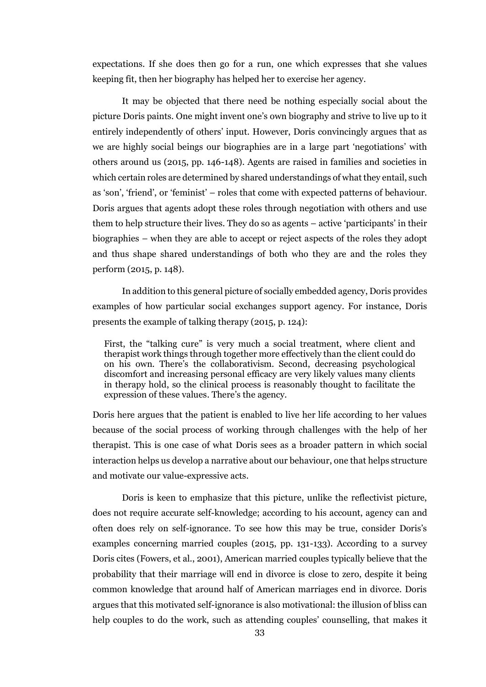expectations. If she does then go for a run, one which expresses that she values keeping fit, then her biography has helped her to exercise her agency.

It may be objected that there need be nothing especially social about the picture Doris paints. One might invent one's own biography and strive to live up to it entirely independently of others' input. However, Doris convincingly argues that as we are highly social beings our biographies are in a large part 'negotiations' with others around us (2015, pp. 146-148). Agents are raised in families and societies in which certain roles are determined by shared understandings of what they entail, such as 'son', 'friend', or 'feminist' – roles that come with expected patterns of behaviour. Doris argues that agents adopt these roles through negotiation with others and use them to help structure their lives. They do so as agents – active 'participants' in their biographies – when they are able to accept or reject aspects of the roles they adopt and thus shape shared understandings of both who they are and the roles they perform (2015, p. 148).

In addition to this general picture of socially embedded agency, Doris provides examples of how particular social exchanges support agency. For instance, Doris presents the example of talking therapy (2015, p. 124):

First, the "talking cure" is very much a social treatment, where client and therapist work things through together more effectively than the client could do on his own. There's the collaborativism. Second, decreasing psychological discomfort and increasing personal efficacy are very likely values many clients in therapy hold, so the clinical process is reasonably thought to facilitate the expression of these values. There's the agency.

Doris here argues that the patient is enabled to live her life according to her values because of the social process of working through challenges with the help of her therapist. This is one case of what Doris sees as a broader pattern in which social interaction helps us develop a narrative about our behaviour, one that helps structure and motivate our value-expressive acts.

Doris is keen to emphasize that this picture, unlike the reflectivist picture, does not require accurate self-knowledge; according to his account, agency can and often does rely on self-ignorance. To see how this may be true, consider Doris's examples concerning married couples (2015, pp. 131-133). According to a survey Doris cites (Fowers, et al., 2001), American married couples typically believe that the probability that their marriage will end in divorce is close to zero, despite it being common knowledge that around half of American marriages end in divorce. Doris argues that this motivated self-ignorance is also motivational: the illusion of bliss can help couples to do the work, such as attending couples' counselling, that makes it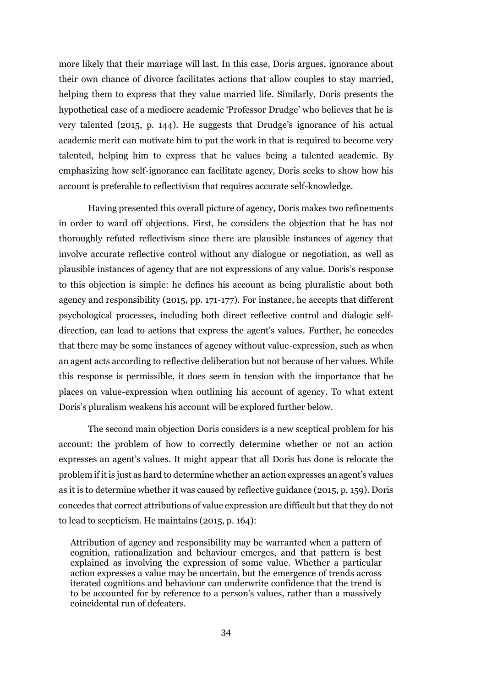more likely that their marriage will last. In this case, Doris argues, ignorance about their own chance of divorce facilitates actions that allow couples to stay married, helping them to express that they value married life. Similarly, Doris presents the hypothetical case of a mediocre academic 'Professor Drudge' who believes that he is very talented (2015, p. 144). He suggests that Drudge's ignorance of his actual academic merit can motivate him to put the work in that is required to become very talented, helping him to express that he values being a talented academic. By emphasizing how self-ignorance can facilitate agency, Doris seeks to show how his account is preferable to reflectivism that requires accurate self-knowledge.

Having presented this overall picture of agency, Doris makes two refinements in order to ward off objections. First, he considers the objection that he has not thoroughly refuted reflectivism since there are plausible instances of agency that involve accurate reflective control without any dialogue or negotiation, as well as plausible instances of agency that are not expressions of any value. Doris's response to this objection is simple: he defines his account as being pluralistic about both agency and responsibility (2015, pp. 171-177). For instance, he accepts that different psychological processes, including both direct reflective control and dialogic selfdirection, can lead to actions that express the agent's values. Further, he concedes that there may be some instances of agency without value-expression, such as when an agent acts according to reflective deliberation but not because of her values. While this response is permissible, it does seem in tension with the importance that he places on value-expression when outlining his account of agency. To what extent Doris's pluralism weakens his account will be explored further below.

The second main objection Doris considers is a new sceptical problem for his account: the problem of how to correctly determine whether or not an action expresses an agent's values. It might appear that all Doris has done is relocate the problem if it is just as hard to determine whether an action expresses an agent's values as it is to determine whether it was caused by reflective guidance (2015, p. 159). Doris concedes that correct attributions of value expression are difficult but that they do not to lead to scepticism. He maintains (2015, p. 164):

Attribution of agency and responsibility may be warranted when a pattern of cognition, rationalization and behaviour emerges, and that pattern is best explained as involving the expression of some value. Whether a particular action expresses a value may be uncertain, but the emergence of trends across iterated cognitions and behaviour can underwrite confidence that the trend is to be accounted for by reference to a person's values, rather than a massively coincidental run of defeaters.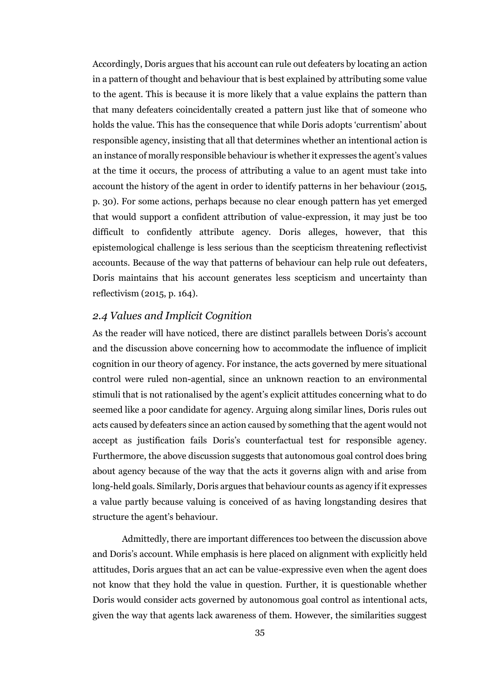Accordingly, Doris argues that his account can rule out defeaters by locating an action in a pattern of thought and behaviour that is best explained by attributing some value to the agent. This is because it is more likely that a value explains the pattern than that many defeaters coincidentally created a pattern just like that of someone who holds the value. This has the consequence that while Doris adopts 'currentism' about responsible agency, insisting that all that determines whether an intentional action is an instance of morally responsible behaviour is whether it expresses the agent's values at the time it occurs, the process of attributing a value to an agent must take into account the history of the agent in order to identify patterns in her behaviour (2015, p. 30). For some actions, perhaps because no clear enough pattern has yet emerged that would support a confident attribution of value-expression, it may just be too difficult to confidently attribute agency. Doris alleges, however, that this epistemological challenge is less serious than the scepticism threatening reflectivist accounts. Because of the way that patterns of behaviour can help rule out defeaters, Doris maintains that his account generates less scepticism and uncertainty than reflectivism (2015, p. 164).

#### <span id="page-34-0"></span>*2.4 Values and Implicit Cognition*

As the reader will have noticed, there are distinct parallels between Doris's account and the discussion above concerning how to accommodate the influence of implicit cognition in our theory of agency. For instance, the acts governed by mere situational control were ruled non-agential, since an unknown reaction to an environmental stimuli that is not rationalised by the agent's explicit attitudes concerning what to do seemed like a poor candidate for agency. Arguing along similar lines, Doris rules out acts caused by defeaters since an action caused by something that the agent would not accept as justification fails Doris's counterfactual test for responsible agency. Furthermore, the above discussion suggests that autonomous goal control does bring about agency because of the way that the acts it governs align with and arise from long-held goals. Similarly, Doris argues that behaviour counts as agency if it expresses a value partly because valuing is conceived of as having longstanding desires that structure the agent's behaviour.

Admittedly, there are important differences too between the discussion above and Doris's account. While emphasis is here placed on alignment with explicitly held attitudes, Doris argues that an act can be value-expressive even when the agent does not know that they hold the value in question. Further, it is questionable whether Doris would consider acts governed by autonomous goal control as intentional acts, given the way that agents lack awareness of them. However, the similarities suggest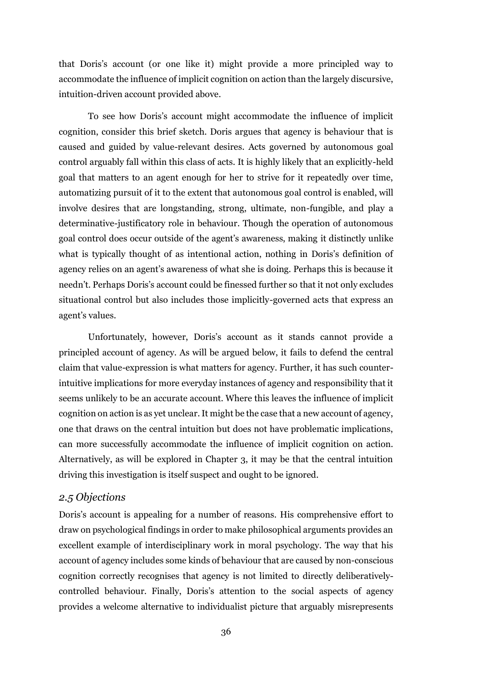that Doris's account (or one like it) might provide a more principled way to accommodate the influence of implicit cognition on action than the largely discursive, intuition-driven account provided above.

To see how Doris's account might accommodate the influence of implicit cognition, consider this brief sketch. Doris argues that agency is behaviour that is caused and guided by value-relevant desires. Acts governed by autonomous goal control arguably fall within this class of acts. It is highly likely that an explicitly-held goal that matters to an agent enough for her to strive for it repeatedly over time, automatizing pursuit of it to the extent that autonomous goal control is enabled, will involve desires that are longstanding, strong, ultimate, non-fungible, and play a determinative-justificatory role in behaviour. Though the operation of autonomous goal control does occur outside of the agent's awareness, making it distinctly unlike what is typically thought of as intentional action, nothing in Doris's definition of agency relies on an agent's awareness of what she is doing. Perhaps this is because it needn't. Perhaps Doris's account could be finessed further so that it not only excludes situational control but also includes those implicitly-governed acts that express an agent's values.

Unfortunately, however, Doris's account as it stands cannot provide a principled account of agency. As will be argued below, it fails to defend the central claim that value-expression is what matters for agency. Further, it has such counterintuitive implications for more everyday instances of agency and responsibility that it seems unlikely to be an accurate account. Where this leaves the influence of implicit cognition on action is as yet unclear. It might be the case that a new account of agency, one that draws on the central intuition but does not have problematic implications, can more successfully accommodate the influence of implicit cognition on action. Alternatively, as will be explored in Chapter 3, it may be that the central intuition driving this investigation is itself suspect and ought to be ignored.

#### <span id="page-35-0"></span>*2.5 Objections*

Doris's account is appealing for a number of reasons. His comprehensive effort to draw on psychological findings in order to make philosophical arguments provides an excellent example of interdisciplinary work in moral psychology. The way that his account of agency includes some kinds of behaviour that are caused by non-conscious cognition correctly recognises that agency is not limited to directly deliberativelycontrolled behaviour. Finally, Doris's attention to the social aspects of agency provides a welcome alternative to individualist picture that arguably misrepresents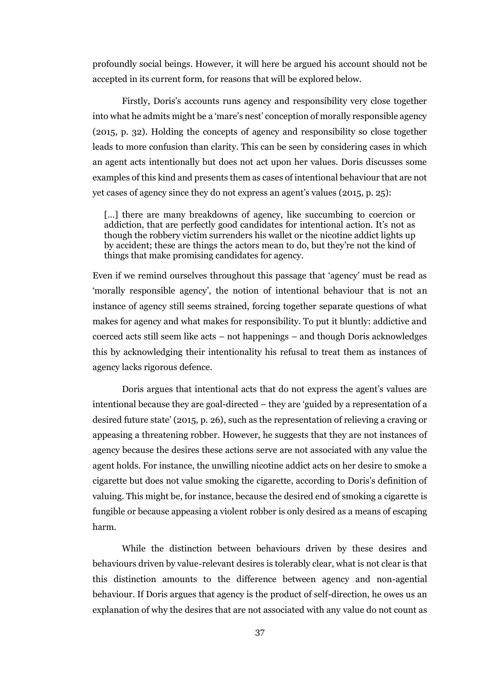profoundly social beings. However, it will here be argued his account should not be accepted in its current form, for reasons that will be explored below.

Firstly, Doris's accounts runs agency and responsibility very close together into what he admits might be a 'mare's nest' conception of morally responsible agency (2015, p. 32). Holding the concepts of agency and responsibility so close together leads to more confusion than clarity. This can be seen by considering cases in which an agent acts intentionally but does not act upon her values. Doris discusses some examples of this kind and presents them as cases of intentional behaviour that are not yet cases of agency since they do not express an agent's values (2015, p. 25):

[...] there are many breakdowns of agency, like succumbing to coercion or addiction, that are perfectly good candidates for intentional action. It's not as though the robbery victim surrenders his wallet or the nicotine addict lights up by accident; these are things the actors mean to do, but they're not the kind of things that make promising candidates for agency.

Even if we remind ourselves throughout this passage that 'agency' must be read as 'morally responsible agency', the notion of intentional behaviour that is not an instance of agency still seems strained, forcing together separate questions of what makes for agency and what makes for responsibility. To put it bluntly: addictive and coerced acts still seem like acts – not happenings – and though Doris acknowledges this by acknowledging their intentionality his refusal to treat them as instances of agency lacks rigorous defence.

Doris argues that intentional acts that do not express the agent's values are intentional because they are goal-directed – they are 'guided by a representation of a desired future state' (2015, p. 26), such as the representation of relieving a craving or appeasing a threatening robber. However, he suggests that they are not instances of agency because the desires these actions serve are not associated with any value the agent holds. For instance, the unwilling nicotine addict acts on her desire to smoke a cigarette but does not value smoking the cigarette, according to Doris's definition of valuing. This might be, for instance, because the desired end of smoking a cigarette is fungible or because appeasing a violent robber is only desired as a means of escaping harm.

While the distinction between behaviours driven by these desires and behaviours driven by value-relevant desires is tolerably clear, what is not clear is that this distinction amounts to the difference between agency and non-agential behaviour. If Doris argues that agency is the product of self-direction, he owes us an explanation of why the desires that are not associated with any value do not count as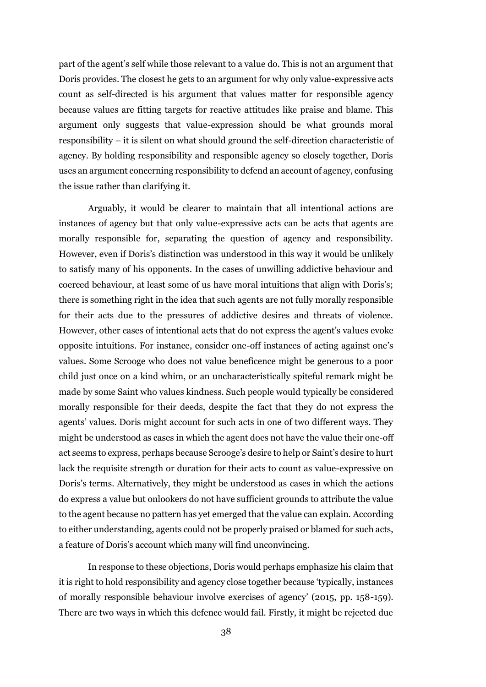part of the agent's self while those relevant to a value do. This is not an argument that Doris provides. The closest he gets to an argument for why only value-expressive acts count as self-directed is his argument that values matter for responsible agency because values are fitting targets for reactive attitudes like praise and blame. This argument only suggests that value-expression should be what grounds moral responsibility – it is silent on what should ground the self-direction characteristic of agency. By holding responsibility and responsible agency so closely together, Doris uses an argument concerning responsibility to defend an account of agency, confusing the issue rather than clarifying it.

Arguably, it would be clearer to maintain that all intentional actions are instances of agency but that only value-expressive acts can be acts that agents are morally responsible for, separating the question of agency and responsibility. However, even if Doris's distinction was understood in this way it would be unlikely to satisfy many of his opponents. In the cases of unwilling addictive behaviour and coerced behaviour, at least some of us have moral intuitions that align with Doris's; there is something right in the idea that such agents are not fully morally responsible for their acts due to the pressures of addictive desires and threats of violence. However, other cases of intentional acts that do not express the agent's values evoke opposite intuitions. For instance, consider one-off instances of acting against one's values. Some Scrooge who does not value beneficence might be generous to a poor child just once on a kind whim, or an uncharacteristically spiteful remark might be made by some Saint who values kindness. Such people would typically be considered morally responsible for their deeds, despite the fact that they do not express the agents' values. Doris might account for such acts in one of two different ways. They might be understood as cases in which the agent does not have the value their one-off act seems to express, perhaps because Scrooge's desire to help or Saint's desire to hurt lack the requisite strength or duration for their acts to count as value-expressive on Doris's terms. Alternatively, they might be understood as cases in which the actions do express a value but onlookers do not have sufficient grounds to attribute the value to the agent because no pattern has yet emerged that the value can explain. According to either understanding, agents could not be properly praised or blamed for such acts, a feature of Doris's account which many will find unconvincing.

In response to these objections, Doris would perhaps emphasize his claim that it is right to hold responsibility and agency close together because 'typically, instances of morally responsible behaviour involve exercises of agency' (2015, pp. 158-159). There are two ways in which this defence would fail. Firstly, it might be rejected due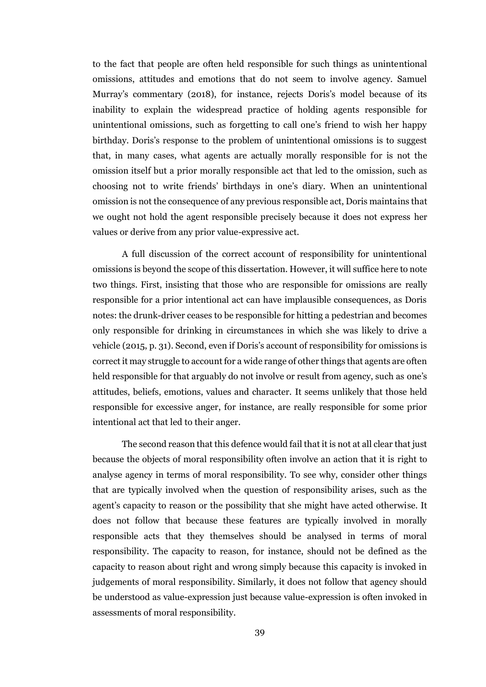to the fact that people are often held responsible for such things as unintentional omissions, attitudes and emotions that do not seem to involve agency. Samuel Murray's commentary (2018), for instance, rejects Doris's model because of its inability to explain the widespread practice of holding agents responsible for unintentional omissions, such as forgetting to call one's friend to wish her happy birthday. Doris's response to the problem of unintentional omissions is to suggest that, in many cases, what agents are actually morally responsible for is not the omission itself but a prior morally responsible act that led to the omission, such as choosing not to write friends' birthdays in one's diary. When an unintentional omission is not the consequence of any previous responsible act, Doris maintains that we ought not hold the agent responsible precisely because it does not express her values or derive from any prior value-expressive act.

A full discussion of the correct account of responsibility for unintentional omissions is beyond the scope of this dissertation. However, it will suffice here to note two things. First, insisting that those who are responsible for omissions are really responsible for a prior intentional act can have implausible consequences, as Doris notes: the drunk-driver ceases to be responsible for hitting a pedestrian and becomes only responsible for drinking in circumstances in which she was likely to drive a vehicle (2015, p. 31). Second, even if Doris's account of responsibility for omissions is correct it may struggle to account for a wide range of other things that agents are often held responsible for that arguably do not involve or result from agency, such as one's attitudes, beliefs, emotions, values and character. It seems unlikely that those held responsible for excessive anger, for instance, are really responsible for some prior intentional act that led to their anger.

The second reason that this defence would fail that it is not at all clear that just because the objects of moral responsibility often involve an action that it is right to analyse agency in terms of moral responsibility. To see why, consider other things that are typically involved when the question of responsibility arises, such as the agent's capacity to reason or the possibility that she might have acted otherwise. It does not follow that because these features are typically involved in morally responsible acts that they themselves should be analysed in terms of moral responsibility. The capacity to reason, for instance, should not be defined as the capacity to reason about right and wrong simply because this capacity is invoked in judgements of moral responsibility. Similarly, it does not follow that agency should be understood as value-expression just because value-expression is often invoked in assessments of moral responsibility.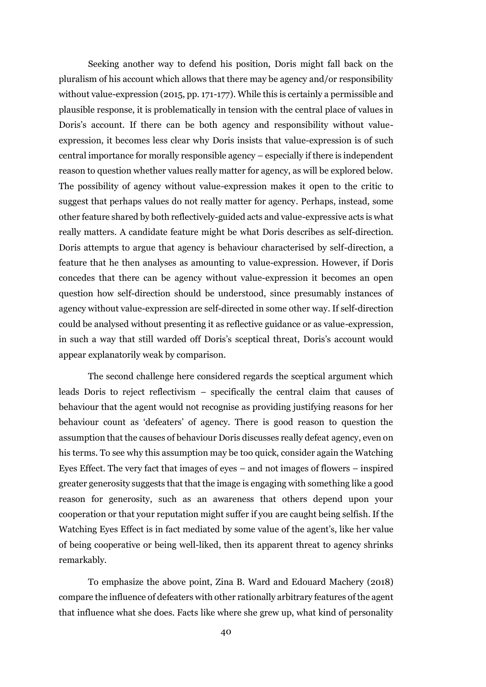Seeking another way to defend his position, Doris might fall back on the pluralism of his account which allows that there may be agency and/or responsibility without value-expression (2015, pp. 171-177). While this is certainly a permissible and plausible response, it is problematically in tension with the central place of values in Doris's account. If there can be both agency and responsibility without valueexpression, it becomes less clear why Doris insists that value-expression is of such central importance for morally responsible agency – especially if there is independent reason to question whether values really matter for agency, as will be explored below. The possibility of agency without value-expression makes it open to the critic to suggest that perhaps values do not really matter for agency. Perhaps, instead, some other feature shared by both reflectively-guided acts and value-expressive acts is what really matters. A candidate feature might be what Doris describes as self-direction. Doris attempts to argue that agency is behaviour characterised by self-direction, a feature that he then analyses as amounting to value-expression. However, if Doris concedes that there can be agency without value-expression it becomes an open question how self-direction should be understood, since presumably instances of agency without value-expression are self-directed in some other way. If self-direction could be analysed without presenting it as reflective guidance or as value-expression, in such a way that still warded off Doris's sceptical threat, Doris's account would appear explanatorily weak by comparison.

The second challenge here considered regards the sceptical argument which leads Doris to reject reflectivism – specifically the central claim that causes of behaviour that the agent would not recognise as providing justifying reasons for her behaviour count as 'defeaters' of agency. There is good reason to question the assumption that the causes of behaviour Doris discusses really defeat agency, even on his terms. To see why this assumption may be too quick, consider again the Watching Eyes Effect. The very fact that images of eyes – and not images of flowers – inspired greater generosity suggests that that the image is engaging with something like a good reason for generosity, such as an awareness that others depend upon your cooperation or that your reputation might suffer if you are caught being selfish. If the Watching Eyes Effect is in fact mediated by some value of the agent's, like her value of being cooperative or being well-liked, then its apparent threat to agency shrinks remarkably.

To emphasize the above point, Zina B. Ward and Edouard Machery (2018) compare the influence of defeaters with other rationally arbitrary features of the agent that influence what she does. Facts like where she grew up, what kind of personality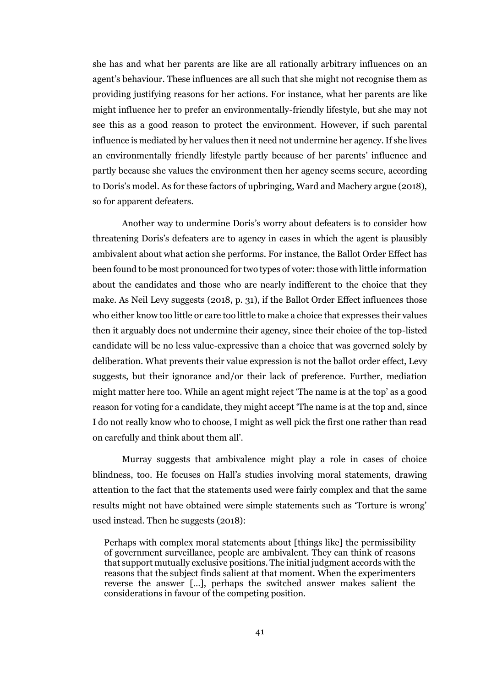she has and what her parents are like are all rationally arbitrary influences on an agent's behaviour. These influences are all such that she might not recognise them as providing justifying reasons for her actions. For instance, what her parents are like might influence her to prefer an environmentally-friendly lifestyle, but she may not see this as a good reason to protect the environment. However, if such parental influence is mediated by her values then it need not undermine her agency. If she lives an environmentally friendly lifestyle partly because of her parents' influence and partly because she values the environment then her agency seems secure, according to Doris's model. As for these factors of upbringing, Ward and Machery argue (2018), so for apparent defeaters.

Another way to undermine Doris's worry about defeaters is to consider how threatening Doris's defeaters are to agency in cases in which the agent is plausibly ambivalent about what action she performs. For instance, the Ballot Order Effect has been found to be most pronounced for two types of voter: those with little information about the candidates and those who are nearly indifferent to the choice that they make. As Neil Levy suggests (2018, p. 31), if the Ballot Order Effect influences those who either know too little or care too little to make a choice that expresses their values then it arguably does not undermine their agency, since their choice of the top-listed candidate will be no less value-expressive than a choice that was governed solely by deliberation. What prevents their value expression is not the ballot order effect, Levy suggests, but their ignorance and/or their lack of preference. Further, mediation might matter here too. While an agent might reject 'The name is at the top' as a good reason for voting for a candidate, they might accept 'The name is at the top and, since I do not really know who to choose, I might as well pick the first one rather than read on carefully and think about them all'.

Murray suggests that ambivalence might play a role in cases of choice blindness, too. He focuses on Hall's studies involving moral statements, drawing attention to the fact that the statements used were fairly complex and that the same results might not have obtained were simple statements such as 'Torture is wrong' used instead. Then he suggests (2018):

Perhaps with complex moral statements about [things like] the permissibility of government surveillance, people are ambivalent. They can think of reasons that support mutually exclusive positions. The initial judgment accords with the reasons that the subject finds salient at that moment. When the experimenters reverse the answer […], perhaps the switched answer makes salient the considerations in favour of the competing position.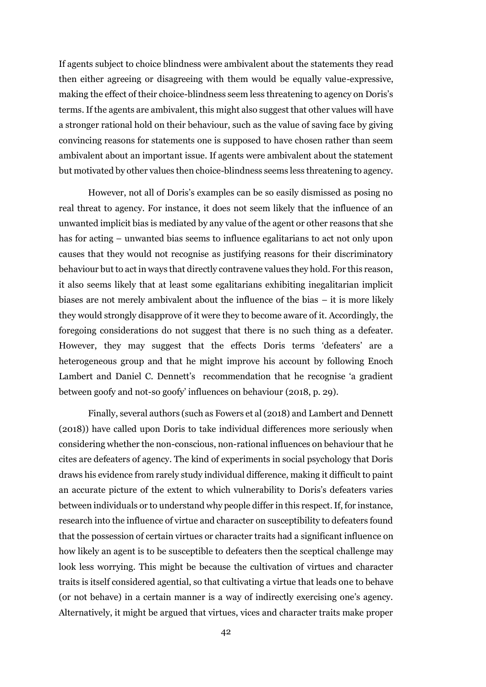If agents subject to choice blindness were ambivalent about the statements they read then either agreeing or disagreeing with them would be equally value-expressive, making the effect of their choice-blindness seem less threatening to agency on Doris's terms. If the agents are ambivalent, this might also suggest that other values will have a stronger rational hold on their behaviour, such as the value of saving face by giving convincing reasons for statements one is supposed to have chosen rather than seem ambivalent about an important issue. If agents were ambivalent about the statement but motivated by other values then choice-blindness seems less threatening to agency.

However, not all of Doris's examples can be so easily dismissed as posing no real threat to agency. For instance, it does not seem likely that the influence of an unwanted implicit bias is mediated by any value of the agent or other reasons that she has for acting – unwanted bias seems to influence egalitarians to act not only upon causes that they would not recognise as justifying reasons for their discriminatory behaviour but to act in ways that directly contravene values they hold. For this reason, it also seems likely that at least some egalitarians exhibiting inegalitarian implicit biases are not merely ambivalent about the influence of the bias – it is more likely they would strongly disapprove of it were they to become aware of it. Accordingly, the foregoing considerations do not suggest that there is no such thing as a defeater. However, they may suggest that the effects Doris terms 'defeaters' are a heterogeneous group and that he might improve his account by following Enoch Lambert and Daniel C. Dennett's recommendation that he recognise 'a gradient between goofy and not-so goofy' influences on behaviour (2018, p. 29).

Finally, several authors (such as Fowers et al (2018) and Lambert and Dennett (2018)) have called upon Doris to take individual differences more seriously when considering whether the non-conscious, non-rational influences on behaviour that he cites are defeaters of agency. The kind of experiments in social psychology that Doris draws his evidence from rarely study individual difference, making it difficult to paint an accurate picture of the extent to which vulnerability to Doris's defeaters varies between individuals or to understand why people differ in this respect. If, for instance, research into the influence of virtue and character on susceptibility to defeaters found that the possession of certain virtues or character traits had a significant influence on how likely an agent is to be susceptible to defeaters then the sceptical challenge may look less worrying. This might be because the cultivation of virtues and character traits is itself considered agential, so that cultivating a virtue that leads one to behave (or not behave) in a certain manner is a way of indirectly exercising one's agency. Alternatively, it might be argued that virtues, vices and character traits make proper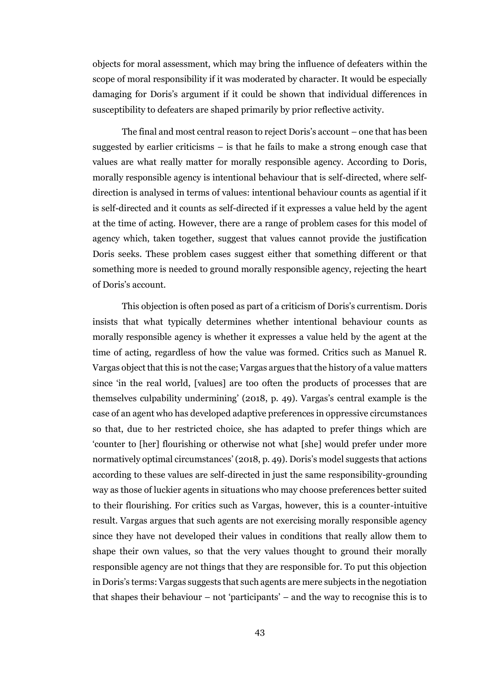objects for moral assessment, which may bring the influence of defeaters within the scope of moral responsibility if it was moderated by character. It would be especially damaging for Doris's argument if it could be shown that individual differences in susceptibility to defeaters are shaped primarily by prior reflective activity.

The final and most central reason to reject Doris's account – one that has been suggested by earlier criticisms  $-$  is that he fails to make a strong enough case that values are what really matter for morally responsible agency. According to Doris, morally responsible agency is intentional behaviour that is self-directed, where selfdirection is analysed in terms of values: intentional behaviour counts as agential if it is self-directed and it counts as self-directed if it expresses a value held by the agent at the time of acting. However, there are a range of problem cases for this model of agency which, taken together, suggest that values cannot provide the justification Doris seeks. These problem cases suggest either that something different or that something more is needed to ground morally responsible agency, rejecting the heart of Doris's account.

This objection is often posed as part of a criticism of Doris's currentism. Doris insists that what typically determines whether intentional behaviour counts as morally responsible agency is whether it expresses a value held by the agent at the time of acting, regardless of how the value was formed. Critics such as Manuel R. Vargas object that this is not the case; Vargas argues that the history of a value matters since 'in the real world, [values] are too often the products of processes that are themselves culpability undermining' (2018, p. 49). Vargas's central example is the case of an agent who has developed adaptive preferences in oppressive circumstances so that, due to her restricted choice, she has adapted to prefer things which are 'counter to [her] flourishing or otherwise not what [she] would prefer under more normatively optimal circumstances' (2018, p. 49). Doris's model suggests that actions according to these values are self-directed in just the same responsibility-grounding way as those of luckier agents in situations who may choose preferences better suited to their flourishing. For critics such as Vargas, however, this is a counter-intuitive result. Vargas argues that such agents are not exercising morally responsible agency since they have not developed their values in conditions that really allow them to shape their own values, so that the very values thought to ground their morally responsible agency are not things that they are responsible for. To put this objection in Doris's terms: Vargas suggests that such agents are mere subjects in the negotiation that shapes their behaviour – not 'participants' – and the way to recognise this is to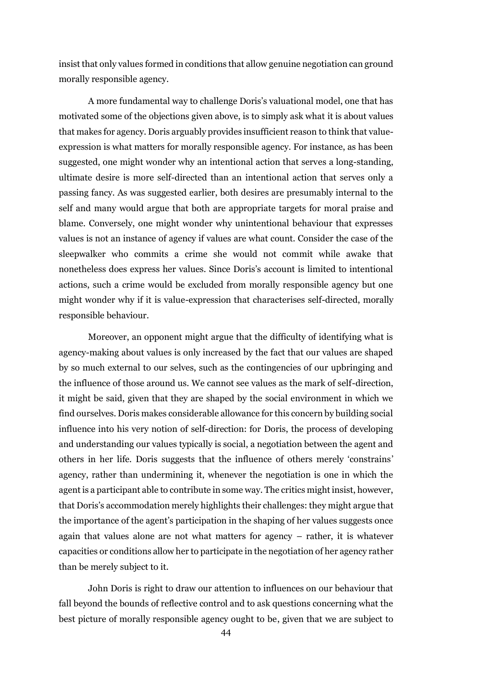insist that only values formed in conditions that allow genuine negotiation can ground morally responsible agency.

A more fundamental way to challenge Doris's valuational model, one that has motivated some of the objections given above, is to simply ask what it is about values that makes for agency. Doris arguably provides insufficient reason to think that valueexpression is what matters for morally responsible agency. For instance, as has been suggested, one might wonder why an intentional action that serves a long-standing, ultimate desire is more self-directed than an intentional action that serves only a passing fancy. As was suggested earlier, both desires are presumably internal to the self and many would argue that both are appropriate targets for moral praise and blame. Conversely, one might wonder why unintentional behaviour that expresses values is not an instance of agency if values are what count. Consider the case of the sleepwalker who commits a crime she would not commit while awake that nonetheless does express her values. Since Doris's account is limited to intentional actions, such a crime would be excluded from morally responsible agency but one might wonder why if it is value-expression that characterises self-directed, morally responsible behaviour.

Moreover, an opponent might argue that the difficulty of identifying what is agency-making about values is only increased by the fact that our values are shaped by so much external to our selves, such as the contingencies of our upbringing and the influence of those around us. We cannot see values as the mark of self-direction, it might be said, given that they are shaped by the social environment in which we find ourselves. Doris makes considerable allowance for this concern by building social influence into his very notion of self-direction: for Doris, the process of developing and understanding our values typically is social, a negotiation between the agent and others in her life. Doris suggests that the influence of others merely 'constrains' agency, rather than undermining it, whenever the negotiation is one in which the agent is a participant able to contribute in some way. The critics might insist, however, that Doris's accommodation merely highlights their challenges: they might argue that the importance of the agent's participation in the shaping of her values suggests once again that values alone are not what matters for agency – rather, it is whatever capacities or conditions allow her to participate in the negotiation of her agency rather than be merely subject to it.

John Doris is right to draw our attention to influences on our behaviour that fall beyond the bounds of reflective control and to ask questions concerning what the best picture of morally responsible agency ought to be, given that we are subject to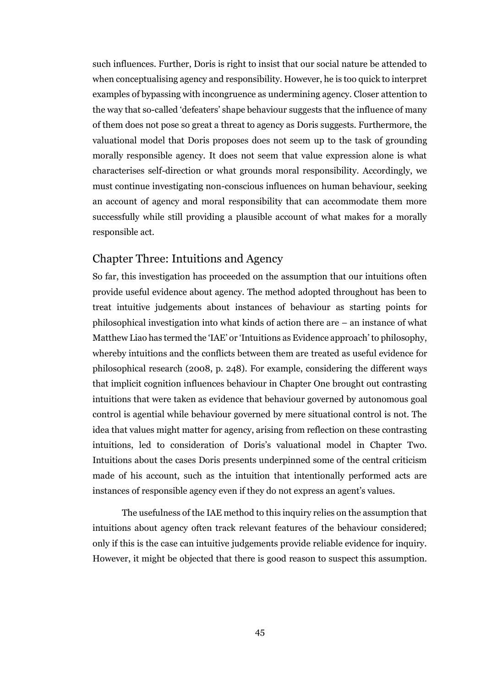such influences. Further, Doris is right to insist that our social nature be attended to when conceptualising agency and responsibility. However, he is too quick to interpret examples of bypassing with incongruence as undermining agency. Closer attention to the way that so-called 'defeaters' shape behaviour suggests that the influence of many of them does not pose so great a threat to agency as Doris suggests. Furthermore, the valuational model that Doris proposes does not seem up to the task of grounding morally responsible agency. It does not seem that value expression alone is what characterises self-direction or what grounds moral responsibility. Accordingly, we must continue investigating non-conscious influences on human behaviour, seeking an account of agency and moral responsibility that can accommodate them more successfully while still providing a plausible account of what makes for a morally responsible act.

# Chapter Three: Intuitions and Agency

So far, this investigation has proceeded on the assumption that our intuitions often provide useful evidence about agency. The method adopted throughout has been to treat intuitive judgements about instances of behaviour as starting points for philosophical investigation into what kinds of action there are – an instance of what Matthew Liao has termed the 'IAE' or 'Intuitions as Evidence approach' to philosophy, whereby intuitions and the conflicts between them are treated as useful evidence for philosophical research (2008, p. 248). For example, considering the different ways that implicit cognition influences behaviour in Chapter One brought out contrasting intuitions that were taken as evidence that behaviour governed by autonomous goal control is agential while behaviour governed by mere situational control is not. The idea that values might matter for agency, arising from reflection on these contrasting intuitions, led to consideration of Doris's valuational model in Chapter Two. Intuitions about the cases Doris presents underpinned some of the central criticism made of his account, such as the intuition that intentionally performed acts are instances of responsible agency even if they do not express an agent's values.

The usefulness of the IAE method to this inquiry relies on the assumption that intuitions about agency often track relevant features of the behaviour considered; only if this is the case can intuitive judgements provide reliable evidence for inquiry. However, it might be objected that there is good reason to suspect this assumption.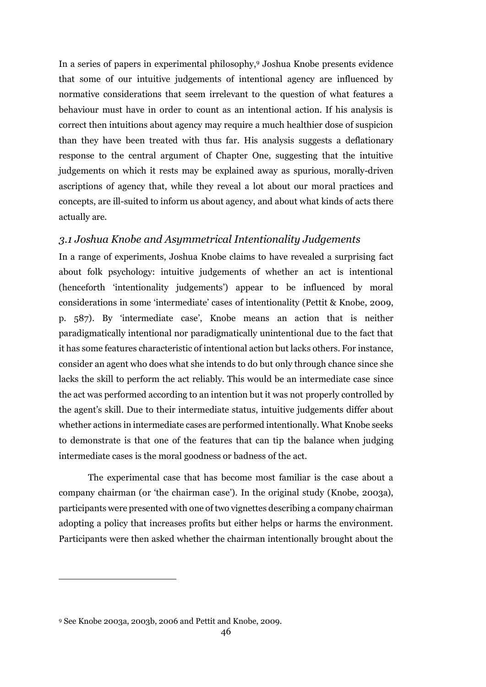In a series of papers in experimental philosophy,<sup>9</sup> Joshua Knobe presents evidence that some of our intuitive judgements of intentional agency are influenced by normative considerations that seem irrelevant to the question of what features a behaviour must have in order to count as an intentional action. If his analysis is correct then intuitions about agency may require a much healthier dose of suspicion than they have been treated with thus far. His analysis suggests a deflationary response to the central argument of Chapter One, suggesting that the intuitive judgements on which it rests may be explained away as spurious, morally-driven ascriptions of agency that, while they reveal a lot about our moral practices and concepts, are ill-suited to inform us about agency, and about what kinds of acts there actually are.

# *3.1 Joshua Knobe and Asymmetrical Intentionality Judgements*

In a range of experiments, Joshua Knobe claims to have revealed a surprising fact about folk psychology: intuitive judgements of whether an act is intentional (henceforth 'intentionality judgements') appear to be influenced by moral considerations in some 'intermediate' cases of intentionality (Pettit & Knobe, 2009, p. 587). By 'intermediate case', Knobe means an action that is neither paradigmatically intentional nor paradigmatically unintentional due to the fact that it has some features characteristic of intentional action but lacks others. For instance, consider an agent who does what she intends to do but only through chance since she lacks the skill to perform the act reliably. This would be an intermediate case since the act was performed according to an intention but it was not properly controlled by the agent's skill. Due to their intermediate status, intuitive judgements differ about whether actions in intermediate cases are performed intentionally. What Knobe seeks to demonstrate is that one of the features that can tip the balance when judging intermediate cases is the moral goodness or badness of the act.

The experimental case that has become most familiar is the case about a company chairman (or 'the chairman case'). In the original study (Knobe, 2003a), participants were presented with one of two vignettes describing a company chairman adopting a policy that increases profits but either helps or harms the environment. Participants were then asked whether the chairman intentionally brought about the

<u>.</u>

<sup>9</sup> See Knobe 2003a, 2003b, 2006 and Pettit and Knobe, 2009.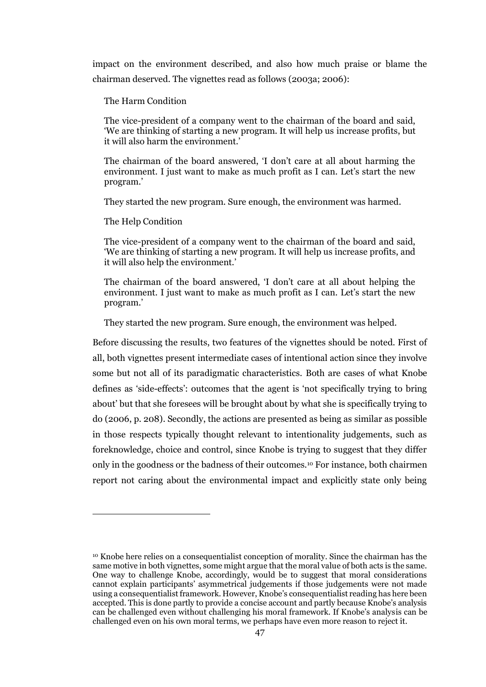impact on the environment described, and also how much praise or blame the chairman deserved. The vignettes read as follows (2003a; 2006):

The Harm Condition

The vice-president of a company went to the chairman of the board and said, 'We are thinking of starting a new program. It will help us increase profits, but it will also harm the environment.'

The chairman of the board answered, 'I don't care at all about harming the environment. I just want to make as much profit as I can. Let's start the new program.'

They started the new program. Sure enough, the environment was harmed.

The Help Condition

 $\overline{a}$ 

The vice-president of a company went to the chairman of the board and said, 'We are thinking of starting a new program. It will help us increase profits, and it will also help the environment.'

The chairman of the board answered, 'I don't care at all about helping the environment. I just want to make as much profit as I can. Let's start the new program.'

They started the new program. Sure enough, the environment was helped.

Before discussing the results, two features of the vignettes should be noted. First of all, both vignettes present intermediate cases of intentional action since they involve some but not all of its paradigmatic characteristics. Both are cases of what Knobe defines as 'side-effects': outcomes that the agent is 'not specifically trying to bring about' but that she foresees will be brought about by what she is specifically trying to do (2006, p. 208). Secondly, the actions are presented as being as similar as possible in those respects typically thought relevant to intentionality judgements, such as foreknowledge, choice and control, since Knobe is trying to suggest that they differ only in the goodness or the badness of their outcomes.<sup>10</sup> For instance, both chairmen report not caring about the environmental impact and explicitly state only being

<sup>10</sup> Knobe here relies on a consequentialist conception of morality. Since the chairman has the same motive in both vignettes, some might argue that the moral value of both acts is the same. One way to challenge Knobe, accordingly, would be to suggest that moral considerations cannot explain participants' asymmetrical judgements if those judgements were not made using a consequentialist framework. However, Knobe's consequentialist reading has here been accepted. This is done partly to provide a concise account and partly because Knobe's analysis can be challenged even without challenging his moral framework. If Knobe's analysis can be challenged even on his own moral terms, we perhaps have even more reason to reject it.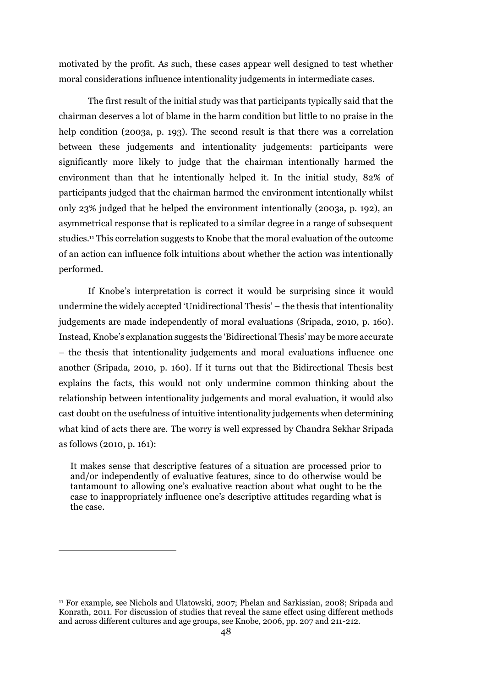motivated by the profit. As such, these cases appear well designed to test whether moral considerations influence intentionality judgements in intermediate cases.

The first result of the initial study was that participants typically said that the chairman deserves a lot of blame in the harm condition but little to no praise in the help condition (2003a, p. 193). The second result is that there was a correlation between these judgements and intentionality judgements: participants were significantly more likely to judge that the chairman intentionally harmed the environment than that he intentionally helped it. In the initial study, 82% of participants judged that the chairman harmed the environment intentionally whilst only 23% judged that he helped the environment intentionally (2003a, p. 192), an asymmetrical response that is replicated to a similar degree in a range of subsequent studies.<sup>11</sup> This correlation suggests to Knobe that the moral evaluation of the outcome of an action can influence folk intuitions about whether the action was intentionally performed.

If Knobe's interpretation is correct it would be surprising since it would undermine the widely accepted 'Unidirectional Thesis' – the thesis that intentionality judgements are made independently of moral evaluations (Sripada, 2010, p. 160). Instead, Knobe's explanation suggests the 'Bidirectional Thesis' may be more accurate – the thesis that intentionality judgements and moral evaluations influence one another (Sripada, 2010, p. 160). If it turns out that the Bidirectional Thesis best explains the facts, this would not only undermine common thinking about the relationship between intentionality judgements and moral evaluation, it would also cast doubt on the usefulness of intuitive intentionality judgements when determining what kind of acts there are. The worry is well expressed by Chandra Sekhar Sripada as follows (2010, p. 161):

It makes sense that descriptive features of a situation are processed prior to and/or independently of evaluative features, since to do otherwise would be tantamount to allowing one's evaluative reaction about what ought to be the case to inappropriately influence one's descriptive attitudes regarding what is the case.

 $\overline{\phantom{a}}$ 

<sup>11</sup> For example, see Nichols and Ulatowski, 2007; Phelan and Sarkissian, 2008; Sripada and Konrath, 2011. For discussion of studies that reveal the same effect using different methods and across different cultures and age groups, see Knobe, 2006, pp. 207 and 211-212.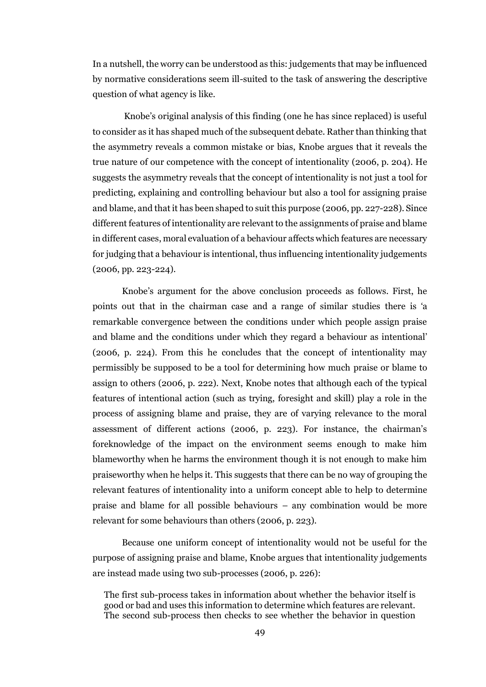In a nutshell, the worry can be understood as this: judgements that may be influenced by normative considerations seem ill-suited to the task of answering the descriptive question of what agency is like.

Knobe's original analysis of this finding (one he has since replaced) is useful to consider as it has shaped much of the subsequent debate. Rather than thinking that the asymmetry reveals a common mistake or bias, Knobe argues that it reveals the true nature of our competence with the concept of intentionality (2006, p. 204). He suggests the asymmetry reveals that the concept of intentionality is not just a tool for predicting, explaining and controlling behaviour but also a tool for assigning praise and blame, and that it has been shaped to suit this purpose (2006, pp. 227-228). Since different features of intentionality are relevant to the assignments of praise and blame in different cases, moral evaluation of a behaviour affects which features are necessary for judging that a behaviour is intentional, thus influencing intentionality judgements (2006, pp. 223-224).

Knobe's argument for the above conclusion proceeds as follows. First, he points out that in the chairman case and a range of similar studies there is 'a remarkable convergence between the conditions under which people assign praise and blame and the conditions under which they regard a behaviour as intentional' (2006, p. 224). From this he concludes that the concept of intentionality may permissibly be supposed to be a tool for determining how much praise or blame to assign to others (2006, p. 222). Next, Knobe notes that although each of the typical features of intentional action (such as trying, foresight and skill) play a role in the process of assigning blame and praise, they are of varying relevance to the moral assessment of different actions (2006, p. 223). For instance, the chairman's foreknowledge of the impact on the environment seems enough to make him blameworthy when he harms the environment though it is not enough to make him praiseworthy when he helps it. This suggests that there can be no way of grouping the relevant features of intentionality into a uniform concept able to help to determine praise and blame for all possible behaviours – any combination would be more relevant for some behaviours than others (2006, p. 223).

Because one uniform concept of intentionality would not be useful for the purpose of assigning praise and blame, Knobe argues that intentionality judgements are instead made using two sub-processes (2006, p. 226):

The first sub-process takes in information about whether the behavior itself is good or bad and uses this information to determine which features are relevant. The second sub-process then checks to see whether the behavior in question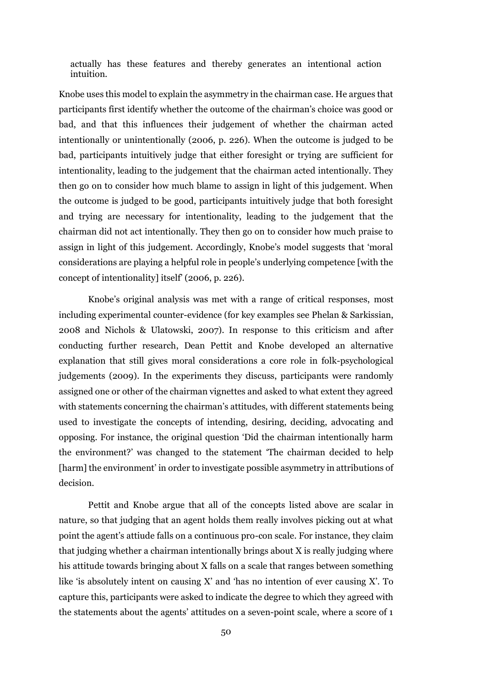actually has these features and thereby generates an intentional action intuition.

Knobe uses this model to explain the asymmetry in the chairman case. He argues that participants first identify whether the outcome of the chairman's choice was good or bad, and that this influences their judgement of whether the chairman acted intentionally or unintentionally (2006, p. 226). When the outcome is judged to be bad, participants intuitively judge that either foresight or trying are sufficient for intentionality, leading to the judgement that the chairman acted intentionally. They then go on to consider how much blame to assign in light of this judgement. When the outcome is judged to be good, participants intuitively judge that both foresight and trying are necessary for intentionality, leading to the judgement that the chairman did not act intentionally. They then go on to consider how much praise to assign in light of this judgement. Accordingly, Knobe's model suggests that 'moral considerations are playing a helpful role in people's underlying competence [with the concept of intentionality] itself' (2006, p. 226).

Knobe's original analysis was met with a range of critical responses, most including experimental counter-evidence (for key examples see Phelan & Sarkissian, 2008 and Nichols & Ulatowski, 2007). In response to this criticism and after conducting further research, Dean Pettit and Knobe developed an alternative explanation that still gives moral considerations a core role in folk-psychological judgements (2009). In the experiments they discuss, participants were randomly assigned one or other of the chairman vignettes and asked to what extent they agreed with statements concerning the chairman's attitudes, with different statements being used to investigate the concepts of intending, desiring, deciding, advocating and opposing. For instance, the original question 'Did the chairman intentionally harm the environment?' was changed to the statement 'The chairman decided to help [harm] the environment' in order to investigate possible asymmetry in attributions of decision.

Pettit and Knobe argue that all of the concepts listed above are scalar in nature, so that judging that an agent holds them really involves picking out at what point the agent's attiude falls on a continuous pro-con scale. For instance, they claim that judging whether a chairman intentionally brings about X is really judging where his attitude towards bringing about X falls on a scale that ranges between something like 'is absolutely intent on causing  $X'$  and 'has no intention of ever causing  $X'$ . To capture this, participants were asked to indicate the degree to which they agreed with the statements about the agents' attitudes on a seven-point scale, where a score of 1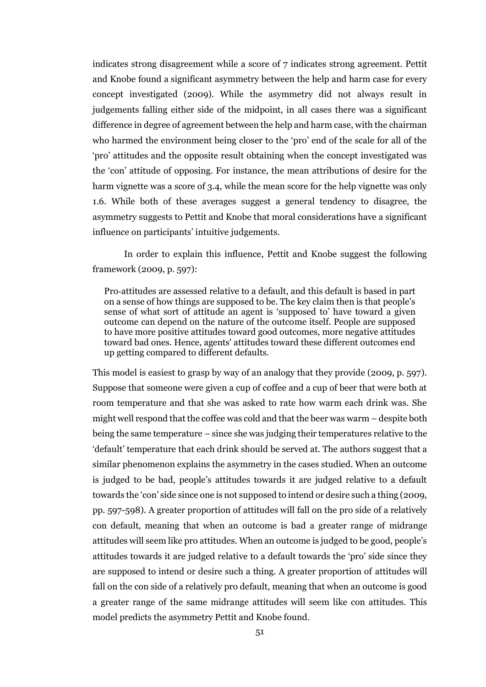indicates strong disagreement while a score of 7 indicates strong agreement. Pettit and Knobe found a significant asymmetry between the help and harm case for every concept investigated (2009). While the asymmetry did not always result in judgements falling either side of the midpoint, in all cases there was a significant difference in degree of agreement between the help and harm case, with the chairman who harmed the environment being closer to the 'pro' end of the scale for all of the 'pro' attitudes and the opposite result obtaining when the concept investigated was the 'con' attitude of opposing. For instance, the mean attributions of desire for the harm vignette was a score of 3.4, while the mean score for the help vignette was only 1.6. While both of these averages suggest a general tendency to disagree, the asymmetry suggests to Pettit and Knobe that moral considerations have a significant influence on participants' intuitive judgements.

In order to explain this influence, Pettit and Knobe suggest the following framework (2009, p. 597):

Pro‐attitudes are assessed relative to a default, and this default is based in part on a sense of how things are supposed to be. The key claim then is that people's sense of what sort of attitude an agent is 'supposed to' have toward a given outcome can depend on the nature of the outcome itself. People are supposed to have more positive attitudes toward good outcomes, more negative attitudes toward bad ones. Hence, agents' attitudes toward these different outcomes end up getting compared to different defaults.

This model is easiest to grasp by way of an analogy that they provide (2009, p. 597). Suppose that someone were given a cup of coffee and a cup of beer that were both at room temperature and that she was asked to rate how warm each drink was. She might well respond that the coffee was cold and that the beer was warm – despite both being the same temperature – since she was judging their temperatures relative to the 'default' temperature that each drink should be served at. The authors suggest that a similar phenomenon explains the asymmetry in the cases studied. When an outcome is judged to be bad, people's attitudes towards it are judged relative to a default towards the 'con' side since one is not supposed to intend or desire such a thing (2009, pp. 597-598). A greater proportion of attitudes will fall on the pro side of a relatively con default, meaning that when an outcome is bad a greater range of midrange attitudes will seem like pro attitudes. When an outcome is judged to be good, people's attitudes towards it are judged relative to a default towards the 'pro' side since they are supposed to intend or desire such a thing. A greater proportion of attitudes will fall on the con side of a relatively pro default, meaning that when an outcome is good a greater range of the same midrange attitudes will seem like con attitudes. This model predicts the asymmetry Pettit and Knobe found.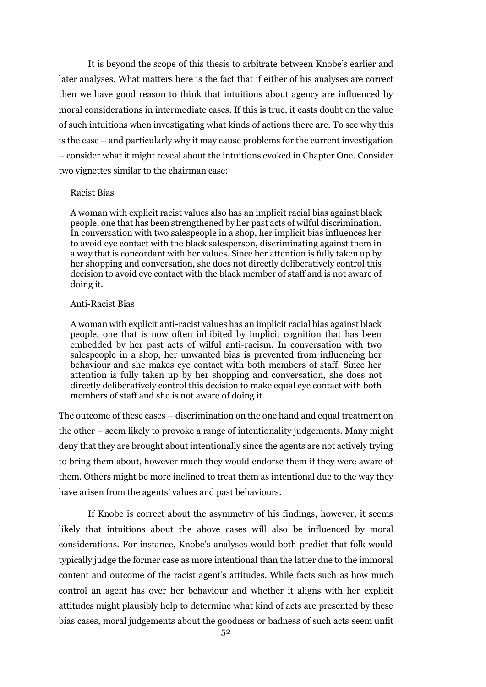It is beyond the scope of this thesis to arbitrate between Knobe's earlier and later analyses. What matters here is the fact that if either of his analyses are correct then we have good reason to think that intuitions about agency are influenced by moral considerations in intermediate cases. If this is true, it casts doubt on the value of such intuitions when investigating what kinds of actions there are. To see why this is the case – and particularly why it may cause problems for the current investigation – consider what it might reveal about the intuitions evoked in Chapter One. Consider two vignettes similar to the chairman case:

#### Racist Bias

A woman with explicit racist values also has an implicit racial bias against black people, one that has been strengthened by her past acts of wilful discrimination. In conversation with two salespeople in a shop, her implicit bias influences her to avoid eye contact with the black salesperson, discriminating against them in a way that is concordant with her values. Since her attention is fully taken up by her shopping and conversation, she does not directly deliberatively control this decision to avoid eye contact with the black member of staff and is not aware of doing it.

#### Anti-Racist Bias

A woman with explicit anti-racist values has an implicit racial bias against black people, one that is now often inhibited by implicit cognition that has been embedded by her past acts of wilful anti-racism. In conversation with two salespeople in a shop, her unwanted bias is prevented from influencing her behaviour and she makes eye contact with both members of staff. Since her attention is fully taken up by her shopping and conversation, she does not directly deliberatively control this decision to make equal eye contact with both members of staff and she is not aware of doing it.

The outcome of these cases – discrimination on the one hand and equal treatment on the other – seem likely to provoke a range of intentionality judgements. Many might deny that they are brought about intentionally since the agents are not actively trying to bring them about, however much they would endorse them if they were aware of them. Others might be more inclined to treat them as intentional due to the way they have arisen from the agents' values and past behaviours.

If Knobe is correct about the asymmetry of his findings, however, it seems likely that intuitions about the above cases will also be influenced by moral considerations. For instance, Knobe's analyses would both predict that folk would typically judge the former case as more intentional than the latter due to the immoral content and outcome of the racist agent's attitudes. While facts such as how much control an agent has over her behaviour and whether it aligns with her explicit attitudes might plausibly help to determine what kind of acts are presented by these bias cases, moral judgements about the goodness or badness of such acts seem unfit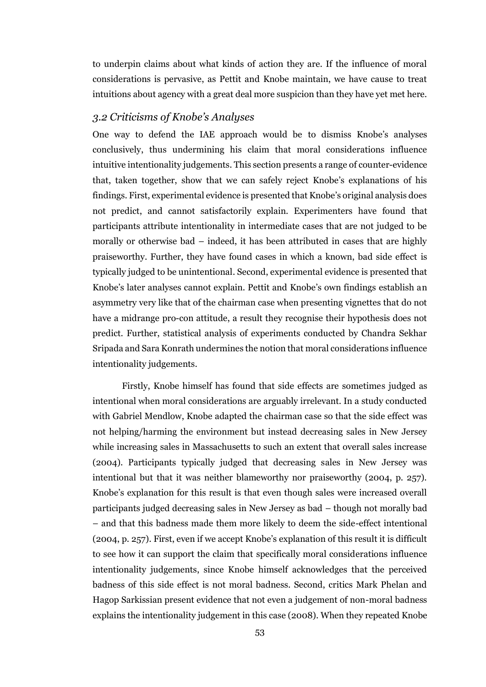to underpin claims about what kinds of action they are. If the influence of moral considerations is pervasive, as Pettit and Knobe maintain, we have cause to treat intuitions about agency with a great deal more suspicion than they have yet met here.

# *3.2 Criticisms of Knobe's Analyses*

One way to defend the IAE approach would be to dismiss Knobe's analyses conclusively, thus undermining his claim that moral considerations influence intuitive intentionality judgements. This section presents a range of counter-evidence that, taken together, show that we can safely reject Knobe's explanations of his findings. First, experimental evidence is presented that Knobe's original analysis does not predict, and cannot satisfactorily explain. Experimenters have found that participants attribute intentionality in intermediate cases that are not judged to be morally or otherwise bad – indeed, it has been attributed in cases that are highly praiseworthy. Further, they have found cases in which a known, bad side effect is typically judged to be unintentional. Second, experimental evidence is presented that Knobe's later analyses cannot explain. Pettit and Knobe's own findings establish an asymmetry very like that of the chairman case when presenting vignettes that do not have a midrange pro-con attitude, a result they recognise their hypothesis does not predict. Further, statistical analysis of experiments conducted by Chandra Sekhar Sripada and Sara Konrath undermines the notion that moral considerations influence intentionality judgements.

Firstly, Knobe himself has found that side effects are sometimes judged as intentional when moral considerations are arguably irrelevant. In a study conducted with Gabriel Mendlow, Knobe adapted the chairman case so that the side effect was not helping/harming the environment but instead decreasing sales in New Jersey while increasing sales in Massachusetts to such an extent that overall sales increase (2004). Participants typically judged that decreasing sales in New Jersey was intentional but that it was neither blameworthy nor praiseworthy (2004, p. 257). Knobe's explanation for this result is that even though sales were increased overall participants judged decreasing sales in New Jersey as bad – though not morally bad – and that this badness made them more likely to deem the side-effect intentional (2004, p. 257). First, even if we accept Knobe's explanation of this result it is difficult to see how it can support the claim that specifically moral considerations influence intentionality judgements, since Knobe himself acknowledges that the perceived badness of this side effect is not moral badness. Second, critics Mark Phelan and Hagop Sarkissian present evidence that not even a judgement of non-moral badness explains the intentionality judgement in this case (2008). When they repeated Knobe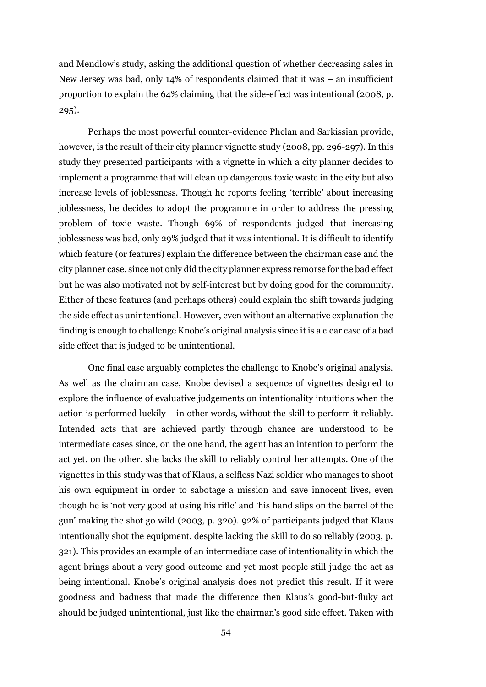and Mendlow's study, asking the additional question of whether decreasing sales in New Jersey was bad, only 14% of respondents claimed that it was – an insufficient proportion to explain the 64% claiming that the side-effect was intentional (2008, p. 295).

Perhaps the most powerful counter-evidence Phelan and Sarkissian provide, however, is the result of their city planner vignette study (2008, pp. 296-297). In this study they presented participants with a vignette in which a city planner decides to implement a programme that will clean up dangerous toxic waste in the city but also increase levels of joblessness. Though he reports feeling 'terrible' about increasing joblessness, he decides to adopt the programme in order to address the pressing problem of toxic waste. Though 69% of respondents judged that increasing joblessness was bad, only 29% judged that it was intentional. It is difficult to identify which feature (or features) explain the difference between the chairman case and the city planner case, since not only did the city planner express remorse for the bad effect but he was also motivated not by self-interest but by doing good for the community. Either of these features (and perhaps others) could explain the shift towards judging the side effect as unintentional. However, even without an alternative explanation the finding is enough to challenge Knobe's original analysis since it is a clear case of a bad side effect that is judged to be unintentional.

One final case arguably completes the challenge to Knobe's original analysis. As well as the chairman case, Knobe devised a sequence of vignettes designed to explore the influence of evaluative judgements on intentionality intuitions when the action is performed luckily – in other words, without the skill to perform it reliably. Intended acts that are achieved partly through chance are understood to be intermediate cases since, on the one hand, the agent has an intention to perform the act yet, on the other, she lacks the skill to reliably control her attempts. One of the vignettes in this study was that of Klaus, a selfless Nazi soldier who manages to shoot his own equipment in order to sabotage a mission and save innocent lives, even though he is 'not very good at using his rifle' and 'his hand slips on the barrel of the gun' making the shot go wild (2003, p. 320). 92% of participants judged that Klaus intentionally shot the equipment, despite lacking the skill to do so reliably (2003, p. 321). This provides an example of an intermediate case of intentionality in which the agent brings about a very good outcome and yet most people still judge the act as being intentional. Knobe's original analysis does not predict this result. If it were goodness and badness that made the difference then Klaus's good-but-fluky act should be judged unintentional, just like the chairman's good side effect. Taken with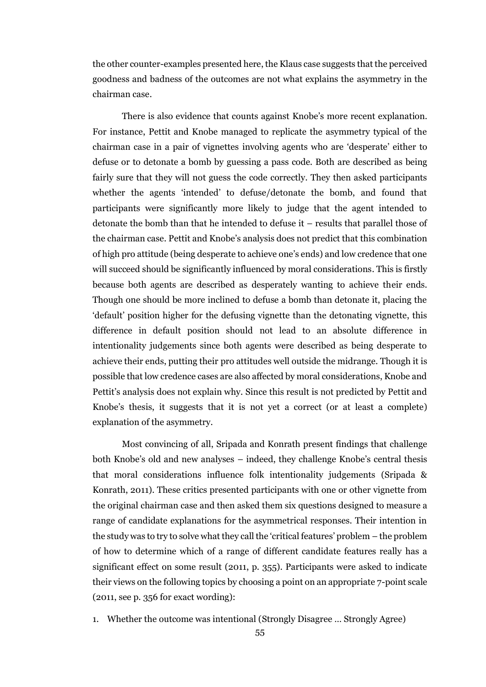the other counter-examples presented here, the Klaus case suggests that the perceived goodness and badness of the outcomes are not what explains the asymmetry in the chairman case.

There is also evidence that counts against Knobe's more recent explanation. For instance, Pettit and Knobe managed to replicate the asymmetry typical of the chairman case in a pair of vignettes involving agents who are 'desperate' either to defuse or to detonate a bomb by guessing a pass code. Both are described as being fairly sure that they will not guess the code correctly. They then asked participants whether the agents 'intended' to defuse/detonate the bomb, and found that participants were significantly more likely to judge that the agent intended to detonate the bomb than that he intended to defuse it – results that parallel those of the chairman case. Pettit and Knobe's analysis does not predict that this combination of high pro attitude (being desperate to achieve one's ends) and low credence that one will succeed should be significantly influenced by moral considerations. This is firstly because both agents are described as desperately wanting to achieve their ends. Though one should be more inclined to defuse a bomb than detonate it, placing the 'default' position higher for the defusing vignette than the detonating vignette, this difference in default position should not lead to an absolute difference in intentionality judgements since both agents were described as being desperate to achieve their ends, putting their pro attitudes well outside the midrange. Though it is possible that low credence cases are also affected by moral considerations, Knobe and Pettit's analysis does not explain why. Since this result is not predicted by Pettit and Knobe's thesis, it suggests that it is not yet a correct (or at least a complete) explanation of the asymmetry.

Most convincing of all, Sripada and Konrath present findings that challenge both Knobe's old and new analyses – indeed, they challenge Knobe's central thesis that moral considerations influence folk intentionality judgements (Sripada & Konrath, 2011). These critics presented participants with one or other vignette from the original chairman case and then asked them six questions designed to measure a range of candidate explanations for the asymmetrical responses. Their intention in the study was to try to solve what they call the 'critical features' problem – the problem of how to determine which of a range of different candidate features really has a significant effect on some result (2011, p. 355). Participants were asked to indicate their views on the following topics by choosing a point on an appropriate 7-point scale (2011, see p. 356 for exact wording):

1. Whether the outcome was intentional (Strongly Disagree … Strongly Agree)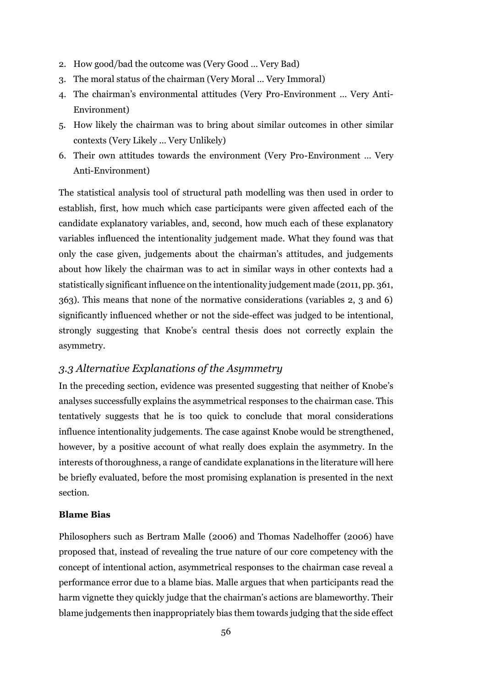- 2. How good/bad the outcome was (Very Good … Very Bad)
- 3. The moral status of the chairman (Very Moral … Very Immoral)
- 4. The chairman's environmental attitudes (Very Pro-Environment … Very Anti-Environment)
- 5. How likely the chairman was to bring about similar outcomes in other similar contexts (Very Likely … Very Unlikely)
- 6. Their own attitudes towards the environment (Very Pro-Environment … Very Anti-Environment)

The statistical analysis tool of structural path modelling was then used in order to establish, first, how much which case participants were given affected each of the candidate explanatory variables, and, second, how much each of these explanatory variables influenced the intentionality judgement made. What they found was that only the case given, judgements about the chairman's attitudes, and judgements about how likely the chairman was to act in similar ways in other contexts had a statistically significant influence on the intentionality judgement made (2011, pp. 361, 363). This means that none of the normative considerations (variables 2, 3 and 6) significantly influenced whether or not the side-effect was judged to be intentional, strongly suggesting that Knobe's central thesis does not correctly explain the asymmetry.

## *3.3 Alternative Explanations of the Asymmetry*

In the preceding section, evidence was presented suggesting that neither of Knobe's analyses successfully explains the asymmetrical responses to the chairman case. This tentatively suggests that he is too quick to conclude that moral considerations influence intentionality judgements. The case against Knobe would be strengthened, however, by a positive account of what really does explain the asymmetry. In the interests of thoroughness, a range of candidate explanations in the literature will here be briefly evaluated, before the most promising explanation is presented in the next section.

### **Blame Bias**

Philosophers such as Bertram Malle (2006) and Thomas Nadelhoffer (2006) have proposed that, instead of revealing the true nature of our core competency with the concept of intentional action, asymmetrical responses to the chairman case reveal a performance error due to a blame bias. Malle argues that when participants read the harm vignette they quickly judge that the chairman's actions are blameworthy. Their blame judgements then inappropriately bias them towards judging that the side effect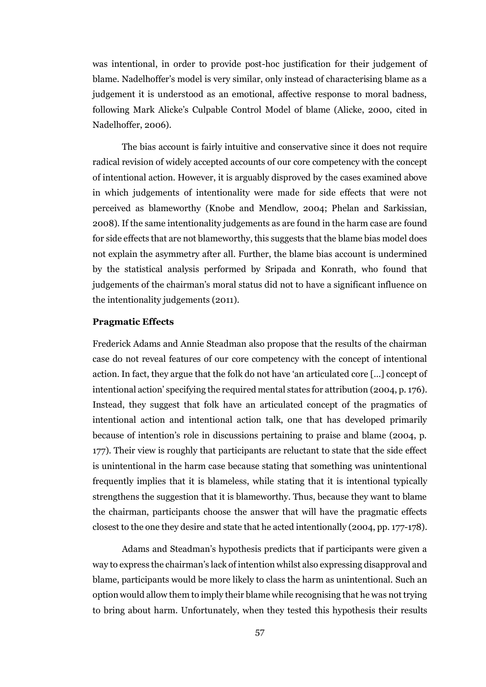was intentional, in order to provide post-hoc justification for their judgement of blame. Nadelhoffer's model is very similar, only instead of characterising blame as a judgement it is understood as an emotional, affective response to moral badness, following Mark Alicke's Culpable Control Model of blame (Alicke, 2000, cited in Nadelhoffer, 2006).

The bias account is fairly intuitive and conservative since it does not require radical revision of widely accepted accounts of our core competency with the concept of intentional action. However, it is arguably disproved by the cases examined above in which judgements of intentionality were made for side effects that were not perceived as blameworthy (Knobe and Mendlow, 2004; Phelan and Sarkissian, 2008). If the same intentionality judgements as are found in the harm case are found for side effects that are not blameworthy, this suggests that the blame bias model does not explain the asymmetry after all. Further, the blame bias account is undermined by the statistical analysis performed by Sripada and Konrath, who found that judgements of the chairman's moral status did not to have a significant influence on the intentionality judgements (2011).

#### **Pragmatic Effects**

Frederick Adams and Annie Steadman also propose that the results of the chairman case do not reveal features of our core competency with the concept of intentional action. In fact, they argue that the folk do not have 'an articulated core […] concept of intentional action' specifying the required mental states for attribution (2004, p. 176). Instead, they suggest that folk have an articulated concept of the pragmatics of intentional action and intentional action talk, one that has developed primarily because of intention's role in discussions pertaining to praise and blame (2004, p. 177). Their view is roughly that participants are reluctant to state that the side effect is unintentional in the harm case because stating that something was unintentional frequently implies that it is blameless, while stating that it is intentional typically strengthens the suggestion that it is blameworthy. Thus, because they want to blame the chairman, participants choose the answer that will have the pragmatic effects closest to the one they desire and state that he acted intentionally (2004, pp. 177-178).

Adams and Steadman's hypothesis predicts that if participants were given a way to express the chairman's lack of intention whilst also expressing disapproval and blame, participants would be more likely to class the harm as unintentional. Such an option would allow them to imply their blame while recognising that he was not trying to bring about harm. Unfortunately, when they tested this hypothesis their results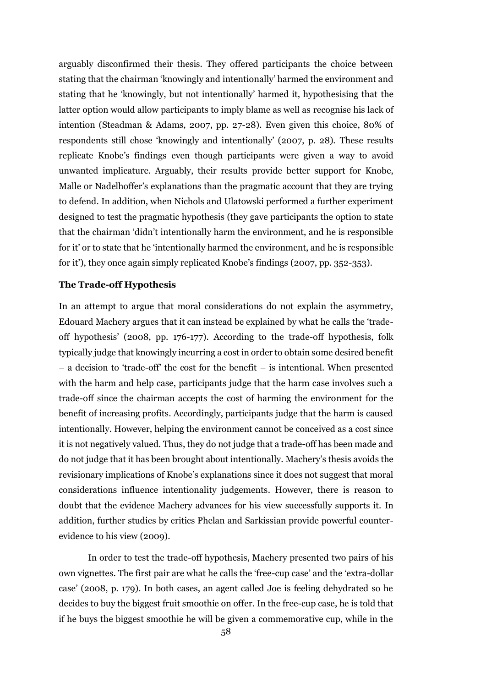arguably disconfirmed their thesis. They offered participants the choice between stating that the chairman 'knowingly and intentionally' harmed the environment and stating that he 'knowingly, but not intentionally' harmed it, hypothesising that the latter option would allow participants to imply blame as well as recognise his lack of intention (Steadman & Adams, 2007, pp. 27-28). Even given this choice, 80% of respondents still chose 'knowingly and intentionally' (2007, p. 28). These results replicate Knobe's findings even though participants were given a way to avoid unwanted implicature. Arguably, their results provide better support for Knobe, Malle or Nadelhoffer's explanations than the pragmatic account that they are trying to defend. In addition, when Nichols and Ulatowski performed a further experiment designed to test the pragmatic hypothesis (they gave participants the option to state that the chairman 'didn't intentionally harm the environment, and he is responsible for it' or to state that he 'intentionally harmed the environment, and he is responsible for it'), they once again simply replicated Knobe's findings (2007, pp. 352-353).

#### **The Trade-off Hypothesis**

In an attempt to argue that moral considerations do not explain the asymmetry, Edouard Machery argues that it can instead be explained by what he calls the 'tradeoff hypothesis' (2008, pp. 176-177). According to the trade-off hypothesis, folk typically judge that knowingly incurring a cost in order to obtain some desired benefit – a decision to 'trade-off' the cost for the benefit – is intentional. When presented with the harm and help case, participants judge that the harm case involves such a trade-off since the chairman accepts the cost of harming the environment for the benefit of increasing profits. Accordingly, participants judge that the harm is caused intentionally. However, helping the environment cannot be conceived as a cost since it is not negatively valued. Thus, they do not judge that a trade-off has been made and do not judge that it has been brought about intentionally. Machery's thesis avoids the revisionary implications of Knobe's explanations since it does not suggest that moral considerations influence intentionality judgements. However, there is reason to doubt that the evidence Machery advances for his view successfully supports it. In addition, further studies by critics Phelan and Sarkissian provide powerful counterevidence to his view (2009).

In order to test the trade-off hypothesis, Machery presented two pairs of his own vignettes. The first pair are what he calls the 'free-cup case' and the 'extra-dollar case' (2008, p. 179). In both cases, an agent called Joe is feeling dehydrated so he decides to buy the biggest fruit smoothie on offer. In the free-cup case, he is told that if he buys the biggest smoothie he will be given a commemorative cup, while in the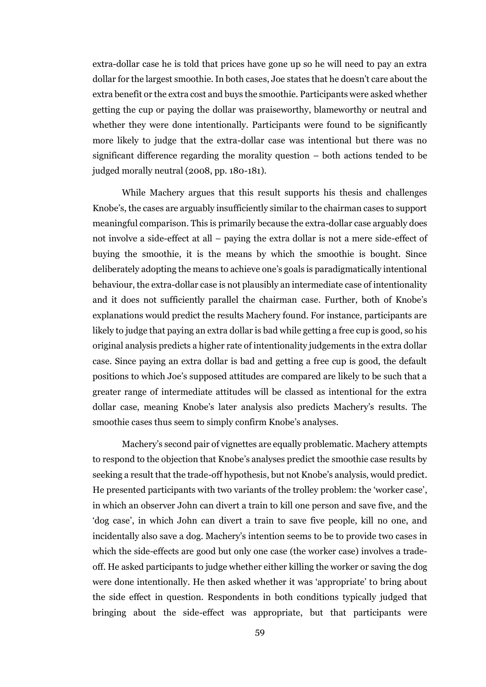extra-dollar case he is told that prices have gone up so he will need to pay an extra dollar for the largest smoothie. In both cases, Joe states that he doesn't care about the extra benefit or the extra cost and buys the smoothie. Participants were asked whether getting the cup or paying the dollar was praiseworthy, blameworthy or neutral and whether they were done intentionally. Participants were found to be significantly more likely to judge that the extra-dollar case was intentional but there was no significant difference regarding the morality question – both actions tended to be judged morally neutral (2008, pp. 180-181).

While Machery argues that this result supports his thesis and challenges Knobe's, the cases are arguably insufficiently similar to the chairman cases to support meaningful comparison. This is primarily because the extra-dollar case arguably does not involve a side-effect at all – paying the extra dollar is not a mere side-effect of buying the smoothie, it is the means by which the smoothie is bought. Since deliberately adopting the means to achieve one's goals is paradigmatically intentional behaviour, the extra-dollar case is not plausibly an intermediate case of intentionality and it does not sufficiently parallel the chairman case. Further, both of Knobe's explanations would predict the results Machery found. For instance, participants are likely to judge that paying an extra dollar is bad while getting a free cup is good, so his original analysis predicts a higher rate of intentionality judgements in the extra dollar case. Since paying an extra dollar is bad and getting a free cup is good, the default positions to which Joe's supposed attitudes are compared are likely to be such that a greater range of intermediate attitudes will be classed as intentional for the extra dollar case, meaning Knobe's later analysis also predicts Machery's results. The smoothie cases thus seem to simply confirm Knobe's analyses.

Machery's second pair of vignettes are equally problematic. Machery attempts to respond to the objection that Knobe's analyses predict the smoothie case results by seeking a result that the trade-off hypothesis, but not Knobe's analysis, would predict. He presented participants with two variants of the trolley problem: the 'worker case', in which an observer John can divert a train to kill one person and save five, and the 'dog case', in which John can divert a train to save five people, kill no one, and incidentally also save a dog. Machery's intention seems to be to provide two cases in which the side-effects are good but only one case (the worker case) involves a tradeoff. He asked participants to judge whether either killing the worker or saving the dog were done intentionally. He then asked whether it was 'appropriate' to bring about the side effect in question. Respondents in both conditions typically judged that bringing about the side-effect was appropriate, but that participants were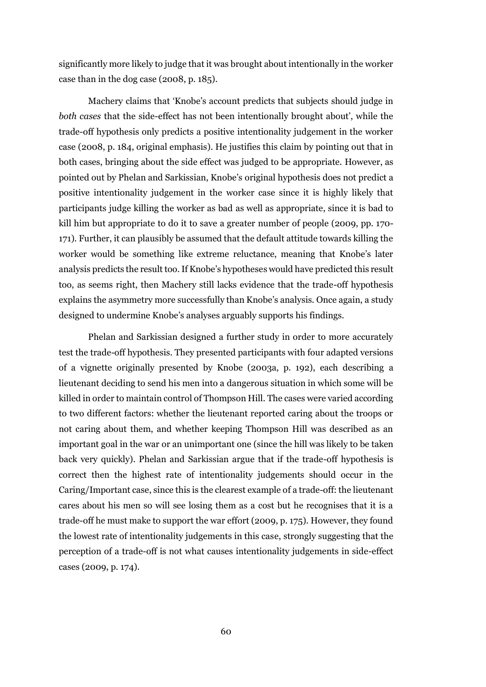significantly more likely to judge that it was brought about intentionally in the worker case than in the dog case (2008, p. 185).

Machery claims that 'Knobe's account predicts that subjects should judge in *both cases* that the side-effect has not been intentionally brought about', while the trade-off hypothesis only predicts a positive intentionality judgement in the worker case (2008, p. 184, original emphasis). He justifies this claim by pointing out that in both cases, bringing about the side effect was judged to be appropriate. However, as pointed out by Phelan and Sarkissian, Knobe's original hypothesis does not predict a positive intentionality judgement in the worker case since it is highly likely that participants judge killing the worker as bad as well as appropriate, since it is bad to kill him but appropriate to do it to save a greater number of people (2009, pp. 170- 171). Further, it can plausibly be assumed that the default attitude towards killing the worker would be something like extreme reluctance, meaning that Knobe's later analysis predicts the result too. If Knobe's hypotheses would have predicted this result too, as seems right, then Machery still lacks evidence that the trade-off hypothesis explains the asymmetry more successfully than Knobe's analysis. Once again, a study designed to undermine Knobe's analyses arguably supports his findings.

Phelan and Sarkissian designed a further study in order to more accurately test the trade-off hypothesis. They presented participants with four adapted versions of a vignette originally presented by Knobe (2003a, p. 192), each describing a lieutenant deciding to send his men into a dangerous situation in which some will be killed in order to maintain control of Thompson Hill. The cases were varied according to two different factors: whether the lieutenant reported caring about the troops or not caring about them, and whether keeping Thompson Hill was described as an important goal in the war or an unimportant one (since the hill was likely to be taken back very quickly). Phelan and Sarkissian argue that if the trade-off hypothesis is correct then the highest rate of intentionality judgements should occur in the Caring/Important case, since this is the clearest example of a trade-off: the lieutenant cares about his men so will see losing them as a cost but he recognises that it is a trade-off he must make to support the war effort (2009, p. 175). However, they found the lowest rate of intentionality judgements in this case, strongly suggesting that the perception of a trade-off is not what causes intentionality judgements in side-effect cases (2009, p. 174).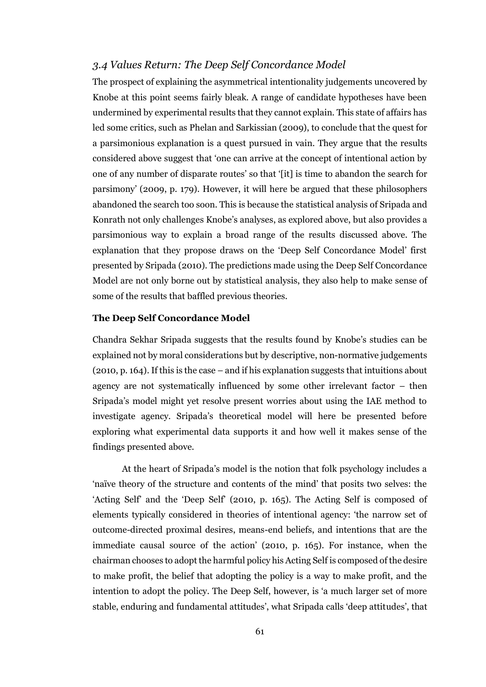### *3.4 Values Return: The Deep Self Concordance Model*

The prospect of explaining the asymmetrical intentionality judgements uncovered by Knobe at this point seems fairly bleak. A range of candidate hypotheses have been undermined by experimental results that they cannot explain. This state of affairs has led some critics, such as Phelan and Sarkissian (2009), to conclude that the quest for a parsimonious explanation is a quest pursued in vain. They argue that the results considered above suggest that 'one can arrive at the concept of intentional action by one of any number of disparate routes' so that '[it] is time to abandon the search for parsimony' (2009, p. 179). However, it will here be argued that these philosophers abandoned the search too soon. This is because the statistical analysis of Sripada and Konrath not only challenges Knobe's analyses, as explored above, but also provides a parsimonious way to explain a broad range of the results discussed above. The explanation that they propose draws on the 'Deep Self Concordance Model' first presented by Sripada (2010). The predictions made using the Deep Self Concordance Model are not only borne out by statistical analysis, they also help to make sense of some of the results that baffled previous theories.

#### **The Deep Self Concordance Model**

Chandra Sekhar Sripada suggests that the results found by Knobe's studies can be explained not by moral considerations but by descriptive, non-normative judgements (2010, p. 164). If this is the case – and if his explanation suggests that intuitions about agency are not systematically influenced by some other irrelevant factor – then Sripada's model might yet resolve present worries about using the IAE method to investigate agency. Sripada's theoretical model will here be presented before exploring what experimental data supports it and how well it makes sense of the findings presented above.

At the heart of Sripada's model is the notion that folk psychology includes a 'naïve theory of the structure and contents of the mind' that posits two selves: the 'Acting Self' and the 'Deep Self' (2010, p. 165). The Acting Self is composed of elements typically considered in theories of intentional agency: 'the narrow set of outcome-directed proximal desires, means-end beliefs, and intentions that are the immediate causal source of the action' (2010, p. 165). For instance, when the chairman chooses to adopt the harmful policy his Acting Self is composed of the desire to make profit, the belief that adopting the policy is a way to make profit, and the intention to adopt the policy. The Deep Self, however, is 'a much larger set of more stable, enduring and fundamental attitudes', what Sripada calls 'deep attitudes', that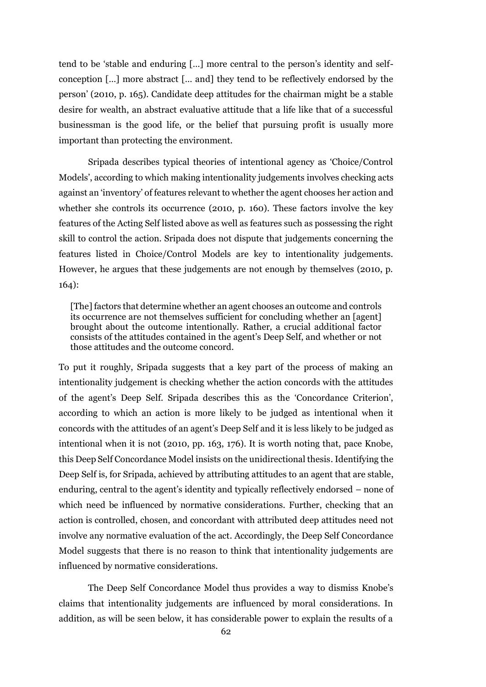tend to be 'stable and enduring […] more central to the person's identity and selfconception […] more abstract [… and] they tend to be reflectively endorsed by the person' (2010, p. 165). Candidate deep attitudes for the chairman might be a stable desire for wealth, an abstract evaluative attitude that a life like that of a successful businessman is the good life, or the belief that pursuing profit is usually more important than protecting the environment.

Sripada describes typical theories of intentional agency as 'Choice/Control Models', according to which making intentionality judgements involves checking acts against an 'inventory' of features relevant to whether the agent chooses her action and whether she controls its occurrence (2010, p. 160). These factors involve the key features of the Acting Self listed above as well as features such as possessing the right skill to control the action. Sripada does not dispute that judgements concerning the features listed in Choice/Control Models are key to intentionality judgements. However, he argues that these judgements are not enough by themselves (2010, p. 164):

[The] factors that determine whether an agent chooses an outcome and controls its occurrence are not themselves sufficient for concluding whether an [agent] brought about the outcome intentionally. Rather, a crucial additional factor consists of the attitudes contained in the agent's Deep Self, and whether or not those attitudes and the outcome concord.

To put it roughly, Sripada suggests that a key part of the process of making an intentionality judgement is checking whether the action concords with the attitudes of the agent's Deep Self. Sripada describes this as the 'Concordance Criterion', according to which an action is more likely to be judged as intentional when it concords with the attitudes of an agent's Deep Self and it is less likely to be judged as intentional when it is not (2010, pp. 163, 176). It is worth noting that, pace Knobe, this Deep Self Concordance Model insists on the unidirectional thesis. Identifying the Deep Self is, for Sripada, achieved by attributing attitudes to an agent that are stable, enduring, central to the agent's identity and typically reflectively endorsed – none of which need be influenced by normative considerations. Further, checking that an action is controlled, chosen, and concordant with attributed deep attitudes need not involve any normative evaluation of the act. Accordingly, the Deep Self Concordance Model suggests that there is no reason to think that intentionality judgements are influenced by normative considerations.

The Deep Self Concordance Model thus provides a way to dismiss Knobe's claims that intentionality judgements are influenced by moral considerations. In addition, as will be seen below, it has considerable power to explain the results of a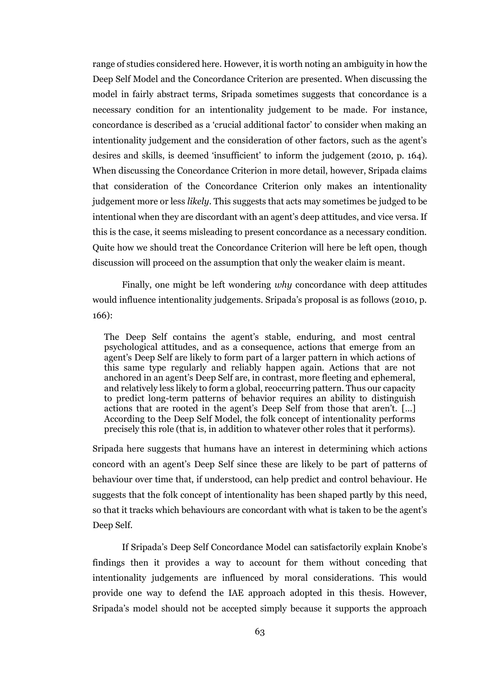range of studies considered here. However, it is worth noting an ambiguity in how the Deep Self Model and the Concordance Criterion are presented. When discussing the model in fairly abstract terms, Sripada sometimes suggests that concordance is a necessary condition for an intentionality judgement to be made. For instance, concordance is described as a 'crucial additional factor' to consider when making an intentionality judgement and the consideration of other factors, such as the agent's desires and skills, is deemed 'insufficient' to inform the judgement (2010, p. 164). When discussing the Concordance Criterion in more detail, however, Sripada claims that consideration of the Concordance Criterion only makes an intentionality judgement more or less *likely*. This suggests that acts may sometimes be judged to be intentional when they are discordant with an agent's deep attitudes, and vice versa. If this is the case, it seems misleading to present concordance as a necessary condition. Quite how we should treat the Concordance Criterion will here be left open, though discussion will proceed on the assumption that only the weaker claim is meant.

Finally, one might be left wondering *why* concordance with deep attitudes would influence intentionality judgements. Sripada's proposal is as follows (2010, p. 166):

The Deep Self contains the agent's stable, enduring, and most central psychological attitudes, and as a consequence, actions that emerge from an agent's Deep Self are likely to form part of a larger pattern in which actions of this same type regularly and reliably happen again. Actions that are not anchored in an agent's Deep Self are, in contrast, more fleeting and ephemeral, and relatively less likely to form a global, reoccurring pattern. Thus our capacity to predict long-term patterns of behavior requires an ability to distinguish actions that are rooted in the agent's Deep Self from those that aren't. […] According to the Deep Self Model, the folk concept of intentionality performs precisely this role (that is, in addition to whatever other roles that it performs).

Sripada here suggests that humans have an interest in determining which actions concord with an agent's Deep Self since these are likely to be part of patterns of behaviour over time that, if understood, can help predict and control behaviour. He suggests that the folk concept of intentionality has been shaped partly by this need, so that it tracks which behaviours are concordant with what is taken to be the agent's Deep Self.

If Sripada's Deep Self Concordance Model can satisfactorily explain Knobe's findings then it provides a way to account for them without conceding that intentionality judgements are influenced by moral considerations. This would provide one way to defend the IAE approach adopted in this thesis. However, Sripada's model should not be accepted simply because it supports the approach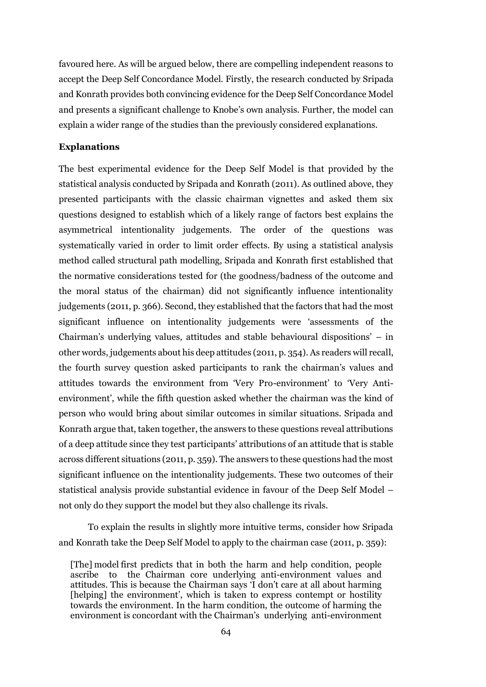favoured here. As will be argued below, there are compelling independent reasons to accept the Deep Self Concordance Model. Firstly, the research conducted by Sripada and Konrath provides both convincing evidence for the Deep Self Concordance Model and presents a significant challenge to Knobe's own analysis. Further, the model can explain a wider range of the studies than the previously considered explanations.

### **Explanations**

The best experimental evidence for the Deep Self Model is that provided by the statistical analysis conducted by Sripada and Konrath (2011). As outlined above, they presented participants with the classic chairman vignettes and asked them six questions designed to establish which of a likely range of factors best explains the asymmetrical intentionality judgements. The order of the questions was systematically varied in order to limit order effects. By using a statistical analysis method called structural path modelling, Sripada and Konrath first established that the normative considerations tested for (the goodness/badness of the outcome and the moral status of the chairman) did not significantly influence intentionality judgements (2011, p. 366). Second, they established that the factors that had the most significant influence on intentionality judgements were 'assessments of the Chairman's underlying values, attitudes and stable behavioural dispositions' – in other words, judgements about his deep attitudes (2011, p. 354). As readers will recall, the fourth survey question asked participants to rank the chairman's values and attitudes towards the environment from 'Very Pro-environment' to 'Very Antienvironment', while the fifth question asked whether the chairman was the kind of person who would bring about similar outcomes in similar situations. Sripada and Konrath argue that, taken together, the answers to these questions reveal attributions of a deep attitude since they test participants' attributions of an attitude that is stable across different situations (2011, p. 359). The answers to these questions had the most significant influence on the intentionality judgements. These two outcomes of their statistical analysis provide substantial evidence in favour of the Deep Self Model – not only do they support the model but they also challenge its rivals.

To explain the results in slightly more intuitive terms, consider how Sripada and Konrath take the Deep Self Model to apply to the chairman case (2011, p. 359):

<sup>[</sup>The] model first predicts that in both the harm and help condition, people ascribe to the Chairman core underlying anti-environment values and attitudes. This is because the Chairman says 'I don't care at all about harming [helping] the environment', which is taken to express contempt or hostility towards the environment. In the harm condition, the outcome of harming the environment is concordant with the Chairman's underlying anti-environment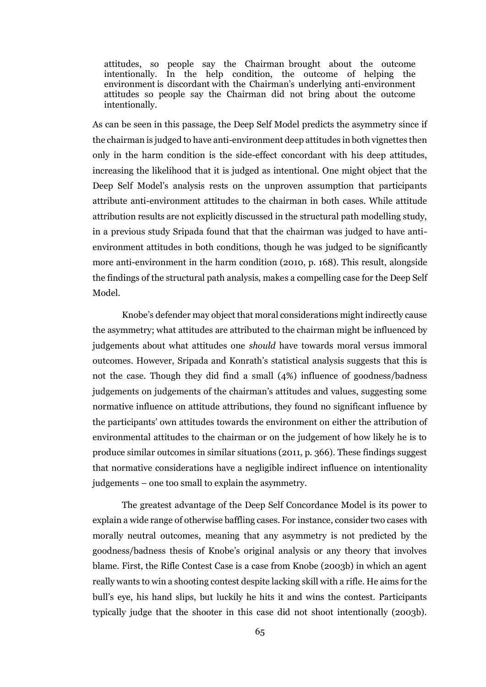attitudes, so people say the Chairman brought about the outcome intentionally. In the help condition, the outcome of helping the environment is discordant with the Chairman's underlying anti-environment attitudes so people say the Chairman did not bring about the outcome intentionally.

As can be seen in this passage, the Deep Self Model predicts the asymmetry since if the chairman is judged to have anti-environment deep attitudes in both vignettes then only in the harm condition is the side-effect concordant with his deep attitudes, increasing the likelihood that it is judged as intentional. One might object that the Deep Self Model's analysis rests on the unproven assumption that participants attribute anti-environment attitudes to the chairman in both cases. While attitude attribution results are not explicitly discussed in the structural path modelling study, in a previous study Sripada found that that the chairman was judged to have antienvironment attitudes in both conditions, though he was judged to be significantly more anti-environment in the harm condition (2010, p. 168). This result, alongside the findings of the structural path analysis, makes a compelling case for the Deep Self Model.

Knobe's defender may object that moral considerations might indirectly cause the asymmetry; what attitudes are attributed to the chairman might be influenced by judgements about what attitudes one *should* have towards moral versus immoral outcomes. However, Sripada and Konrath's statistical analysis suggests that this is not the case. Though they did find a small (4%) influence of goodness/badness judgements on judgements of the chairman's attitudes and values, suggesting some normative influence on attitude attributions, they found no significant influence by the participants' own attitudes towards the environment on either the attribution of environmental attitudes to the chairman or on the judgement of how likely he is to produce similar outcomes in similar situations (2011, p. 366). These findings suggest that normative considerations have a negligible indirect influence on intentionality judgements – one too small to explain the asymmetry.

The greatest advantage of the Deep Self Concordance Model is its power to explain a wide range of otherwise baffling cases. For instance, consider two cases with morally neutral outcomes, meaning that any asymmetry is not predicted by the goodness/badness thesis of Knobe's original analysis or any theory that involves blame. First, the Rifle Contest Case is a case from Knobe (2003b) in which an agent really wants to win a shooting contest despite lacking skill with a rifle. He aims for the bull's eye, his hand slips, but luckily he hits it and wins the contest. Participants typically judge that the shooter in this case did not shoot intentionally (2003b).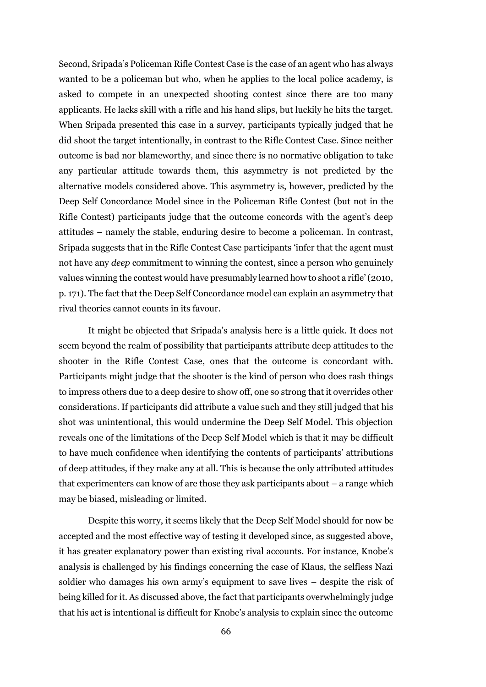Second, Sripada's Policeman Rifle Contest Case is the case of an agent who has always wanted to be a policeman but who, when he applies to the local police academy, is asked to compete in an unexpected shooting contest since there are too many applicants. He lacks skill with a rifle and his hand slips, but luckily he hits the target. When Sripada presented this case in a survey, participants typically judged that he did shoot the target intentionally, in contrast to the Rifle Contest Case. Since neither outcome is bad nor blameworthy, and since there is no normative obligation to take any particular attitude towards them, this asymmetry is not predicted by the alternative models considered above. This asymmetry is, however, predicted by the Deep Self Concordance Model since in the Policeman Rifle Contest (but not in the Rifle Contest) participants judge that the outcome concords with the agent's deep attitudes – namely the stable, enduring desire to become a policeman. In contrast, Sripada suggests that in the Rifle Contest Case participants 'infer that the agent must not have any *deep* commitment to winning the contest, since a person who genuinely values winning the contest would have presumably learned how to shoot a rifle' (2010, p. 171). The fact that the Deep Self Concordance model can explain an asymmetry that rival theories cannot counts in its favour.

It might be objected that Sripada's analysis here is a little quick. It does not seem beyond the realm of possibility that participants attribute deep attitudes to the shooter in the Rifle Contest Case, ones that the outcome is concordant with. Participants might judge that the shooter is the kind of person who does rash things to impress others due to a deep desire to show off, one so strong that it overrides other considerations. If participants did attribute a value such and they still judged that his shot was unintentional, this would undermine the Deep Self Model. This objection reveals one of the limitations of the Deep Self Model which is that it may be difficult to have much confidence when identifying the contents of participants' attributions of deep attitudes, if they make any at all. This is because the only attributed attitudes that experimenters can know of are those they ask participants about – a range which may be biased, misleading or limited.

Despite this worry, it seems likely that the Deep Self Model should for now be accepted and the most effective way of testing it developed since, as suggested above, it has greater explanatory power than existing rival accounts. For instance, Knobe's analysis is challenged by his findings concerning the case of Klaus, the selfless Nazi soldier who damages his own army's equipment to save lives – despite the risk of being killed for it. As discussed above, the fact that participants overwhelmingly judge that his act is intentional is difficult for Knobe's analysis to explain since the outcome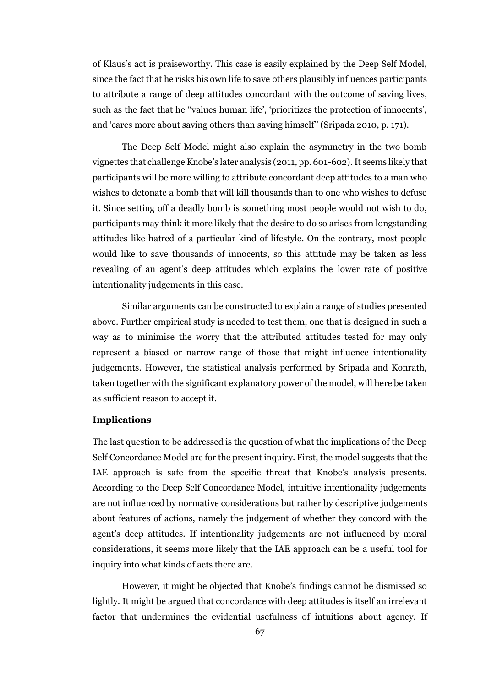of Klaus's act is praiseworthy. This case is easily explained by the Deep Self Model, since the fact that he risks his own life to save others plausibly influences participants to attribute a range of deep attitudes concordant with the outcome of saving lives, such as the fact that he ''values human life', 'prioritizes the protection of innocents', and 'cares more about saving others than saving himself'' (Sripada 2010, p. 171).

The Deep Self Model might also explain the asymmetry in the two bomb vignettes that challenge Knobe's later analysis (2011, pp. 601-602). It seems likely that participants will be more willing to attribute concordant deep attitudes to a man who wishes to detonate a bomb that will kill thousands than to one who wishes to defuse it. Since setting off a deadly bomb is something most people would not wish to do, participants may think it more likely that the desire to do so arises from longstanding attitudes like hatred of a particular kind of lifestyle. On the contrary, most people would like to save thousands of innocents, so this attitude may be taken as less revealing of an agent's deep attitudes which explains the lower rate of positive intentionality judgements in this case.

Similar arguments can be constructed to explain a range of studies presented above. Further empirical study is needed to test them, one that is designed in such a way as to minimise the worry that the attributed attitudes tested for may only represent a biased or narrow range of those that might influence intentionality judgements. However, the statistical analysis performed by Sripada and Konrath, taken together with the significant explanatory power of the model, will here be taken as sufficient reason to accept it.

#### **Implications**

The last question to be addressed is the question of what the implications of the Deep Self Concordance Model are for the present inquiry. First, the model suggests that the IAE approach is safe from the specific threat that Knobe's analysis presents. According to the Deep Self Concordance Model, intuitive intentionality judgements are not influenced by normative considerations but rather by descriptive judgements about features of actions, namely the judgement of whether they concord with the agent's deep attitudes. If intentionality judgements are not influenced by moral considerations, it seems more likely that the IAE approach can be a useful tool for inquiry into what kinds of acts there are.

However, it might be objected that Knobe's findings cannot be dismissed so lightly. It might be argued that concordance with deep attitudes is itself an irrelevant factor that undermines the evidential usefulness of intuitions about agency. If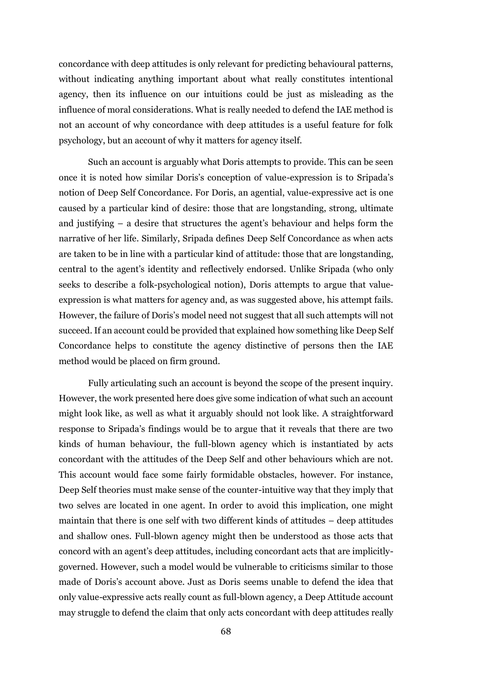concordance with deep attitudes is only relevant for predicting behavioural patterns, without indicating anything important about what really constitutes intentional agency, then its influence on our intuitions could be just as misleading as the influence of moral considerations. What is really needed to defend the IAE method is not an account of why concordance with deep attitudes is a useful feature for folk psychology, but an account of why it matters for agency itself.

Such an account is arguably what Doris attempts to provide. This can be seen once it is noted how similar Doris's conception of value-expression is to Sripada's notion of Deep Self Concordance. For Doris, an agential, value-expressive act is one caused by a particular kind of desire: those that are longstanding, strong, ultimate and justifying – a desire that structures the agent's behaviour and helps form the narrative of her life. Similarly, Sripada defines Deep Self Concordance as when acts are taken to be in line with a particular kind of attitude: those that are longstanding, central to the agent's identity and reflectively endorsed. Unlike Sripada (who only seeks to describe a folk-psychological notion), Doris attempts to argue that valueexpression is what matters for agency and, as was suggested above, his attempt fails. However, the failure of Doris's model need not suggest that all such attempts will not succeed. If an account could be provided that explained how something like Deep Self Concordance helps to constitute the agency distinctive of persons then the IAE method would be placed on firm ground.

Fully articulating such an account is beyond the scope of the present inquiry. However, the work presented here does give some indication of what such an account might look like, as well as what it arguably should not look like. A straightforward response to Sripada's findings would be to argue that it reveals that there are two kinds of human behaviour, the full-blown agency which is instantiated by acts concordant with the attitudes of the Deep Self and other behaviours which are not. This account would face some fairly formidable obstacles, however. For instance, Deep Self theories must make sense of the counter-intuitive way that they imply that two selves are located in one agent. In order to avoid this implication, one might maintain that there is one self with two different kinds of attitudes – deep attitudes and shallow ones. Full-blown agency might then be understood as those acts that concord with an agent's deep attitudes, including concordant acts that are implicitlygoverned. However, such a model would be vulnerable to criticisms similar to those made of Doris's account above. Just as Doris seems unable to defend the idea that only value-expressive acts really count as full-blown agency, a Deep Attitude account may struggle to defend the claim that only acts concordant with deep attitudes really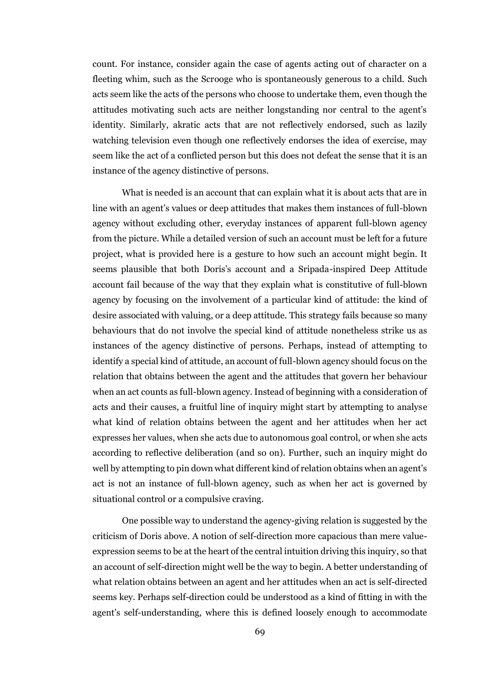count. For instance, consider again the case of agents acting out of character on a fleeting whim, such as the Scrooge who is spontaneously generous to a child. Such acts seem like the acts of the persons who choose to undertake them, even though the attitudes motivating such acts are neither longstanding nor central to the agent's identity. Similarly, akratic acts that are not reflectively endorsed, such as lazily watching television even though one reflectively endorses the idea of exercise, may seem like the act of a conflicted person but this does not defeat the sense that it is an instance of the agency distinctive of persons.

What is needed is an account that can explain what it is about acts that are in line with an agent's values or deep attitudes that makes them instances of full-blown agency without excluding other, everyday instances of apparent full-blown agency from the picture. While a detailed version of such an account must be left for a future project, what is provided here is a gesture to how such an account might begin. It seems plausible that both Doris's account and a Sripada-inspired Deep Attitude account fail because of the way that they explain what is constitutive of full-blown agency by focusing on the involvement of a particular kind of attitude: the kind of desire associated with valuing, or a deep attitude. This strategy fails because so many behaviours that do not involve the special kind of attitude nonetheless strike us as instances of the agency distinctive of persons. Perhaps, instead of attempting to identify a special kind of attitude, an account of full-blown agency should focus on the relation that obtains between the agent and the attitudes that govern her behaviour when an act counts as full-blown agency. Instead of beginning with a consideration of acts and their causes, a fruitful line of inquiry might start by attempting to analyse what kind of relation obtains between the agent and her attitudes when her act expresses her values, when she acts due to autonomous goal control, or when she acts according to reflective deliberation (and so on). Further, such an inquiry might do well by attempting to pin down what different kind of relation obtains when an agent's act is not an instance of full-blown agency, such as when her act is governed by situational control or a compulsive craving.

One possible way to understand the agency-giving relation is suggested by the criticism of Doris above. A notion of self-direction more capacious than mere valueexpression seems to be at the heart of the central intuition driving this inquiry, so that an account of self-direction might well be the way to begin. A better understanding of what relation obtains between an agent and her attitudes when an act is self-directed seems key. Perhaps self-direction could be understood as a kind of fitting in with the agent's self-understanding, where this is defined loosely enough to accommodate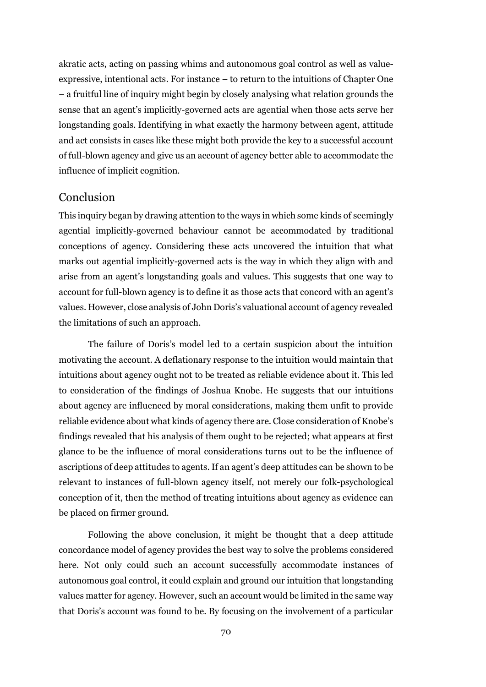akratic acts, acting on passing whims and autonomous goal control as well as valueexpressive, intentional acts. For instance – to return to the intuitions of Chapter One – a fruitful line of inquiry might begin by closely analysing what relation grounds the sense that an agent's implicitly-governed acts are agential when those acts serve her longstanding goals. Identifying in what exactly the harmony between agent, attitude and act consists in cases like these might both provide the key to a successful account of full-blown agency and give us an account of agency better able to accommodate the influence of implicit cognition.

# Conclusion

This inquiry began by drawing attention to the ways in which some kinds of seemingly agential implicitly-governed behaviour cannot be accommodated by traditional conceptions of agency. Considering these acts uncovered the intuition that what marks out agential implicitly-governed acts is the way in which they align with and arise from an agent's longstanding goals and values. This suggests that one way to account for full-blown agency is to define it as those acts that concord with an agent's values. However, close analysis of John Doris's valuational account of agency revealed the limitations of such an approach.

The failure of Doris's model led to a certain suspicion about the intuition motivating the account. A deflationary response to the intuition would maintain that intuitions about agency ought not to be treated as reliable evidence about it. This led to consideration of the findings of Joshua Knobe. He suggests that our intuitions about agency are influenced by moral considerations, making them unfit to provide reliable evidence about what kinds of agency there are. Close consideration of Knobe's findings revealed that his analysis of them ought to be rejected; what appears at first glance to be the influence of moral considerations turns out to be the influence of ascriptions of deep attitudes to agents. If an agent's deep attitudes can be shown to be relevant to instances of full-blown agency itself, not merely our folk-psychological conception of it, then the method of treating intuitions about agency as evidence can be placed on firmer ground.

Following the above conclusion, it might be thought that a deep attitude concordance model of agency provides the best way to solve the problems considered here. Not only could such an account successfully accommodate instances of autonomous goal control, it could explain and ground our intuition that longstanding values matter for agency. However, such an account would be limited in the same way that Doris's account was found to be. By focusing on the involvement of a particular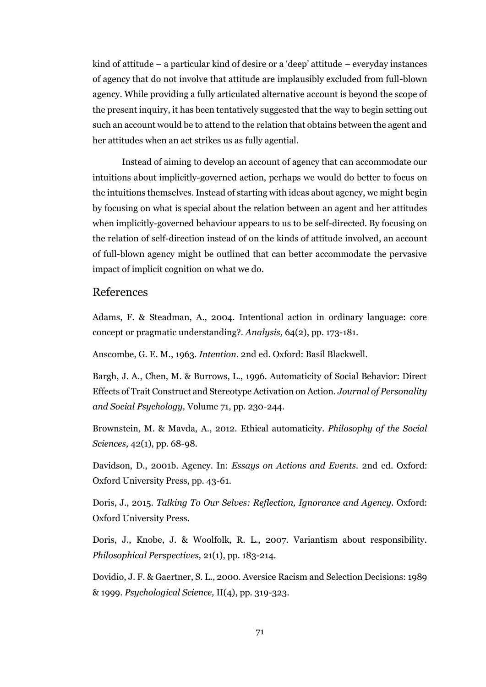kind of attitude – a particular kind of desire or a 'deep' attitude – everyday instances of agency that do not involve that attitude are implausibly excluded from full-blown agency. While providing a fully articulated alternative account is beyond the scope of the present inquiry, it has been tentatively suggested that the way to begin setting out such an account would be to attend to the relation that obtains between the agent and her attitudes when an act strikes us as fully agential.

Instead of aiming to develop an account of agency that can accommodate our intuitions about implicitly-governed action, perhaps we would do better to focus on the intuitions themselves. Instead of starting with ideas about agency, we might begin by focusing on what is special about the relation between an agent and her attitudes when implicitly-governed behaviour appears to us to be self-directed. By focusing on the relation of self-direction instead of on the kinds of attitude involved, an account of full-blown agency might be outlined that can better accommodate the pervasive impact of implicit cognition on what we do.

# References

Adams, F. & Steadman, A., 2004. Intentional action in ordinary language: core concept or pragmatic understanding?. *Analysis,* 64(2), pp. 173-181.

Anscombe, G. E. M., 1963. *Intention.* 2nd ed. Oxford: Basil Blackwell.

Bargh, J. A., Chen, M. & Burrows, L., 1996. Automaticity of Social Behavior: Direct Effects of Trait Construct and Stereotype Activation on Action. *Journal of Personality and Social Psychology,* Volume 71, pp. 230-244.

Brownstein, M. & Mavda, A., 2012. Ethical automaticity. *Philosophy of the Social Sciences,* 42(1), pp. 68-98.

Davidson, D., 2001b. Agency. In: *Essays on Actions and Events.* 2nd ed. Oxford: Oxford University Press, pp. 43-61.

Doris, J., 2015. *Talking To Our Selves: Reflection, Ignorance and Agency.* Oxford: Oxford University Press.

Doris, J., Knobe, J. & Woolfolk, R. L., 2007. Variantism about responsibility. *Philosophical Perspectives,* 21(1), pp. 183-214.

Dovidio, J. F. & Gaertner, S. L., 2000. Aversice Racism and Selection Decisions: 1989 & 1999. *Psychological Science,* II(4), pp. 319-323.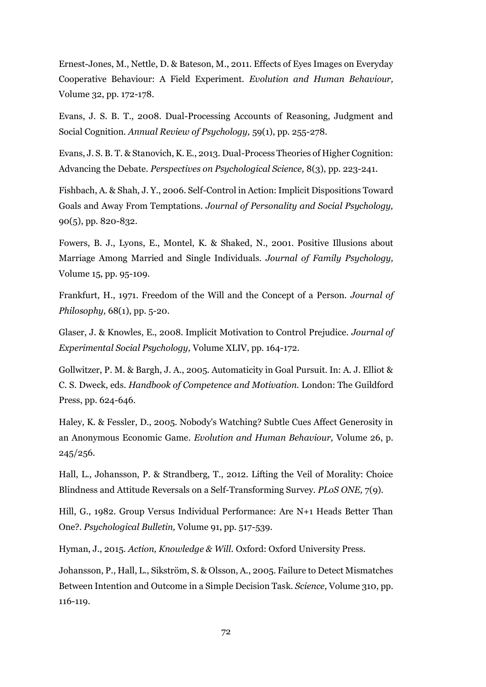Ernest-Jones, M., Nettle, D. & Bateson, M., 2011. Effects of Eyes Images on Everyday Cooperative Behaviour: A Field Experiment. *Evolution and Human Behaviour,*  Volume 32, pp. 172-178.

Evans, J. S. B. T., 2008. Dual-Processing Accounts of Reasoning, Judgment and Social Cognition. *Annual Review of Psychology,* 59(1), pp. 255-278.

Evans, J. S. B. T. & Stanovich, K. E., 2013. Dual-Process Theories of Higher Cognition: Advancing the Debate. *Perspectives on Psychological Science,* 8(3), pp. 223-241.

Fishbach, A. & Shah, J. Y., 2006. Self-Control in Action: Implicit Dispositions Toward Goals and Away From Temptations. *Journal of Personality and Social Psychology,*  90(5), pp. 820-832.

Fowers, B. J., Lyons, E., Montel, K. & Shaked, N., 2001. Positive Illusions about Marriage Among Married and Single Individuals. *Journal of Family Psychology,*  Volume 15, pp. 95-109.

Frankfurt, H., 1971. Freedom of the Will and the Concept of a Person. *Journal of Philosophy,* 68(1), pp. 5-20.

Glaser, J. & Knowles, E., 2008. Implicit Motivation to Control Prejudice. *Journal of Experimental Social Psychology,* Volume XLIV, pp. 164-172.

Gollwitzer, P. M. & Bargh, J. A., 2005. Automaticity in Goal Pursuit. In: A. J. Elliot & C. S. Dweck, eds. *Handbook of Competence and Motivation.* London: The Guildford Press, pp. 624-646.

Haley, K. & Fessler, D., 2005. Nobody's Watching? Subtle Cues Affect Generosity in an Anonymous Economic Game. *Evolution and Human Behaviour,* Volume 26, p. 245/256.

Hall, L., Johansson, P. & Strandberg, T., 2012. Lifting the Veil of Morality: Choice Blindness and Attitude Reversals on a Self-Transforming Survey. *PLoS ONE,* 7(9).

Hill, G., 1982. Group Versus Individual Performance: Are N+1 Heads Better Than One?. *Psychological Bulletin,* Volume 91, pp. 517-539.

Hyman, J., 2015. *Action, Knowledge & Will.* Oxford: Oxford University Press.

Johansson, P., Hall, L., Sikström, S. & Olsson, A., 2005. Failure to Detect Mismatches Between Intention and Outcome in a Simple Decision Task. *Science,* Volume 310, pp. 116-119.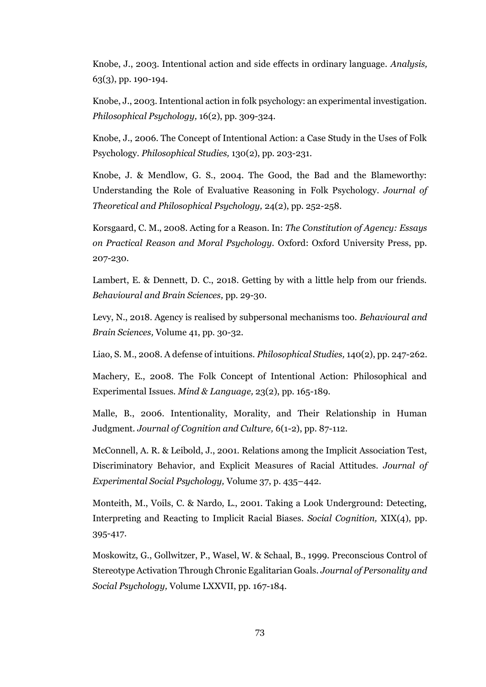Knobe, J., 2003. Intentional action and side effects in ordinary language. *Analysis,*  63(3), pp. 190-194.

Knobe, J., 2003. Intentional action in folk psychology: an experimental investigation. *Philosophical Psychology,* 16(2), pp. 309-324.

Knobe, J., 2006. The Concept of Intentional Action: a Case Study in the Uses of Folk Psychology. *Philosophical Studies,* 130(2), pp. 203-231.

Knobe, J. & Mendlow, G. S., 2004. The Good, the Bad and the Blameworthy: Understanding the Role of Evaluative Reasoning in Folk Psychology. *Journal of Theoretical and Philosophical Psychology,* 24(2), pp. 252-258.

Korsgaard, C. M., 2008. Acting for a Reason. In: *The Constitution of Agency: Essays on Practical Reason and Moral Psychology.* Oxford: Oxford University Press, pp. 207-230.

Lambert, E. & Dennett, D. C., 2018. Getting by with a little help from our friends. *Behavioural and Brain Sciences,* pp. 29-30.

Levy, N., 2018. Agency is realised by subpersonal mechanisms too. *Behavioural and Brain Sciences,* Volume 41, pp. 30-32.

Liao, S. M., 2008. A defense of intuitions. *Philosophical Studies,* 140(2), pp. 247-262.

Machery, E., 2008. The Folk Concept of Intentional Action: Philosophical and Experimental Issues. *Mind & Language,* 23(2), pp. 165-189.

Malle, B., 2006. Intentionality, Morality, and Their Relationship in Human Judgment. *Journal of Cognition and Culture,* 6(1-2), pp. 87-112.

McConnell, A. R. & Leibold, J., 2001. Relations among the Implicit Association Test, Discriminatory Behavior, and Explicit Measures of Racial Attitudes. *Journal of Experimental Social Psychology,* Volume 37, p. 435–442.

Monteith, M., Voils, C. & Nardo, L., 2001. Taking a Look Underground: Detecting, Interpreting and Reacting to Implicit Racial Biases. *Social Cognition,* XIX(4), pp. 395-417.

Moskowitz, G., Gollwitzer, P., Wasel, W. & Schaal, B., 1999. Preconscious Control of Stereotype Activation Through Chronic Egalitarian Goals. *Journal of Personality and Social Psychology,* Volume LXXVII, pp. 167-184.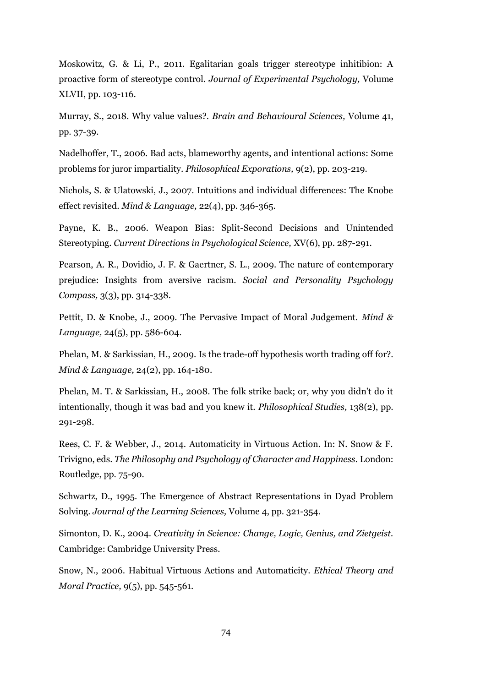Moskowitz, G. & Li, P., 2011. Egalitarian goals trigger stereotype inhitibion: A proactive form of stereotype control. *Journal of Experimental Psychology,* Volume XLVII, pp. 103-116.

Murray, S., 2018. Why value values?. *Brain and Behavioural Sciences,* Volume 41, pp. 37-39.

Nadelhoffer, T., 2006. Bad acts, blameworthy agents, and intentional actions: Some problems for juror impartiality. *Philosophical Exporations,* 9(2), pp. 203-219.

Nichols, S. & Ulatowski, J., 2007. Intuitions and individual differences: The Knobe effect revisited. *Mind & Language,* 22(4), pp. 346-365.

Payne, K. B., 2006. Weapon Bias: Split-Second Decisions and Unintended Stereotyping. *Current Directions in Psychological Science,* XV(6), pp. 287-291.

Pearson, A. R., Dovidio, J. F. & Gaertner, S. L., 2009. The nature of contemporary prejudice: Insights from aversive racism. *Social and Personality Psychology Compass,* 3(3), pp. 314-338.

Pettit, D. & Knobe, J., 2009. The Pervasive Impact of Moral Judgement. *Mind & Language,* 24(5), pp. 586-604.

Phelan, M. & Sarkissian, H., 2009. Is the trade-off hypothesis worth trading off for?. *Mind & Language,* 24(2), pp. 164-180.

Phelan, M. T. & Sarkissian, H., 2008. The folk strike back; or, why you didn't do it intentionally, though it was bad and you knew it. *Philosophical Studies,* 138(2), pp. 291-298.

Rees, C. F. & Webber, J., 2014. Automaticity in Virtuous Action. In: N. Snow & F. Trivigno, eds. *The Philosophy and Psychology of Character and Happiness.* London: Routledge, pp. 75-90.

Schwartz, D., 1995. The Emergence of Abstract Representations in Dyad Problem Solving. *Journal of the Learning Sciences,* Volume 4, pp. 321-354.

Simonton, D. K., 2004. *Creativity in Science: Change, Logic, Genius, and Zietgeist.*  Cambridge: Cambridge University Press.

Snow, N., 2006. Habitual Virtuous Actions and Automaticity. *Ethical Theory and Moral Practice,* 9(5), pp. 545-561.